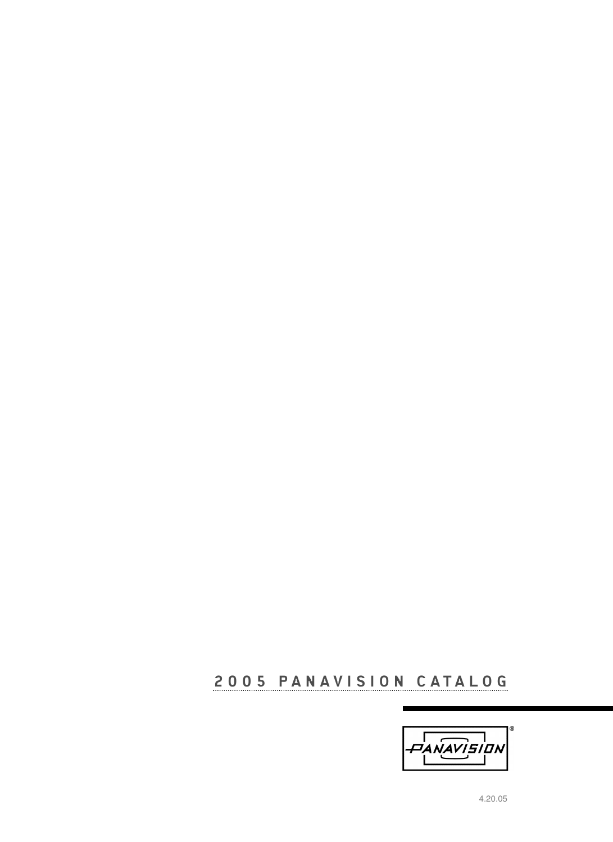## **2005 PANAVISION CATALOG**

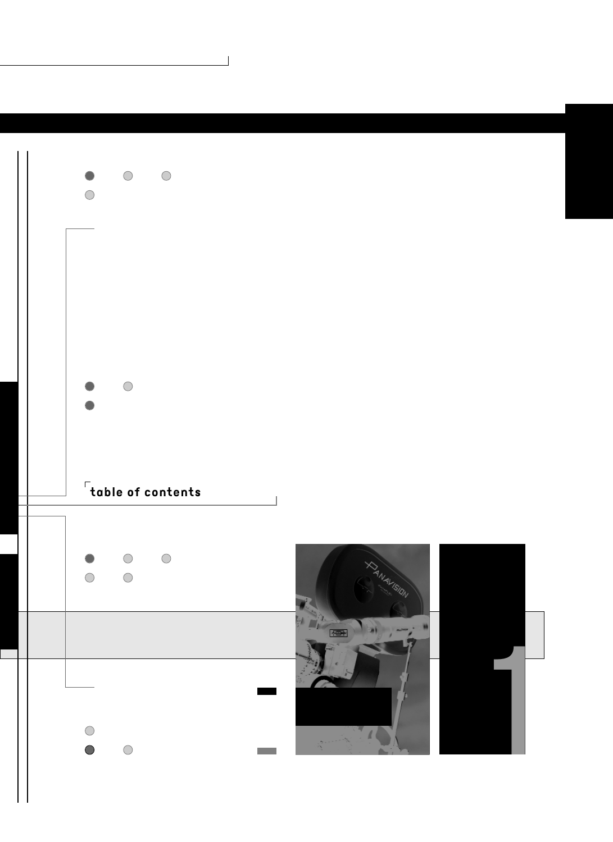

 $\Box$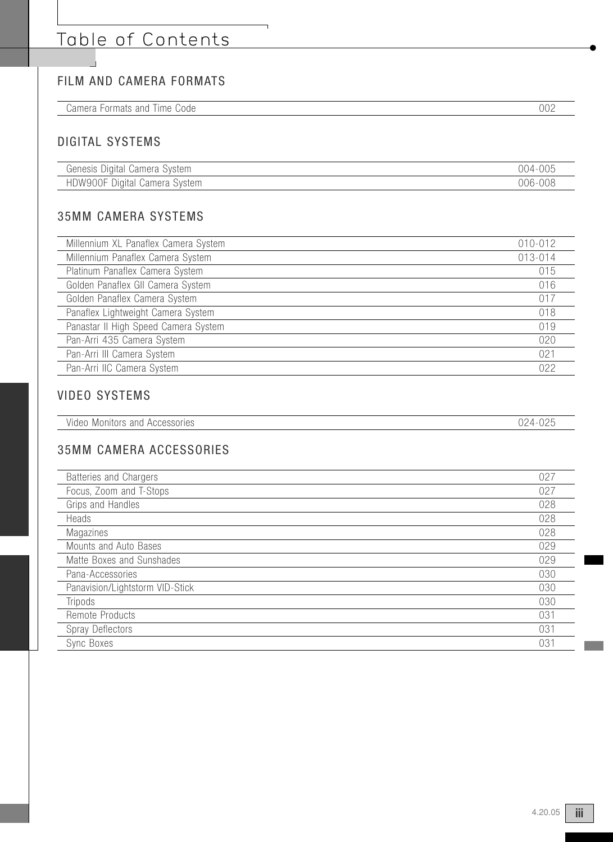# Table of Contents

## FILM AND CAMERA FORMATS

| へへ・<br>Code<br>$\cap$ n<br>∩ ר<br>.<br>idi 5<br>ш<br>unu<br>$\sqrt{1}$<br>$\cdots$<br>.<br>vui<br>---- |
|--------------------------------------------------------------------------------------------------------|
|--------------------------------------------------------------------------------------------------------|

 $\overline{\phantom{a}}$ 

### DIGITAL SYSTEMS

| $\sim$<br>Digital Camera System<br>Genesis | $-005$<br>004 |
|--------------------------------------------|---------------|
| HDW900F Digital<br>Svstem<br>Camera '      | 006-008       |

## 35MM CAMERA SYSTEMS

| Millennium XL Panaflex Camera System | 010-012 |
|--------------------------------------|---------|
| Millennium Panaflex Camera System    | 013-014 |
| Platinum Panaflex Camera System      | 015     |
| Golden Panaflex GII Camera System    | 016     |
| Golden Panaflex Camera System        | 017     |
| Panaflex Lightweight Camera System   | 018     |
| Panastar II High Speed Camera System | 019     |
| Pan-Arri 435 Camera System           | 020     |
| Pan-Arri III Camera System           | 021     |
| Pan-Arri IIC Camera System           | 022     |

### VIDEO SYSTEMS

| Video<br>Accessories<br>Monitors and | $\cap$ $\cap$ $\land$<br>ו ו<br>◡▵ |
|--------------------------------------|------------------------------------|

#### 35MM CAMERA ACCESSORIES

| Batteries and Chargers          | 027 |
|---------------------------------|-----|
| Focus, Zoom and T-Stops         | 027 |
| Grips and Handles               | 028 |
| Heads                           | 028 |
| Magazines                       | 028 |
| Mounts and Auto Bases           | 029 |
| Matte Boxes and Sunshades       | 029 |
| Pana-Accessories                | 030 |
| Panavision/Lightstorm VID-Stick | 030 |
| Tripods                         | 030 |
| Remote Products                 | 031 |
| Spray Deflectors                | 031 |
| Sync Boxes                      | 031 |
|                                 |     |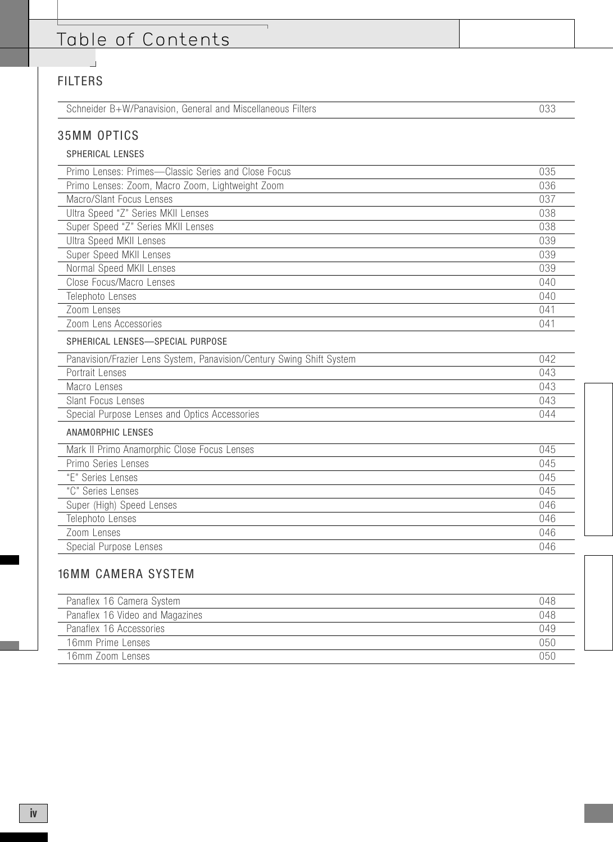# Table of Contents

## FILTERS

 $\overline{\phantom{a}}$ 

| Schneider B+W/Panavision, General and Miscellaneous Filters           |     |
|-----------------------------------------------------------------------|-----|
| <b>35MM OPTICS</b>                                                    |     |
| <b>SPHERICAL LENSES</b>                                               |     |
| Primo Lenses: Primes-Classic Series and Close Focus                   | 035 |
| Primo Lenses: Zoom, Macro Zoom, Lightweight Zoom                      | 036 |
| Macro/Slant Focus Lenses                                              | 037 |
| Ultra Speed "Z" Series MKII Lenses                                    | 038 |
| Super Speed "Z" Series MKII Lenses                                    | 038 |
| <b>Ultra Speed MKII Lenses</b>                                        | 039 |
| Super Speed MKII Lenses                                               | 039 |
| Normal Speed MKII Lenses                                              | 039 |
| Close Focus/Macro Lenses                                              | 040 |
| Telephoto Lenses                                                      | 040 |
| Zoom Lenses                                                           | 041 |
| Zoom Lens Accessories                                                 | 041 |
| SPHERICAL LENSES-SPECIAL PURPOSE                                      |     |
| Panavision/Frazier Lens System, Panavision/Century Swing Shift System | 042 |
| Portrait Lenses                                                       | 043 |
| Macro Lenses                                                          | 043 |
| Slant Focus Lenses                                                    | 043 |
| Special Purpose Lenses and Optics Accessories                         | 044 |
| <b>ANAMORPHIC LENSES</b>                                              |     |
| Mark II Primo Anamorphic Close Focus Lenses                           | 045 |
| Primo Series Lenses                                                   | 045 |
| "E" Series Lenses                                                     | 045 |
| "C" Series Lenses                                                     | 045 |
| Super (High) Speed Lenses                                             | 046 |
| Telephoto Lenses                                                      | 046 |
| Zoom Lenses                                                           | 046 |
| Special Purpose Lenses                                                | 046 |

| Panaflex 16 Camera System       | 048 |
|---------------------------------|-----|
| Panaflex 16 Video and Magazines | 048 |
| Panaflex 16 Accessories         | 049 |
| 16mm Prime Lenses               | 050 |
| 16mm Zoom Lenses                | 050 |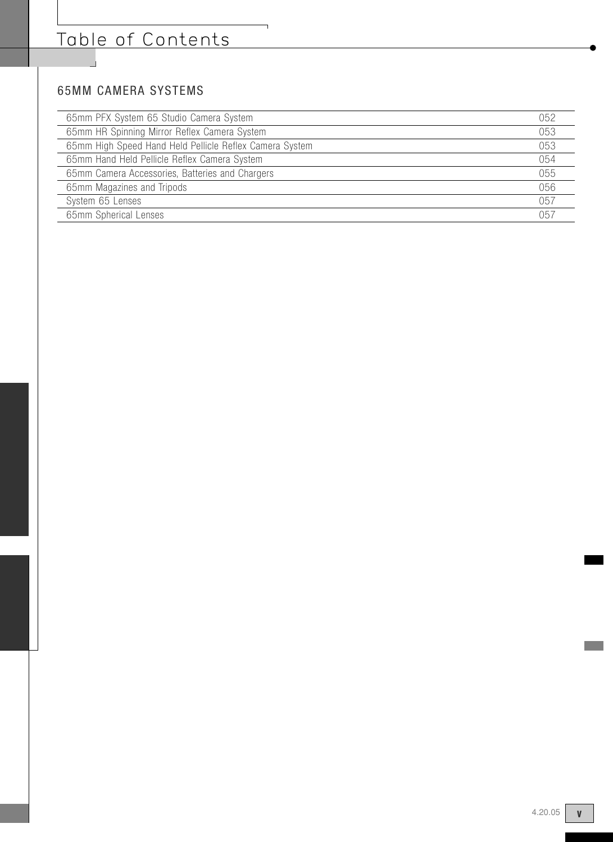## 65MM CAMERA SYSTEMS

| 65mm PFX System 65 Studio Camera System                 | 052 |
|---------------------------------------------------------|-----|
| 65mm HR Spinning Mirror Reflex Camera System            | 053 |
| 65mm High Speed Hand Held Pellicle Reflex Camera System | 053 |
| 65mm Hand Held Pellicle Reflex Camera System            | 054 |
| 65mm Camera Accessories, Batteries and Chargers         | 055 |
| 65mm Magazines and Tripods                              | 056 |
| System 65 Lenses                                        | 057 |
| 65mm Spherical Lenses                                   | 057 |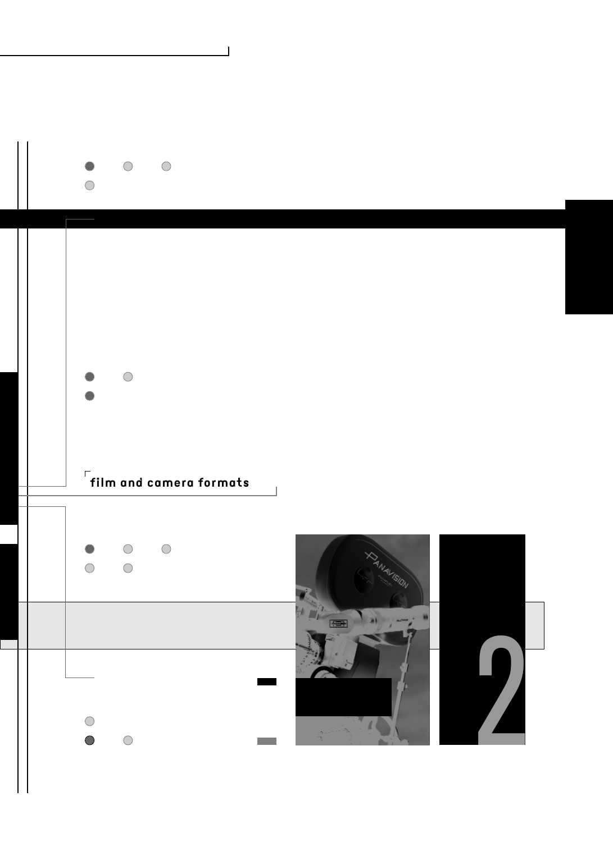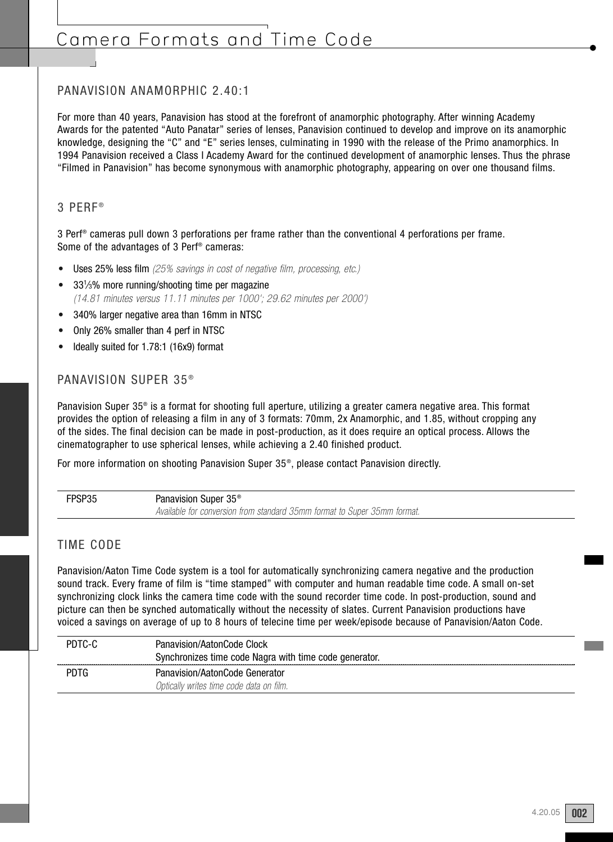## Camera Formats and Time Code

#### PANAVISION ANAMORPHIC 2.40:1

For more than 40 years, Panavision has stood at the forefront of anamorphic photography. After winning Academy Awards for the patented "Auto Panatar" series of lenses, Panavision continued to develop and improve on its anamorphic knowledge, designing the "C" and "E" series lenses, culminating in 1990 with the release of the Primo anamorphics. In 1994 Panavision received a Class I Academy Award for the continued development of anamorphic lenses. Thus the phrase "Filmed in Panavision" has become synonymous with anamorphic photography, appearing on over one thousand films.

#### 3 PERF ®

3 Perf® cameras pull down 3 perforations per frame rather than the conventional 4 perforations per frame. Some of the advantages of 3 Perf® cameras:

- Uses 25% less film (25% savings in cost of negative film, processing, etc.)
- 331/3% more running/shooting time per magazine (14.81 minutes versus 11.11 minutes per 1000'; 29.62 minutes per 2000')
- 340% larger negative area than 16mm in NTSC
- Only 26% smaller than 4 perf in NTSC
- Ideally suited for 1.78:1 (16x9) format

#### PANAVISION SUPER 35<sup>®</sup>

Panavision Super 35® is a format for shooting full aperture, utilizing a greater camera negative area. This format provides the option of releasing a film in any of 3 formats: 70mm, 2x Anamorphic, and 1.85, without cropping any of the sides. The final decision can be made in post-production, as it does require an optical process. Allows the cinematographer to use spherical lenses, while achieving a 2.40 finished product.

For more information on shooting Panavision Super 35<sup>®</sup>, please contact Panavision directly.

| FPSP35 | Panavision Super 35 <sup>®</sup>                                         |
|--------|--------------------------------------------------------------------------|
|        | Available for conversion from standard 35mm format to Super 35mm format. |

#### TIME CODE

Panavision/Aaton Time Code system is a tool for automatically synchronizing camera negative and the production sound track. Every frame of film is "time stamped" with computer and human readable time code. A small on-set synchronizing clock links the camera time code with the sound recorder time code. In post-production, sound and picture can then be synched automatically without the necessity of slates. Current Panavision productions have voiced a savings on average of up to 8 hours of telecine time per week/episode because of Panavision/Aaton Code.

| <b>Clock</b><br>Panavision/AatonCode<br>Synchronizes time code Nagra with time code generator. |
|------------------------------------------------------------------------------------------------|
| ahavision/Aaton(;ode<br>Optically writes time code data on tilm.                               |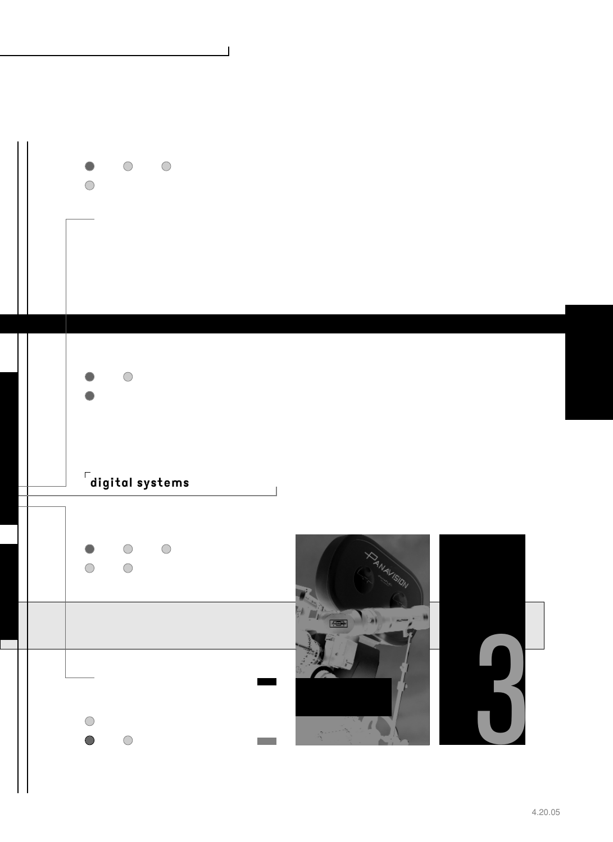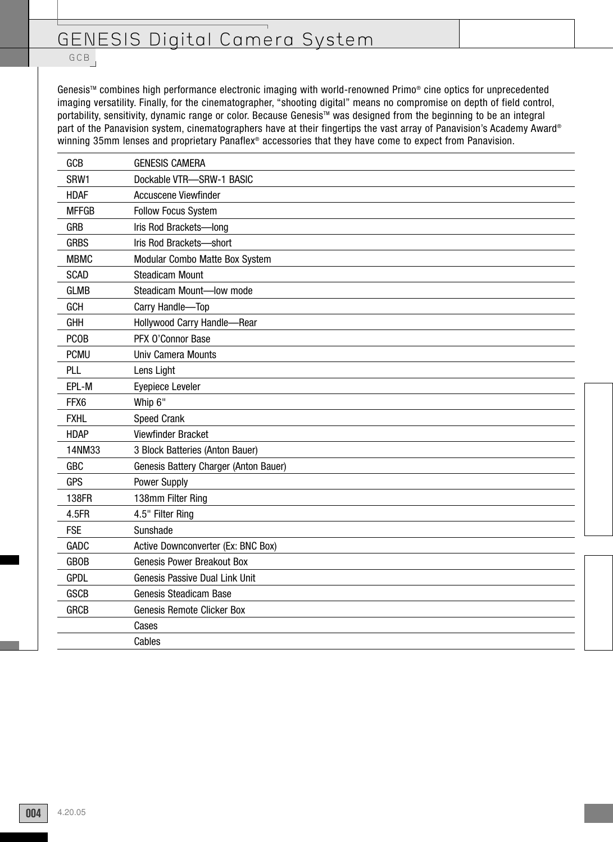## GENESIS Digital Camera System

GCB

Genesis<sup>™</sup> combines high performance electronic imaging with world-renowned Primo® cine optics for unprecedented imaging versatility. Finally, for the cinematographer, "shooting digital" means no compromise on depth of field control, portability, sensitivity, dynamic range or color. Because Genesis<sup>™</sup> was designed from the beginning to be an integral part of the Panavision system, cinematographers have at their fingertips the vast array of Panavision's Academy Award® winning 35mm lenses and proprietary Panaflex® accessories that they have come to expect from Panavision.

| GCB          | <b>GENESIS CAMERA</b>                 |
|--------------|---------------------------------------|
| SRW1         | Dockable VTR-SRW-1 BASIC              |
| <b>HDAF</b>  | Accuscene Viewfinder                  |
| <b>MFFGB</b> | <b>Follow Focus System</b>            |
| <b>GRB</b>   | Iris Rod Brackets-long                |
| <b>GRBS</b>  | Iris Rod Brackets-short               |
| <b>MBMC</b>  | Modular Combo Matte Box System        |
| <b>SCAD</b>  | <b>Steadicam Mount</b>                |
| <b>GLMB</b>  | Steadicam Mount-low mode              |
| GCH          | Carry Handle-Top                      |
| <b>GHH</b>   | Hollywood Carry Handle-Rear           |
| <b>PCOB</b>  | PFX O'Connor Base                     |
| <b>PCMU</b>  | Univ Camera Mounts                    |
| PLL          | Lens Light                            |
| EPL-M        | Eyepiece Leveler                      |
| FFX6         | Whip 6"                               |
| <b>FXHL</b>  | <b>Speed Crank</b>                    |
| <b>HDAP</b>  | Viewfinder Bracket                    |
| 14NM33       | 3 Block Batteries (Anton Bauer)       |
| <b>GBC</b>   | Genesis Battery Charger (Anton Bauer) |
| <b>GPS</b>   | Power Supply                          |
| 138FR        | 138mm Filter Ring                     |
| 4.5FR        | 4.5" Filter Ring                      |
| <b>FSE</b>   | Sunshade                              |
| GADC         | Active Downconverter (Ex: BNC Box)    |
| <b>GBOB</b>  | <b>Genesis Power Breakout Box</b>     |
| <b>GPDL</b>  | Genesis Passive Dual Link Unit        |
| <b>GSCB</b>  | Genesis Steadicam Base                |
| <b>GRCB</b>  | Genesis Remote Clicker Box            |
|              | Cases                                 |
|              | Cables                                |
|              |                                       |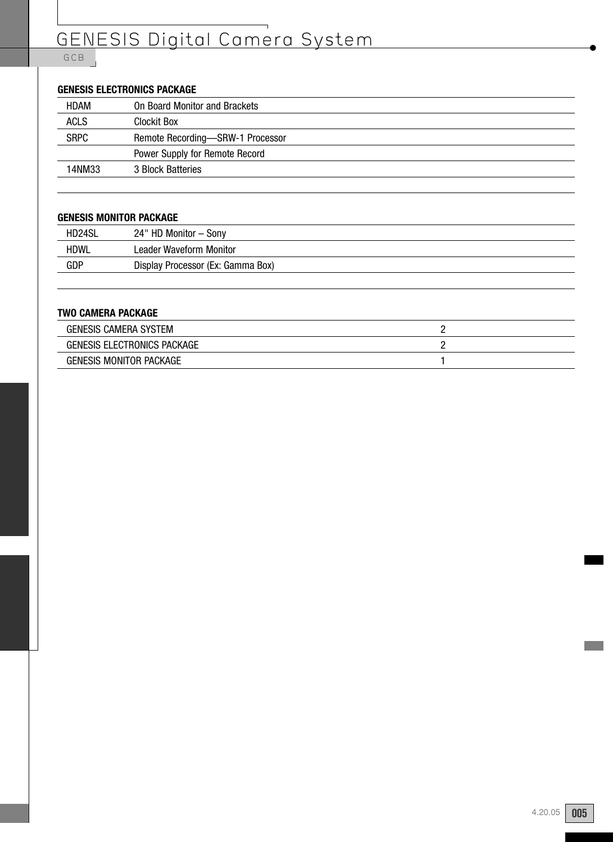# GENESIS Digital Camera System

#### GCB

#### **GENESIS ELECTRONICS PACKAGE**

| HDAM        | On Board Monitor and Brackets    |
|-------------|----------------------------------|
| <b>ACLS</b> | Clockit Box                      |
| <b>SRPC</b> | Remote Recording-SRW-1 Processor |
|             | Power Supply for Remote Record   |
| 14NM33      | 3 Block Batteries                |
|             |                                  |

#### **GENESIS MONITOR PACKAGE**

| HD24SL      | 24" HD Monitor - Sony             |
|-------------|-----------------------------------|
| <b>HDWL</b> | Leader Waveform Monitor           |
| GDP         | Display Processor (Ex: Gamma Box) |
|             |                                   |

#### **TWO CAMERA PACKAGE**

| <b>GENESIS CAMERA SYSTEM</b>   |  |
|--------------------------------|--|
| GENESIS ELECTRONICS PACKAGE    |  |
| <b>GENESIS MONITOR PACKAGE</b> |  |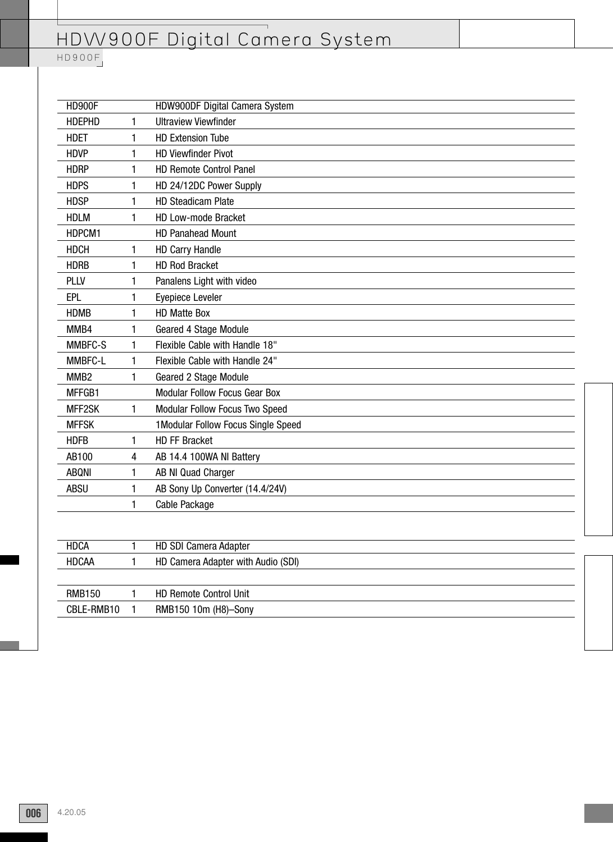| <b>HD900F</b>    |              | HDW900DF Digital Camera System       |
|------------------|--------------|--------------------------------------|
| <b>HDEPHD</b>    | 1            | <b>Ultraview Viewfinder</b>          |
| <b>HDET</b>      | 1            | <b>HD Extension Tube</b>             |
| <b>HDVP</b>      | 1            | <b>HD Viewfinder Pivot</b>           |
| <b>HDRP</b>      | 1            | <b>HD Remote Control Panel</b>       |
| <b>HDPS</b>      | 1            | HD 24/12DC Power Supply              |
| <b>HDSP</b>      | 1            | <b>HD Steadicam Plate</b>            |
| <b>HDLM</b>      | 1            | HD Low-mode Bracket                  |
| HDPCM1           |              | <b>HD Panahead Mount</b>             |
| <b>HDCH</b>      | 1            | <b>HD Carry Handle</b>               |
| <b>HDRB</b>      | 1            | <b>HD Rod Bracket</b>                |
| PLLV             | 1            | Panalens Light with video            |
| EPL              | 1            | Eyepiece Leveler                     |
| <b>HDMB</b>      | 1            | <b>HD Matte Box</b>                  |
| MMB4             | 1            | Geared 4 Stage Module                |
| MMBFC-S          | 1            | Flexible Cable with Handle 18"       |
| MMBFC-L          | 1            | Flexible Cable with Handle 24"       |
| MMB <sub>2</sub> | 1            | Geared 2 Stage Module                |
| MFFGB1           |              | <b>Modular Follow Focus Gear Box</b> |
| MFF2SK           | 1            | Modular Follow Focus Two Speed       |
| <b>MFFSK</b>     |              | 1 Modular Follow Focus Single Speed  |
| <b>HDFB</b>      | 1            | <b>HD FF Bracket</b>                 |
| AB100            | 4            | AB 14.4 100WA NI Battery             |
| <b>ABQNI</b>     | 1            | AB NI Quad Charger                   |
| <b>ABSU</b>      | 1            | AB Sony Up Converter (14.4/24V)      |
|                  | 1            | Cable Package                        |
|                  |              |                                      |
| <b>HDCA</b>      | $\mathbf{1}$ | <b>HD SDI Camera Adapter</b>         |
| <b>HDCAA</b>     | 1            | HD Camera Adapter with Audio (SDI)   |
|                  |              |                                      |
| <b>RMB150</b>    | 1            | HD Remote Control Unit               |
| CBLE-RMB10       | 1            | RMB150 10m (H8)-Sony                 |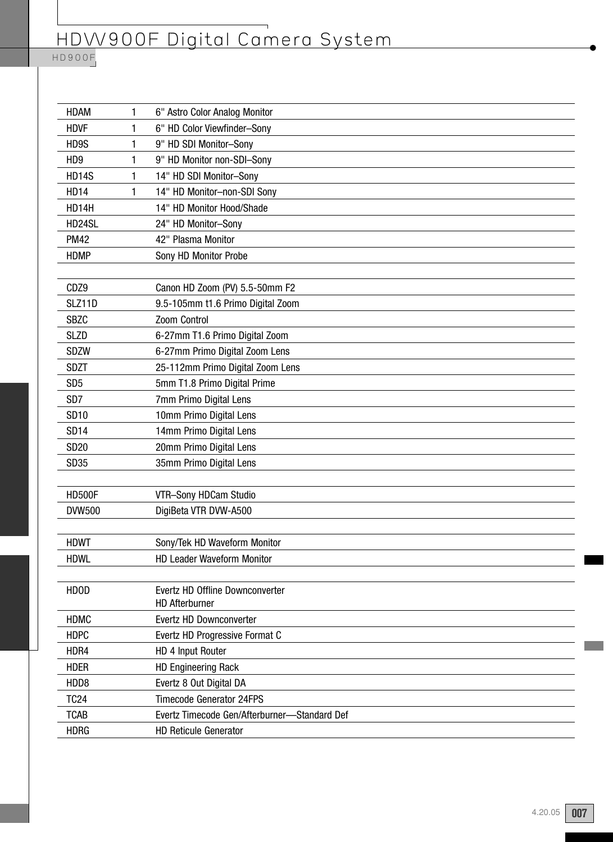#### HD900F

| <b>HDAM</b>     | 1 | 6" Astro Color Analog Monitor                |
|-----------------|---|----------------------------------------------|
| <b>HDVF</b>     | 1 | 6" HD Color Viewfinder-Sony                  |
| HD9S            | 1 | 9" HD SDI Monitor-Sony                       |
| HD <sub>9</sub> | 1 | 9" HD Monitor non-SDI-Sony                   |
| <b>HD14S</b>    | 1 | 14" HD SDI Monitor-Sony                      |
| <b>HD14</b>     | 1 | 14" HD Monitor-non-SDI Sony                  |
| HD14H           |   | 14" HD Monitor Hood/Shade                    |
| HD24SL          |   | 24" HD Monitor-Sony                          |
| <b>PM42</b>     |   | 42" Plasma Monitor                           |
| <b>HDMP</b>     |   | Sony HD Monitor Probe                        |
|                 |   |                                              |
| CDZ9            |   | Canon HD Zoom (PV) 5.5-50mm F2               |
| SLZ11D          |   | 9.5-105mm t1.6 Primo Digital Zoom            |
| <b>SBZC</b>     |   | Zoom Control                                 |
| <b>SLZD</b>     |   | 6-27mm T1.6 Primo Digital Zoom               |
| <b>SDZW</b>     |   | 6-27mm Primo Digital Zoom Lens               |
| <b>SDZT</b>     |   | 25-112mm Primo Digital Zoom Lens             |
| SD <sub>5</sub> |   | 5mm T1.8 Primo Digital Prime                 |
| SD <sub>7</sub> |   | 7mm Primo Digital Lens                       |
| <b>SD10</b>     |   | 10mm Primo Digital Lens                      |
| <b>SD14</b>     |   | 14mm Primo Digital Lens                      |
| <b>SD20</b>     |   | 20mm Primo Digital Lens                      |
| <b>SD35</b>     |   | 35mm Primo Digital Lens                      |
|                 |   |                                              |
| <b>HD500F</b>   |   | VTR-Sony HDCam Studio                        |
| <b>DVW500</b>   |   | DigiBeta VTR DVW-A500                        |
|                 |   |                                              |
| <b>HDWT</b>     |   | Sony/Tek HD Waveform Monitor                 |
| <b>HDWL</b>     |   | <b>HD Leader Waveform Monitor</b>            |
|                 |   |                                              |
| <b>HDOD</b>     |   | Evertz HD Offline Downconverter              |
|                 |   | <b>HD Afterburner</b>                        |
| <b>HDMC</b>     |   | Evertz HD Downconverter                      |
| <b>HDPC</b>     |   | Evertz HD Progressive Format C               |
| HDR4            |   | HD 4 Input Router                            |
| <b>HDER</b>     |   | <b>HD Engineering Rack</b>                   |
| HDD8            |   | Evertz 8 Out Digital DA                      |
| <b>TC24</b>     |   | <b>Timecode Generator 24FPS</b>              |
| <b>TCAB</b>     |   | Evertz Timecode Gen/Afterburner-Standard Def |
| <b>HDRG</b>     |   | <b>HD Reticule Generator</b>                 |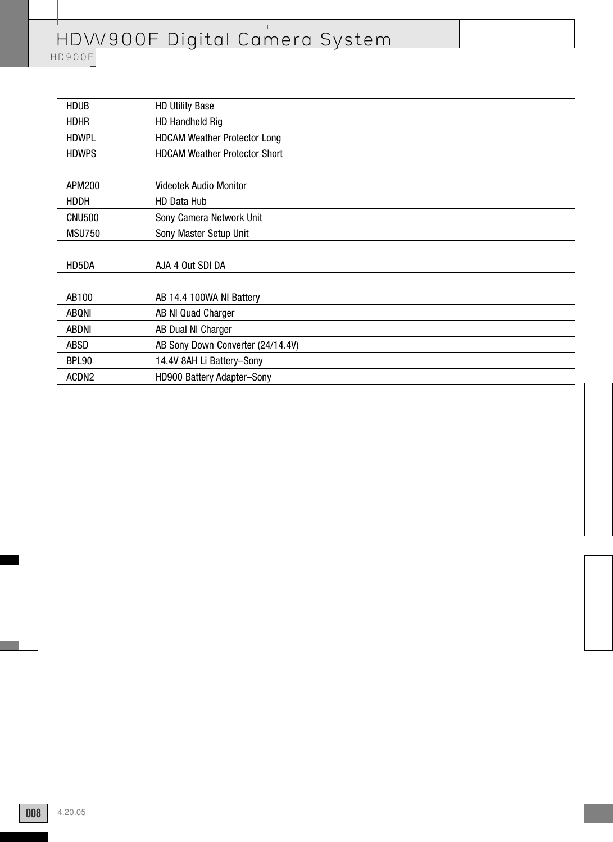| <b>HDUB</b>       | <b>HD Utility Base</b>               |
|-------------------|--------------------------------------|
| <b>HDHR</b>       | <b>HD Handheld Rig</b>               |
| <b>HDWPL</b>      | <b>HDCAM Weather Protector Long</b>  |
| <b>HDWPS</b>      | <b>HDCAM Weather Protector Short</b> |
|                   |                                      |
| <b>APM200</b>     | <b>Videotek Audio Monitor</b>        |
| HDDH              | <b>HD Data Hub</b>                   |
| <b>CNU500</b>     | Sony Camera Network Unit             |
| <b>MSU750</b>     | Sony Master Setup Unit               |
|                   |                                      |
| HD5DA             | AJA 4 Out SDI DA                     |
|                   |                                      |
| AB100             | AB 14.4 100WA NI Battery             |
| <b>ABQNI</b>      | AB NI Quad Charger                   |
| <b>ABDNI</b>      | AB Dual NI Charger                   |
| <b>ABSD</b>       | AB Sony Down Converter (24/14.4V)    |
| <b>BPL90</b>      | 14.4V 8AH Li Battery-Sony            |
| ACDN <sub>2</sub> | HD900 Battery Adapter-Sony           |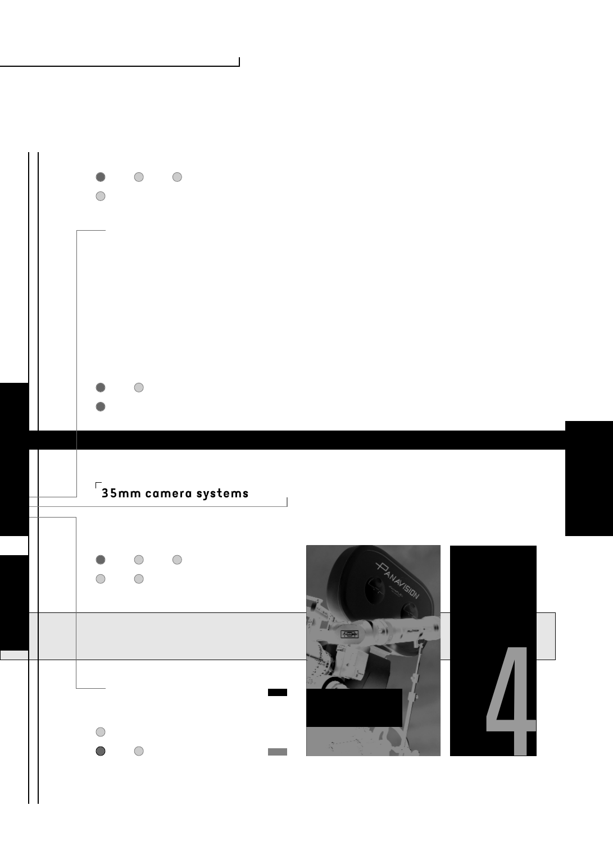

 $\overline{\phantom{a}}$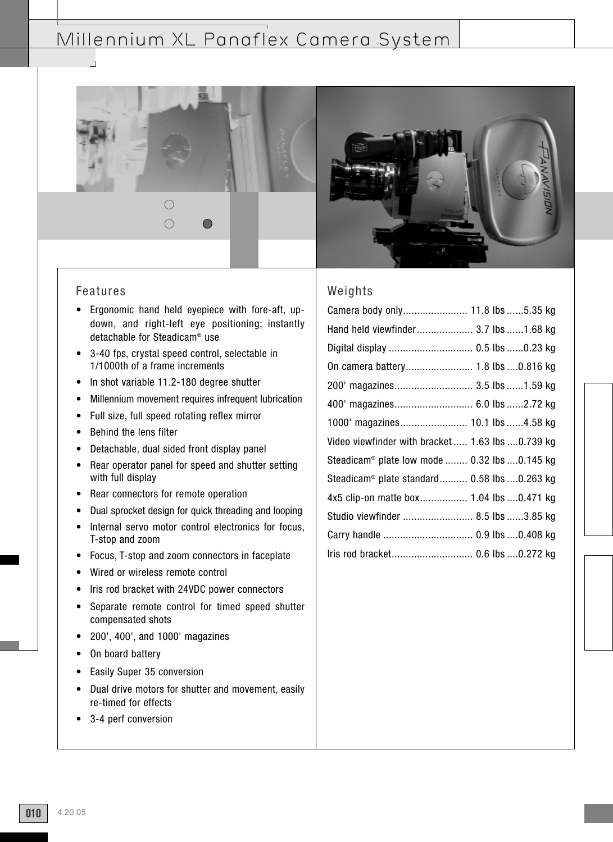## Millennium XL Panaflex Camera System



#### Features

- Ergonomic hand held eyepiece with fore-aft, updown, and right-left eye positioning; instantly detachable for Steadicam® use
- 3-40 fps, crystal speed control, selectable in 1/1000th of a frame increments
- In shot variable 11.2-180 degree shutter
- Millennium movement requires infrequent lubrication
- Full size, full speed rotating reflex mirror
- Behind the lens filter
- Detachable, dual sided front display panel
- Rear operator panel for speed and shutter setting with full display
- Rear connectors for remote operation
- Dual sprocket design for quick threading and looping
- Internal servo motor control electronics for focus, T-stop and zoom
- Focus, T-stop and zoom connectors in faceplate
- Wired or wireless remote control
- Iris rod bracket with 24VDC power connectors
- Separate remote control for timed speed shutter compensated shots
- 200', 400', and 1000' magazines
- On board battery
- Easily Super 35 conversion
- Dual drive motors for shutter and movement, easily re-timed for effects
- 3-4 perf conversion

#### Weights Camera body only....................... 11.8 lbs ......5.35 kg

| Hand held viewfinder 3.7 lbs  1.68 kg                    |
|----------------------------------------------------------|
| Digital display  0.5 lbs 0.23 kg                         |
|                                                          |
| 200' magazines 3.5 lbs  1.59 kg                          |
| 400' magazines 6.0 lbs 2.72 kg                           |
| 1000' magazines 10.1 lbs 4.58 kg                         |
| Video viewfinder with bracket  1.63 lbs 0.739 kg         |
| Steadicam <sup>®</sup> plate low mode  0.32 lbs 0.145 kg |
| Steadicam® plate standard 0.58 lbs 0.263 kg              |
| 4x5 clip-on matte box 1.04 lbs  0.471 kg                 |
| Studio viewfinder  8.5 lbs 3.85 kg                       |
|                                                          |
| Iris rod bracket 0.6 lbs  0.272 kg                       |
|                                                          |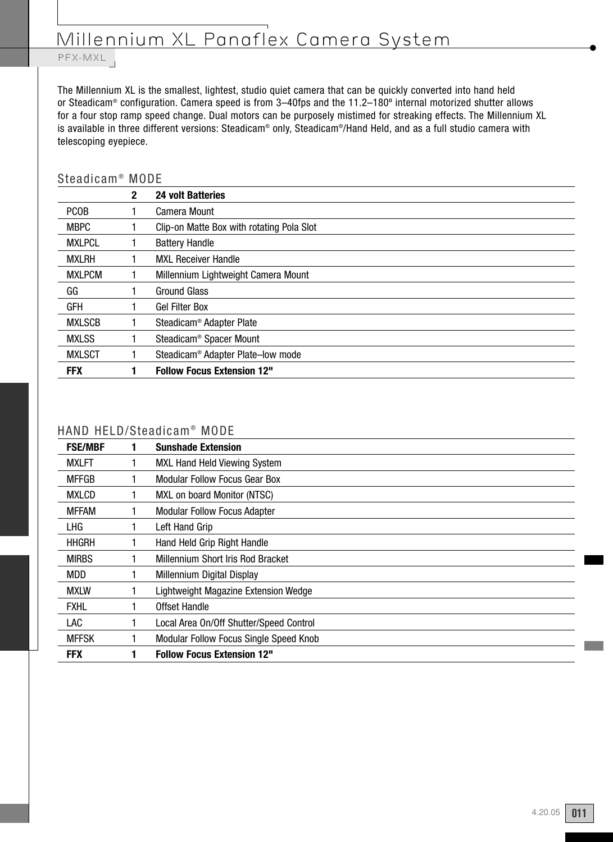# Millennium XL Panaflex Camera System

#### PFX-M PFX-MXL

The Millennium XL is the smallest, lightest, studio quiet camera that can be quickly converted into hand held or Steadicam® configuration. Camera speed is from 3–40fps and the 11.2–180º internal motorized shutter allows for a four stop ramp speed change. Dual motors can be purposely mistimed for streaking effects. The Millennium XL is available in three different versions: Steadicam® only, Steadicam®/Hand Held, and as a full studio camera with telescoping eyepiece.

#### Steadicam<sup>®</sup> MODE

|               | $\mathbf{2}$ | <b>24 volt Batteries</b>                      |
|---------------|--------------|-----------------------------------------------|
| <b>PCOB</b>   |              | Camera Mount                                  |
| <b>MBPC</b>   |              | Clip-on Matte Box with rotating Pola Slot     |
| <b>MXLPCL</b> |              | <b>Battery Handle</b>                         |
| <b>MXLRH</b>  |              | <b>MXL Receiver Handle</b>                    |
| <b>MXLPCM</b> |              | Millennium Lightweight Camera Mount           |
| GG            |              | <b>Ground Glass</b>                           |
| GFH           |              | <b>Gel Filter Box</b>                         |
| <b>MXLSCB</b> |              | Steadicam <sup>®</sup> Adapter Plate          |
| <b>MXLSS</b>  |              | Steadicam <sup>®</sup> Spacer Mount           |
| <b>MXLSCT</b> |              | Steadicam <sup>®</sup> Adapter Plate-low mode |
| <b>FFX</b>    |              | <b>Follow Focus Extension 12"</b>             |

#### HAND HELD/Steadicam<sup>®</sup> MODE

| <b>FSE/MBF</b> | <b>Sunshade Extension</b>               |
|----------------|-----------------------------------------|
| <b>MXLFT</b>   | MXL Hand Held Viewing System            |
| <b>MFFGB</b>   | Modular Follow Focus Gear Box           |
| <b>MXLCD</b>   | MXL on board Monitor (NTSC)             |
| <b>MFFAM</b>   | <b>Modular Follow Focus Adapter</b>     |
| LHG            | Left Hand Grip                          |
| <b>HHGRH</b>   | Hand Held Grip Right Handle             |
| <b>MIRBS</b>   | Millennium Short Iris Rod Bracket       |
| <b>MDD</b>     | Millennium Digital Display              |
| <b>MXLW</b>    | Lightweight Magazine Extension Wedge    |
| <b>FXHL</b>    | Offset Handle                           |
| LAC            | Local Area On/Off Shutter/Speed Control |
| <b>MFFSK</b>   | Modular Follow Focus Single Speed Knob  |
| <b>FFX</b>     | <b>Follow Focus Extension 12"</b>       |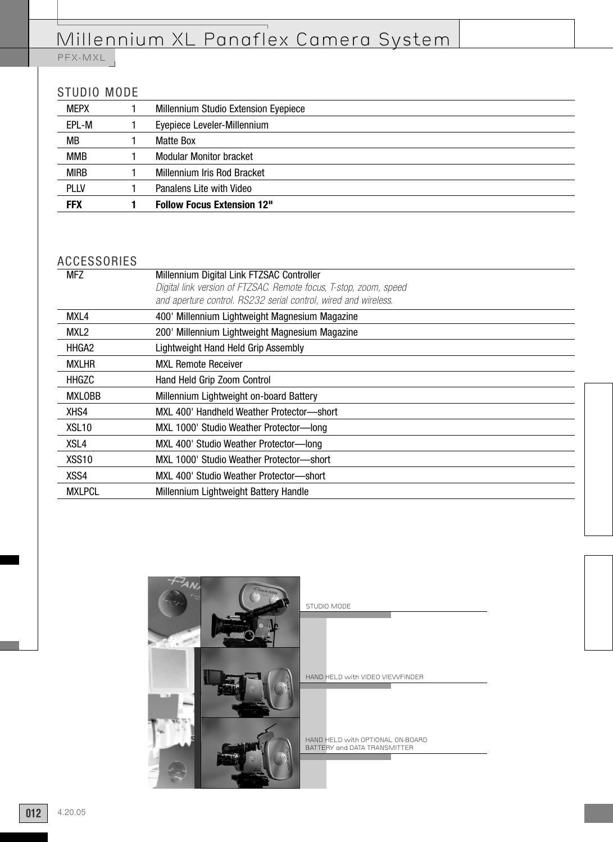# Millennium XL Panaflex Camera System

PFX-MXL

#### STUDIO MODE

| <b>MEPX</b> | Millennium Studio Extension Eyepiece |
|-------------|--------------------------------------|
| EPL-M       | Eyepiece Leveler-Millennium          |
| MВ          | Matte Box                            |
| <b>MMB</b>  | <b>Modular Monitor bracket</b>       |
| <b>MIRB</b> | Millennium Iris Rod Bracket          |
| <b>PLLV</b> | Panalens Lite with Video             |
| <b>FFX</b>  | <b>Follow Focus Extension 12"</b>    |

#### ACCESSORIES

| <b>MFZ</b>        | Millennium Digital Link FTZSAC Controller                         |
|-------------------|-------------------------------------------------------------------|
|                   | Digital link version of FTZSAC. Remote focus, T-stop, zoom, speed |
|                   | and aperture control. RS232 serial control, wired and wireless.   |
| MXL4              | 400' Millennium Lightweight Magnesium Magazine                    |
| MXL <sub>2</sub>  | 200' Millennium Lightweight Magnesium Magazine                    |
| HHGA2             | Lightweight Hand Held Grip Assembly                               |
| <b>MXLHR</b>      | <b>MXL Remote Receiver</b>                                        |
| HHGZC             | Hand Held Grip Zoom Control                                       |
| <b>MXLOBB</b>     | Millennium Lightweight on-board Battery                           |
| XHS4              | MXL 400' Handheld Weather Protector-short                         |
| XSL <sub>10</sub> | MXL 1000' Studio Weather Protector-long                           |
| XSL4              | MXL 400' Studio Weather Protector-long                            |
| XSS <sub>10</sub> | MXL 1000' Studio Weather Protector-short                          |
| XSS4              | MXL 400' Studio Weather Protector-short                           |
| <b>MXLPCL</b>     | Millennium Lightweight Battery Handle                             |
|                   |                                                                   |

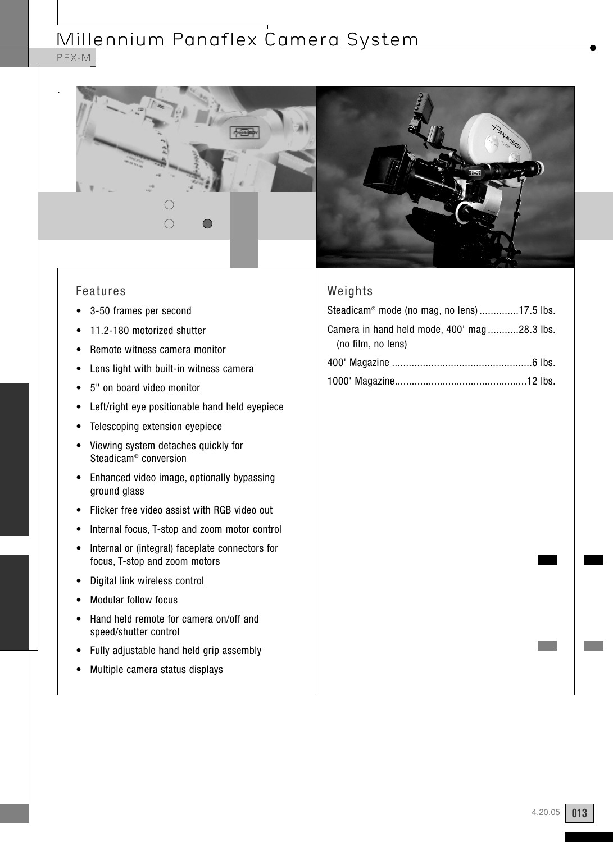# Millennium Panaflex Camera System

PFX-M





- 3-50 frames per second
- 11.2-180 motorized shutter
- Remote witness camera monitor
- Lens light with built-in witness camera
- 5" on board video monitor
- Left/right eye positionable hand held eyepiece
- Telescoping extension eyepiece
- Viewing system detaches quickly for Steadicam® conversion
- Enhanced video image, optionally bypassing ground glass
- Flicker free video assist with RGB video out
- Internal focus, T-stop and zoom motor control
- Internal or (integral) faceplate connectors for focus, T-stop and zoom motors
- Digital link wireless control
- Modular follow focus
- Hand held remote for camera on/off and speed/shutter control
- Fully adjustable hand held grip assembly
- Multiple camera status displays



### Weights

| Steadicam® mode (no mag, no lens)17.5 lbs.                        |  |
|-------------------------------------------------------------------|--|
| Camera in hand held mode, 400' mag28.3 lbs.<br>(no film, no lens) |  |
|                                                                   |  |
|                                                                   |  |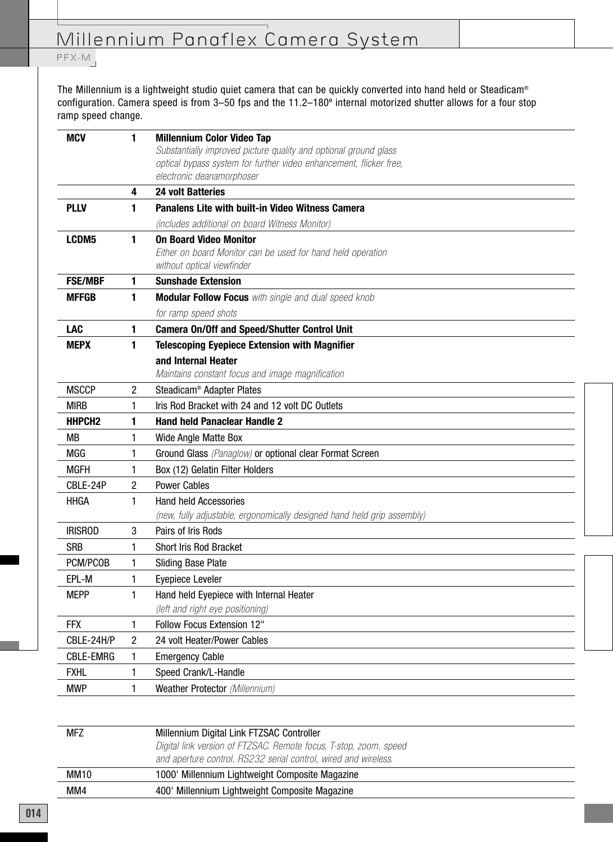## PFX-M

The Millennium is a lightweight studio quiet camera that can be quickly converted into hand held or Steadicam® configuration. Camera speed is from 3–50 fps and the 11.2–180º internal motorized shutter allows for a four stop ramp speed change.

| <b>MCV</b>         | 1 | <b>Millennium Color Video Tap</b>                                                                                                      |
|--------------------|---|----------------------------------------------------------------------------------------------------------------------------------------|
|                    |   | Substantially improved picture quality and optional ground glass<br>optical bypass system for further video enhancement, flicker free, |
|                    |   | electronic deanamorphoser                                                                                                              |
|                    | 4 | <b>24 volt Batteries</b>                                                                                                               |
| <b>PLLV</b>        | 1 | <b>Panalens Lite with built-in Video Witness Camera</b>                                                                                |
|                    |   | (includes additional on board Witness Monitor)                                                                                         |
| LCDM5              | 1 | <b>On Board Video Monitor</b><br>Either on board Monitor can be used for hand held operation<br>without optical viewfinder             |
| <b>FSE/MBF</b>     | 1 | <b>Sunshade Extension</b>                                                                                                              |
| <b>MFFGB</b>       | 1 | <b>Modular Follow Focus</b> with single and dual speed knob                                                                            |
|                    |   | for ramp speed shots                                                                                                                   |
| <b>LAC</b>         | 1 | <b>Camera On/Off and Speed/Shutter Control Unit</b>                                                                                    |
| <b>MEPX</b>        | 1 | <b>Telescoping Eyepiece Extension with Magnifier</b>                                                                                   |
|                    |   | and Internal Heater                                                                                                                    |
|                    |   | Maintains constant focus and image magnification                                                                                       |
| <b>MSCCP</b>       | 2 | Steadicam <sup>®</sup> Adapter Plates                                                                                                  |
| <b>MIRB</b>        | 1 | Iris Rod Bracket with 24 and 12 volt DC Outlets                                                                                        |
| HHPCH <sub>2</sub> | 1 | <b>Hand held Panaclear Handle 2</b>                                                                                                    |
| МB                 | 1 | Wide Angle Matte Box                                                                                                                   |
| MGG                | 1 | Ground Glass (Panaglow) or optional clear Format Screen                                                                                |
| <b>MGFH</b>        | 1 | Box (12) Gelatin Filter Holders                                                                                                        |
| CBLE-24P           | 2 | <b>Power Cables</b>                                                                                                                    |
| <b>HHGA</b>        | 1 | <b>Hand held Accessories</b>                                                                                                           |
|                    |   | (new, fully adjustable, ergonomically designed hand held grip assembly)                                                                |
| <b>IRISROD</b>     | 3 | Pairs of Iris Rods                                                                                                                     |
| <b>SRB</b>         | 1 | <b>Short Iris Rod Bracket</b>                                                                                                          |
| PCM/PCOB           | 1 | <b>Sliding Base Plate</b>                                                                                                              |
| EPL-M              | 1 | Eyepiece Leveler                                                                                                                       |
| <b>MEPP</b>        | 1 | Hand held Eyepiece with Internal Heater<br>(left and right eye positioning)                                                            |
| <b>FFX</b>         | 1 | Follow Focus Extension 12"                                                                                                             |
| CBLE-24H/P         | 2 | 24 volt Heater/Power Cables                                                                                                            |
| <b>CBLE-EMRG</b>   | 1 | <b>Emergency Cable</b>                                                                                                                 |
| <b>FXHL</b>        | 1 | Speed Crank/L-Handle                                                                                                                   |
|                    |   | Weather Protector (Millennium)                                                                                                         |

| <b>MFZ</b>  | Millennium Digital Link FTZSAC Controller                         |
|-------------|-------------------------------------------------------------------|
|             | Digital link version of FTZSAC. Remote focus, T-stop, zoom, speed |
|             | and aperture control. RS232 serial control, wired and wireless.   |
| <b>MM10</b> | 1000' Millennium Lightweight Composite Magazine                   |
| MM4         | 400' Millennium Lightweight Composite Magazine                    |
|             |                                                                   |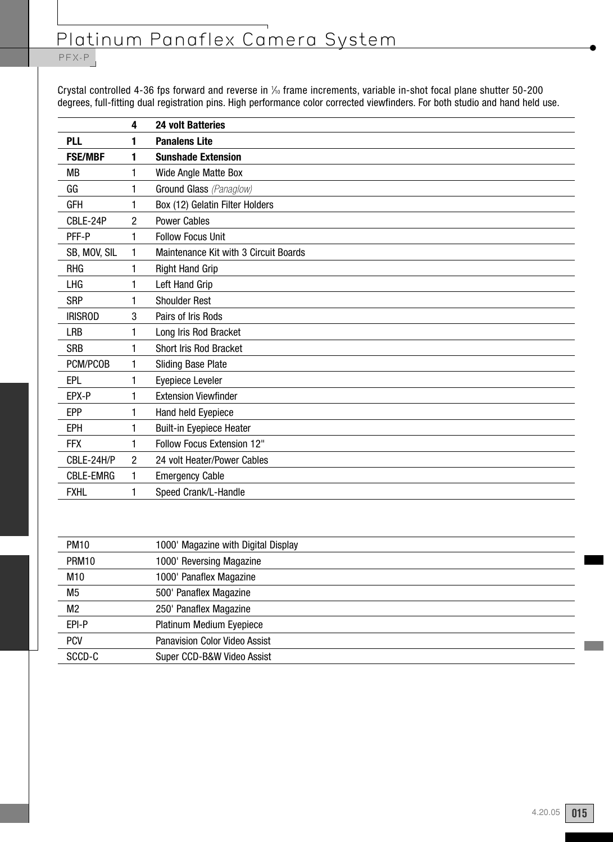## PFX-P

Crystal controlled 4-36 fps forward and reverse in  $\%$  frame increments, variable in-shot focal plane shutter 50-200 degrees, full-fitting dual registration pins. High performance color corrected viewfinders. For both studio and hand held use.

|                  | 4              | <b>24 volt Batteries</b>              |
|------------------|----------------|---------------------------------------|
| <b>PLL</b>       | 1              | <b>Panalens Lite</b>                  |
| <b>FSE/MBF</b>   | 1              | <b>Sunshade Extension</b>             |
| МB               | 1              | Wide Angle Matte Box                  |
| GG               | 1              | Ground Glass (Panaglow)               |
| <b>GFH</b>       | 1              | Box (12) Gelatin Filter Holders       |
| CBLE-24P         | 2              | <b>Power Cables</b>                   |
| PFF-P            | 1              | <b>Follow Focus Unit</b>              |
| SB, MOV, SIL     | 1              | Maintenance Kit with 3 Circuit Boards |
| <b>RHG</b>       | 1              | <b>Right Hand Grip</b>                |
| LHG              | 1              | Left Hand Grip                        |
| <b>SRP</b>       | 1              | <b>Shoulder Rest</b>                  |
| <b>IRISROD</b>   | 3              | Pairs of Iris Rods                    |
| <b>LRB</b>       | 1              | Long Iris Rod Bracket                 |
| <b>SRB</b>       |                | Short Iris Rod Bracket                |
| PCM/PCOB         | 1              | <b>Sliding Base Plate</b>             |
| EPL              | 1              | Eyepiece Leveler                      |
| EPX-P            | 1              | <b>Extension Viewfinder</b>           |
| <b>EPP</b>       | 1              | Hand held Eyepiece                    |
| EPH              | 1              | <b>Built-in Eyepiece Heater</b>       |
| <b>FFX</b>       | 1              | Follow Focus Extension 12"            |
| CBLE-24H/P       | $\overline{c}$ | 24 volt Heater/Power Cables           |
| <b>CBLE-EMRG</b> | 1              | <b>Emergency Cable</b>                |
| <b>FXHL</b>      | 1              | Speed Crank/L-Handle                  |

| PM <sub>10</sub> | 1000' Magazine with Digital Display  |
|------------------|--------------------------------------|
| PRM10            | 1000' Reversing Magazine             |
| M10              | 1000' Panaflex Magazine              |
| M <sub>5</sub>   | 500' Panaflex Magazine               |
| M <sub>2</sub>   | 250' Panaflex Magazine               |
| EPI-P            | Platinum Medium Eyepiece             |
| <b>PCV</b>       | <b>Panavision Color Video Assist</b> |
| SCCD-C           | Super CCD-B&W Video Assist           |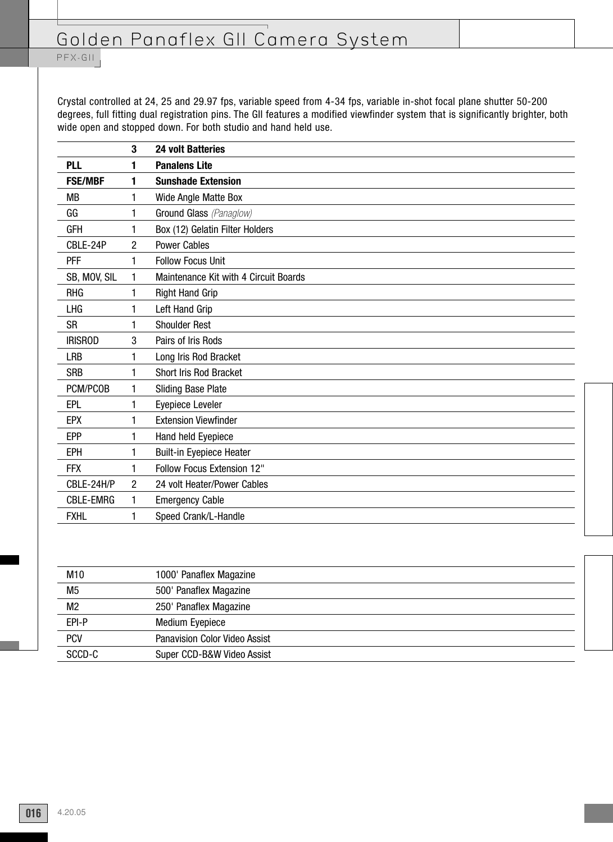PFX-GII

Crystal controlled at 24, 25 and 29.97 fps, variable speed from 4-34 fps, variable in-shot focal plane shutter 50-200 degrees, full fitting dual registration pins. The GII features a modified viewfinder system that is significantly brighter, both wide open and stopped down. For both studio and hand held use.

|                  | 3              | <b>24 volt Batteries</b>              |
|------------------|----------------|---------------------------------------|
| <b>PLL</b>       | 1              | <b>Panalens Lite</b>                  |
| <b>FSE/MBF</b>   | 1              | <b>Sunshade Extension</b>             |
| МB               | 1              | Wide Angle Matte Box                  |
| GG               | 1              | Ground Glass (Panaglow)               |
| <b>GFH</b>       | 1              | Box (12) Gelatin Filter Holders       |
| CBLE-24P         | 2              | <b>Power Cables</b>                   |
| <b>PFF</b>       | 1              | <b>Follow Focus Unit</b>              |
| SB, MOV, SIL     | 1              | Maintenance Kit with 4 Circuit Boards |
| <b>RHG</b>       | 1              | <b>Right Hand Grip</b>                |
| LHG              | 1              | Left Hand Grip                        |
| <b>SR</b>        | 1              | <b>Shoulder Rest</b>                  |
| <b>IRISROD</b>   | 3              | Pairs of Iris Rods                    |
| <b>LRB</b>       | 1              | Long Iris Rod Bracket                 |
| <b>SRB</b>       | 1              | <b>Short Iris Rod Bracket</b>         |
| PCM/PCOB         | 1              | <b>Sliding Base Plate</b>             |
| EPL              | 1              | Eyepiece Leveler                      |
| <b>EPX</b>       | 1              | <b>Extension Viewfinder</b>           |
| <b>EPP</b>       | 1              | Hand held Eyepiece                    |
| <b>EPH</b>       | 1              | <b>Built-in Eyepiece Heater</b>       |
| <b>FFX</b>       | 1              | Follow Focus Extension 12"            |
| CBLE-24H/P       | $\overline{c}$ | 24 volt Heater/Power Cables           |
| <b>CBLE-EMRG</b> | 1              | <b>Emergency Cable</b>                |
| <b>FXHL</b>      | 1              | Speed Crank/L-Handle                  |

| M <sub>10</sub> | 1000' Panaflex Magazine              |
|-----------------|--------------------------------------|
| M <sub>5</sub>  | 500' Panaflex Magazine               |
| M <sub>2</sub>  | 250' Panaflex Magazine               |
| EPI-P           | <b>Medium Eyepiece</b>               |
| <b>PCV</b>      | <b>Panavision Color Video Assist</b> |
| SCCD-C          | Super CCD-B&W Video Assist           |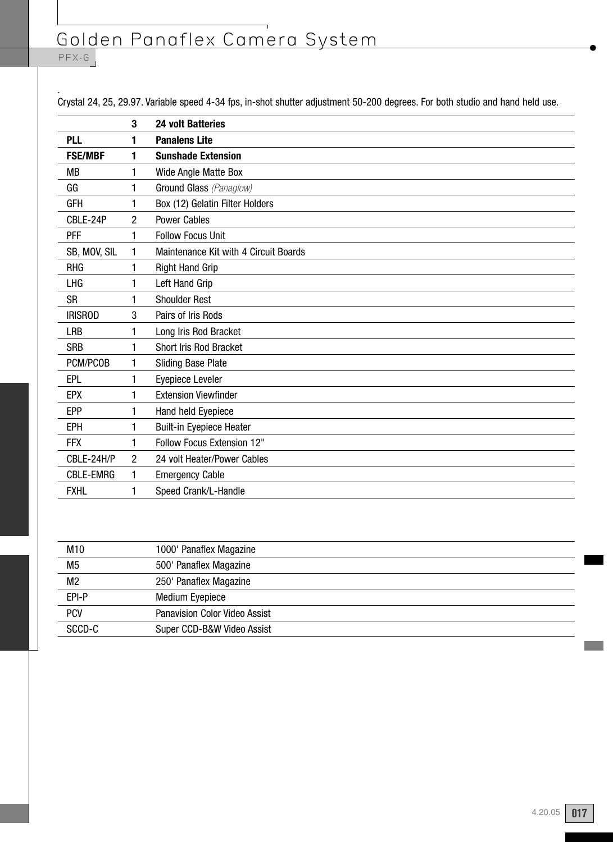#### PFX-G

. Crystal 24, 25, 29.97. Variable speed 4-34 fps, in-shot shutter adjustment 50-200 degrees. For both studio and hand held use.

|                  | 3              | <b>24 volt Batteries</b>              |
|------------------|----------------|---------------------------------------|
| PLL              | 1              | <b>Panalens Lite</b>                  |
| <b>FSE/MBF</b>   | 1              | <b>Sunshade Extension</b>             |
| <b>MB</b>        | 1              | Wide Angle Matte Box                  |
| GG               | 1              | Ground Glass (Panaglow)               |
| <b>GFH</b>       | 1              | Box (12) Gelatin Filter Holders       |
| CBLE-24P         | $\overline{c}$ | <b>Power Cables</b>                   |
| <b>PFF</b>       | 1              | <b>Follow Focus Unit</b>              |
| SB, MOV, SIL     | 1              | Maintenance Kit with 4 Circuit Boards |
| <b>RHG</b>       | 1              | <b>Right Hand Grip</b>                |
| LHG              | 1              | Left Hand Grip                        |
| SR               | 1              | <b>Shoulder Rest</b>                  |
| <b>IRISROD</b>   | 3              | Pairs of Iris Rods                    |
| LRB              | 1              | Long Iris Rod Bracket                 |
| <b>SRB</b>       | 1              | <b>Short Iris Rod Bracket</b>         |
| PCM/PCOB         | 1              | <b>Sliding Base Plate</b>             |
| EPL              | 1              | Eyepiece Leveler                      |
| <b>EPX</b>       | 1              | <b>Extension Viewfinder</b>           |
| <b>EPP</b>       | 1              | Hand held Eyepiece                    |
| EPH              | 1              | <b>Built-in Eyepiece Heater</b>       |
| <b>FFX</b>       | 1              | Follow Focus Extension 12"            |
| CBLE-24H/P       | 2              | 24 volt Heater/Power Cables           |
| <b>CBLE-EMRG</b> | 1              | <b>Emergency Cable</b>                |
| <b>FXHL</b>      | 1              | Speed Crank/L-Handle                  |
|                  |                |                                       |

| M10            | 1000' Panaflex Magazine              |
|----------------|--------------------------------------|
| M <sub>5</sub> | 500' Panaflex Magazine               |
| M <sub>2</sub> | 250' Panaflex Magazine               |
| EPI-P          | Medium Eyepiece                      |
| <b>PCV</b>     | <b>Panavision Color Video Assist</b> |
| SCCD-C         | Super CCD-B&W Video Assist           |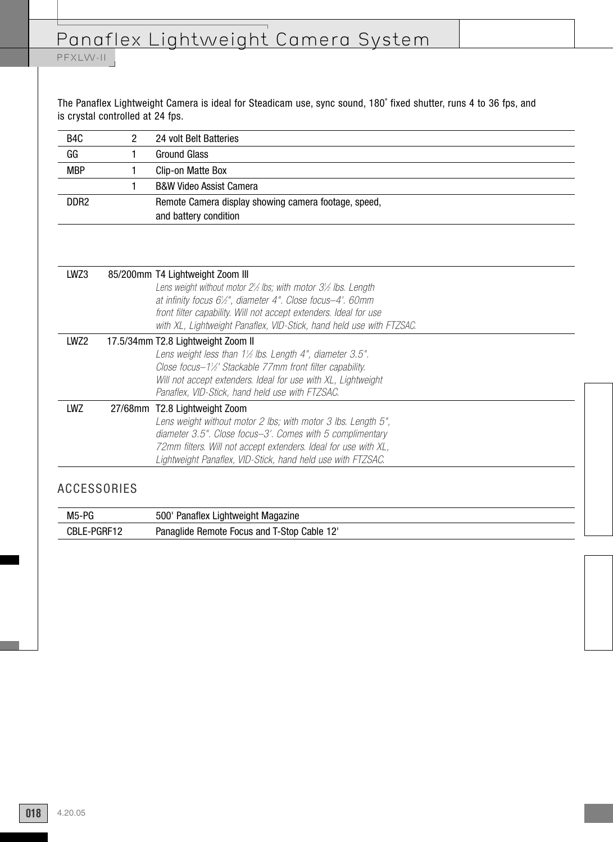# Panaflex Lightweight Camera System

## PFXLW-II

The Panaflex Lightweight Camera is ideal for Steadicam use, sync sound, 180˚ fixed shutter, runs 4 to 36 fps, and is crystal controlled at 24 fps.

| B <sub>4</sub> C | 2 | 24 volt Belt Batteries                                                              |
|------------------|---|-------------------------------------------------------------------------------------|
| GG               |   | <b>Ground Glass</b>                                                                 |
| <b>MBP</b>       |   | Clip-on Matte Box                                                                   |
|                  |   | <b>B&amp;W Video Assist Camera</b>                                                  |
| DDR <sub>2</sub> |   | Remote Camera display showing camera footage, speed,                                |
|                  |   | and battery condition                                                               |
|                  |   |                                                                                     |
|                  |   |                                                                                     |
|                  |   |                                                                                     |
| LWZ3             |   | 85/200mm T4 Lightweight Zoom III                                                    |
|                  |   | Lens weight without motor $2\frac{1}{2}$ lbs; with motor $3\frac{1}{2}$ lbs. Length |
|                  |   | at infinity focus 6½", diameter 4". Close focus-4'. 60mm                            |
|                  |   | front filter capability. Will not accept extenders. Ideal for use                   |
|                  |   | with XL, Lightweight Panaflex, VID-Stick, hand held use with FTZSAC.                |
| LWZ2             |   | 17.5/34mm T2.8 Lightweight Zoom II                                                  |
|                  |   | Lens weight less than 1½ lbs. Length 4", diameter 3.5".                             |
|                  |   | Close focus-1½' Stackable 77mm front filter capability.                             |
|                  |   | Will not accept extenders. Ideal for use with XL, Lightweight                       |
|                  |   | Panaflex, VID-Stick, hand held use with FTZSAC.                                     |
| LWZ              |   | 27/68mm T2.8 Lightweight Zoom                                                       |
|                  |   | Lens weight without motor 2 lbs; with motor 3 lbs. Length 5",                       |
|                  |   | diameter 3.5". Close focus-3'. Comes with 5 complimentary                           |
|                  |   | 72mm filters. Will not accept extenders. Ideal for use with XL,                     |
|                  |   | Lightweight Panaflex, VID-Stick, hand held use with FTZSAC.                         |

| M5-PG            | 500<br>Panatiex<br>Lightweight Magazine                               |  |
|------------------|-----------------------------------------------------------------------|--|
| E-PGRF12<br>∪DLE | $\bigcup$<br>n-Stop ?<br>Cable 12<br>Panaglide<br>Remote<br>Focus and |  |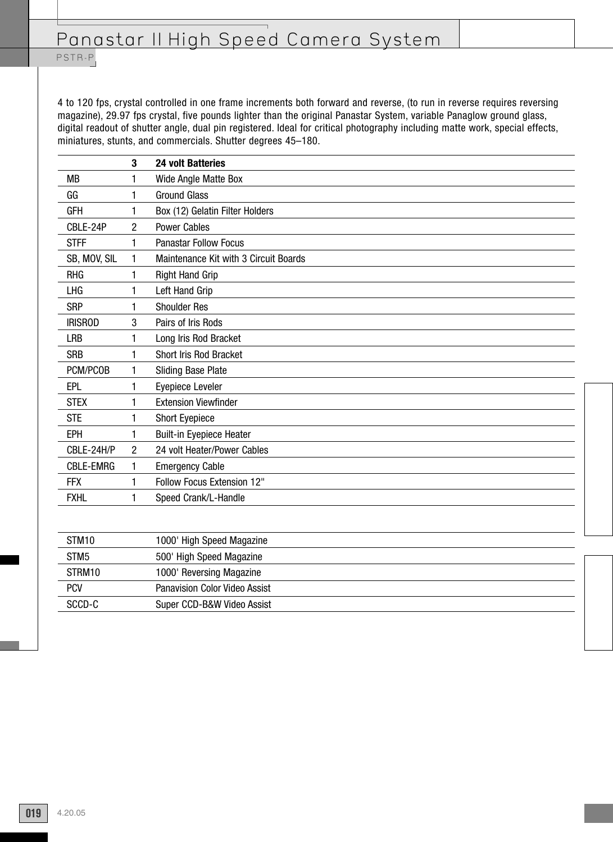PSTR-P

4 to 120 fps, crystal controlled in one frame increments both forward and reverse, (to run in reverse requires reversing magazine), 29.97 fps crystal, five pounds lighter than the original Panastar System, variable Panaglow ground glass, digital readout of shutter angle, dual pin registered. Ideal for critical photography including matte work, special effects, miniatures, stunts, and commercials. Shutter degrees 45–180.

|                  | 3 | <b>24 volt Batteries</b>              |
|------------------|---|---------------------------------------|
| <b>MB</b>        | 1 | Wide Angle Matte Box                  |
| GG               | 1 | <b>Ground Glass</b>                   |
| <b>GFH</b>       | 1 | Box (12) Gelatin Filter Holders       |
| CBLE-24P         | 2 | <b>Power Cables</b>                   |
| <b>STFF</b>      | 1 | <b>Panastar Follow Focus</b>          |
| SB, MOV, SIL     | 1 | Maintenance Kit with 3 Circuit Boards |
| <b>RHG</b>       | 1 | <b>Right Hand Grip</b>                |
| LHG              | 1 | Left Hand Grip                        |
| <b>SRP</b>       | 1 | <b>Shoulder Res</b>                   |
| <b>IRISROD</b>   | 3 | Pairs of Iris Rods                    |
| <b>LRB</b>       | 1 | Long Iris Rod Bracket                 |
| <b>SRB</b>       | 1 | Short Iris Rod Bracket                |
| PCM/PCOB         | 1 | Sliding Base Plate                    |
| EPL              | 1 | <b>Eyepiece Leveler</b>               |
| <b>STEX</b>      | 1 | <b>Extension Viewfinder</b>           |
| <b>STE</b>       | 1 | <b>Short Eyepiece</b>                 |
| <b>EPH</b>       | 1 | <b>Built-in Eyepiece Heater</b>       |
| CBLE-24H/P       | 2 | 24 volt Heater/Power Cables           |
| <b>CBLE-EMRG</b> | 1 | <b>Emergency Cable</b>                |
| FFX              | 1 | Follow Focus Extension 12"            |
| <b>FXHL</b>      | 1 | Speed Crank/L-Handle                  |
|                  |   |                                       |
| STM10            |   | 1000' High Speed Magazine             |
| STM <sub>5</sub> |   | 500' High Speed Magazine              |
| STRM10           |   | 1000' Reversing Magazine              |
| <b>PCV</b>       |   | Panavision Color Video Assist         |
| SCCD-C           |   | Super CCD-B&W Video Assist            |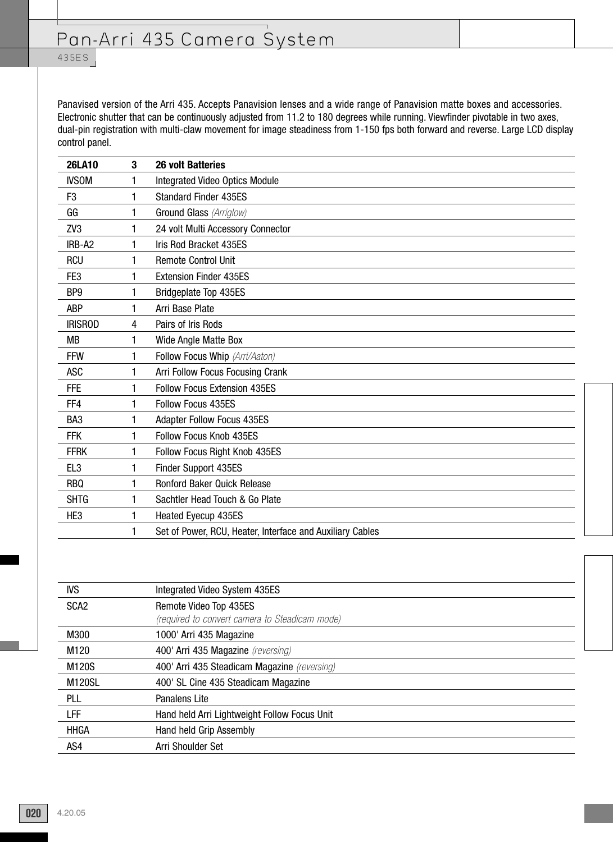## 435E S

Panavised version of the Arri 435. Accepts Panavision lenses and a wide range of Panavision matte boxes and accessories. Electronic shutter that can be continuously adjusted from 11.2 to 180 degrees while running. Viewfinder pivotable in two axes, dual-pin registration with multi-claw movement for image steadiness from 1-150 fps both forward and reverse. Large LCD display control panel.

| <b>26LA10</b>   | 3 | <b>26 volt Batteries</b>                                  |
|-----------------|---|-----------------------------------------------------------|
| <b>IVSOM</b>    | 1 | <b>Integrated Video Optics Module</b>                     |
| F <sub>3</sub>  | 1 | <b>Standard Finder 435ES</b>                              |
| GG              | 1 | Ground Glass (Arriglow)                                   |
| ZV <sub>3</sub> | 1 | 24 volt Multi Accessory Connector                         |
| IRB-A2          | 1 | Iris Rod Bracket 435ES                                    |
| <b>RCU</b>      | 1 | <b>Remote Control Unit</b>                                |
| FE3             | 1 | <b>Extension Finder 435ES</b>                             |
| BP <sub>9</sub> | 1 | Bridgeplate Top 435ES                                     |
| <b>ABP</b>      | 1 | Arri Base Plate                                           |
| <b>IRISROD</b>  | 4 | Pairs of Iris Rods                                        |
| <b>MB</b>       | 1 | Wide Angle Matte Box                                      |
| <b>FFW</b>      | 1 | Follow Focus Whip (Arri/Aaton)                            |
| <b>ASC</b>      | 1 | Arri Follow Focus Focusing Crank                          |
| <b>FFE</b>      | 1 | <b>Follow Focus Extension 435ES</b>                       |
| FF4             | 1 | <b>Follow Focus 435ES</b>                                 |
| BA <sub>3</sub> | 1 | <b>Adapter Follow Focus 435ES</b>                         |
| <b>FFK</b>      | 1 | Follow Focus Knob 435ES                                   |
| <b>FFRK</b>     | 1 | Follow Focus Right Knob 435ES                             |
| EL <sub>3</sub> | 1 | Finder Support 435ES                                      |
| <b>RBQ</b>      | 1 | Ronford Baker Quick Release                               |
| <b>SHTG</b>     | 1 | Sachtler Head Touch & Go Plate                            |
| HE <sub>3</sub> | 1 | Heated Eyecup 435ES                                       |
|                 | 1 | Set of Power, RCU, Heater, Interface and Auxiliary Cables |

| <b>IVS</b>       | Integrated Video System 435ES                                            |
|------------------|--------------------------------------------------------------------------|
| SCA <sub>2</sub> | Remote Video Top 435ES<br>(required to convert camera to Steadicam mode) |
| M300             | 1000' Arri 435 Magazine                                                  |
| M <sub>120</sub> | 400' Arri 435 Magazine (reversing)                                       |
| M120S            | 400' Arri 435 Steadicam Magazine (reversing)                             |
| <b>M120SL</b>    | 400' SL Cine 435 Steadicam Magazine                                      |
| PLL              | Panalens Lite                                                            |
| LFF              | Hand held Arri Lightweight Follow Focus Unit                             |
| <b>HHGA</b>      | <b>Hand held Grip Assembly</b>                                           |
| AS4              | Arri Shoulder Set                                                        |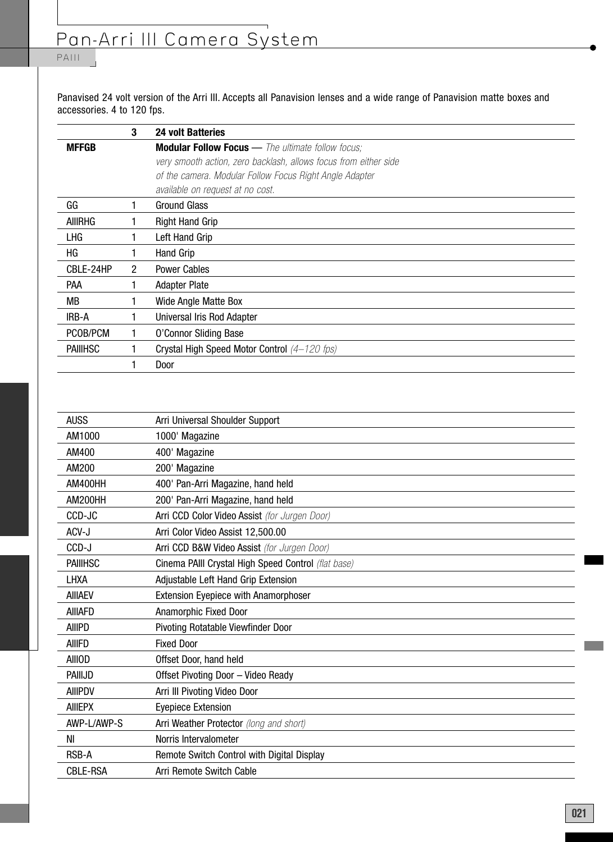# Pan-Arri III Camera System

## PAIII

Panavised 24 volt version of the Arri III. Accepts all Panavision lenses and a wide range of Panavision matte boxes and accessories. 4 to 120 fps.

|                 | 3              | <b>24 volt Batteries</b>                                         |
|-----------------|----------------|------------------------------------------------------------------|
| <b>MFFGB</b>    |                | <b>Modular Follow Focus</b> — The ultimate follow focus;         |
|                 |                | very smooth action, zero backlash, allows focus from either side |
|                 |                | of the camera. Modular Follow Focus Right Angle Adapter          |
|                 |                | available on request at no cost.                                 |
| GG              |                | <b>Ground Glass</b>                                              |
| <b>AIIIRHG</b>  |                | <b>Right Hand Grip</b>                                           |
| LHG             |                | Left Hand Grip                                                   |
| НG              |                | Hand Grip                                                        |
| CBLE-24HP       | $\overline{2}$ | <b>Power Cables</b>                                              |
| PAA             |                | <b>Adapter Plate</b>                                             |
| MВ              |                | Wide Angle Matte Box                                             |
| IRB-A           |                | Universal Iris Rod Adapter                                       |
| PCOB/PCM        |                | <b>O'Connor Sliding Base</b>                                     |
| <b>PAIIIHSC</b> |                | Crystal High Speed Motor Control (4-120 fps)                     |
|                 |                | Door                                                             |

| <b>AUSS</b>     | Arri Universal Shoulder Support                     |
|-----------------|-----------------------------------------------------|
| AM1000          | 1000' Magazine                                      |
| AM400           | 400' Magazine                                       |
| AM200           | 200' Magazine                                       |
| AM400HH         | 400' Pan-Arri Magazine, hand held                   |
| AM200HH         | 200' Pan-Arri Magazine, hand held                   |
| CCD-JC          | Arri CCD Color Video Assist (for Jurgen Door)       |
| ACV-J           | Arri Color Video Assist 12,500.00                   |
| CCD-J           | Arri CCD B&W Video Assist (for Jurgen Door)         |
| <b>PAIIIHSC</b> | Cinema PAIII Crystal High Speed Control (flat base) |
| LHXA            | Adjustable Left Hand Grip Extension                 |
| <b>AIIIAEV</b>  | Extension Eyepiece with Anamorphoser                |
| <b>AIIIAFD</b>  | Anamorphic Fixed Door                               |
| <b>AIIIPD</b>   | Pivoting Rotatable Viewfinder Door                  |
| AIIIFD          | <b>Fixed Door</b>                                   |
| <b>AIIIOD</b>   | Offset Door, hand held                              |
| <b>PAIIIJD</b>  | Offset Pivoting Door - Video Ready                  |
| <b>AIIIPDV</b>  | Arri III Pivoting Video Door                        |
| <b>AIIIEPX</b>  | <b>Eyepiece Extension</b>                           |
| AWP-L/AWP-S     | Arri Weather Protector (long and short)             |
| NI              | Norris Intervalometer                               |
| <b>RSB-A</b>    | Remote Switch Control with Digital Display          |
| <b>CBLE-RSA</b> | Arri Remote Switch Cable                            |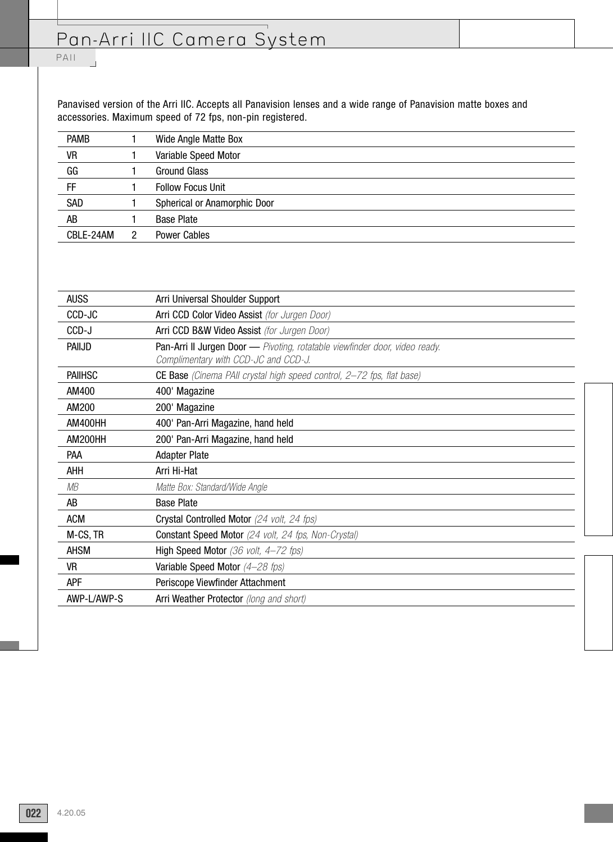## PAII

 $\overline{\phantom{a}}$ 

Panavised version of the Arri IIC. Accepts all Panavision lenses and a wide range of Panavision matte boxes and accessories. Maximum speed of 72 fps, non-pin registered.

| <b>PAMB</b> | Wide Angle Matte Box         |
|-------------|------------------------------|
| VR          | Variable Speed Motor         |
| GG          | <b>Ground Glass</b>          |
| FF          | <b>Follow Focus Unit</b>     |
| SAD         | Spherical or Anamorphic Door |
| AB          | <b>Base Plate</b>            |
| CBLE-24AM   | <b>Power Cables</b>          |
|             |                              |

| <b>AUSS</b>    | Arri Universal Shoulder Support                                                                                     |
|----------------|---------------------------------------------------------------------------------------------------------------------|
| CCD-JC         | Arri CCD Color Video Assist (for Jurgen Door)                                                                       |
| CCD-J          | Arri CCD B&W Video Assist (for Jurgen Door)                                                                         |
| PAIIJD         | Pan-Arri II Jurgen Door - Pivoting, rotatable viewfinder door, video ready.<br>Complimentary with CCD-JC and CCD-J. |
| <b>PAIIHSC</b> | <b>CE Base</b> (Cinema PAII crystal high speed control, 2–72 fps, flat base)                                        |
| AM400          | 400' Magazine                                                                                                       |
| AM200          | 200' Magazine                                                                                                       |
| AM400HH        | 400' Pan-Arri Magazine, hand held                                                                                   |
| AM200HH        | 200' Pan-Arri Magazine, hand held                                                                                   |
| <b>PAA</b>     | <b>Adapter Plate</b>                                                                                                |
| AHH            | Arri Hi-Hat                                                                                                         |
| МB             | Matte Box: Standard/Wide Angle                                                                                      |
| AB             | <b>Base Plate</b>                                                                                                   |
| <b>ACM</b>     | Crystal Controlled Motor (24 volt, 24 fps)                                                                          |
| M-CS, TR       | <b>Constant Speed Motor</b> (24 volt, 24 fps, Non-Crystal)                                                          |
| <b>AHSM</b>    | <b>High Speed Motor</b> (36 volt, $4-72$ fps)                                                                       |
| VR             | Variable Speed Motor (4-28 fps)                                                                                     |
| APF            | Periscope Viewfinder Attachment                                                                                     |
| AWP-L/AWP-S    | Arri Weather Protector (long and short)                                                                             |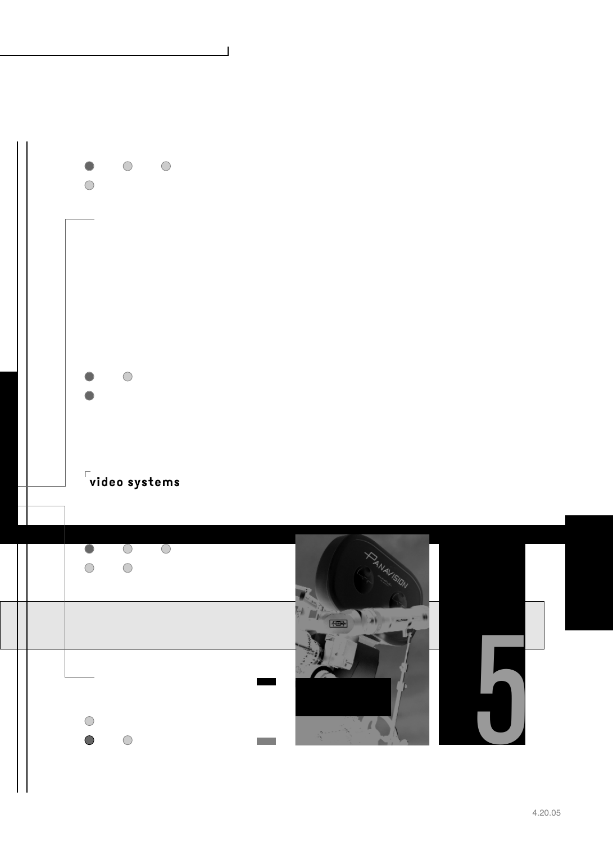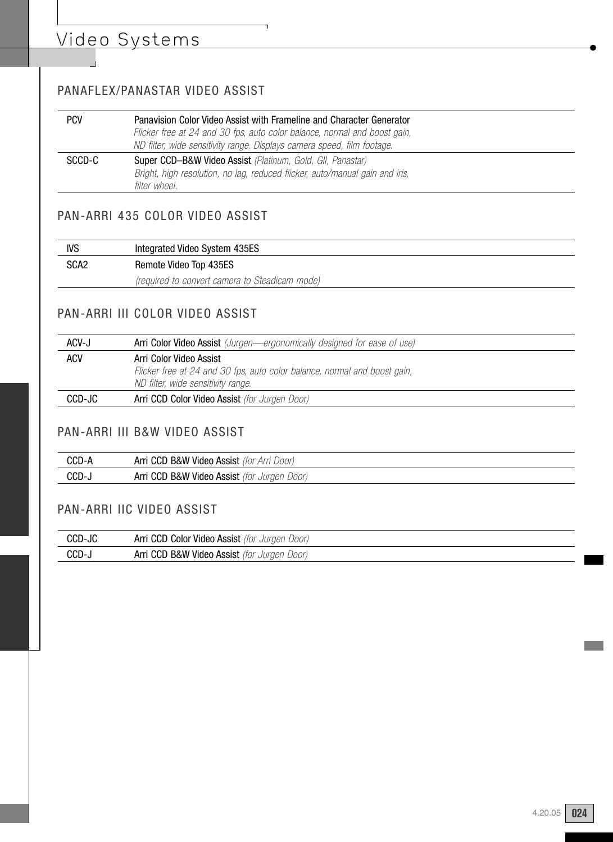# Video Systems

## PANAFLEX/PANASTAR VIDEO ASSIST

| <b>PCV</b> | Panavision Color Video Assist with Frameline and Character Generator<br>Flicker free at 24 and 30 fps, auto color balance, normal and boost gain,<br>ND filter, wide sensitivity range. Displays camera speed, film footage. |
|------------|------------------------------------------------------------------------------------------------------------------------------------------------------------------------------------------------------------------------------|
| SCCD-C     | Super CCD-B&W Video Assist (Platinum, Gold, Gll, Panastar)<br>Bright, high resolution, no lag, reduced flicker, auto/manual gain and iris,<br>filter wheel.                                                                  |

 $\overline{\phantom{a}}$ 

### PAN-ARRI 435 COLOR VIDEO ASSIST

| <b>IVS</b>       | Integrated Video System 435ES                  |
|------------------|------------------------------------------------|
| SCA <sub>2</sub> | Remote Video Top 435ES                         |
|                  | (required to convert camera to Steadicam mode) |

### PAN-ARRI III COLOR VIDEO ASSIST

| ACV-J      | Arri Color Video Assist (Jurgen-ergonomically designed for ease of use)                              |
|------------|------------------------------------------------------------------------------------------------------|
| <b>ACV</b> | Arri Color Video Assist<br>Flicker free at 24 and 30 fps, auto color balance, normal and boost gain, |
|            | ND filter, wide sensitivity range.                                                                   |
| CCD-JC     | Arri CCD Color Video Assist (for Jurgen Door)                                                        |

#### PAN-ARRI III B&W VIDEO ASSIST

| CCD- | Arri CCD B&W Video Assist (for Arri Door)                   |
|------|-------------------------------------------------------------|
| CCD- | Arri CCD B&W Video Assist (for<br><sup>-</sup> Juraen Door) |

### PAN-ARRI IIC VIDEO ASSIST

| CCD-JC | Arri CCD Color Video Assist (for Jurgen Door) |
|--------|-----------------------------------------------|
| CCD-   | Arri CCD B&W Video Assist (for Jurgen Door)   |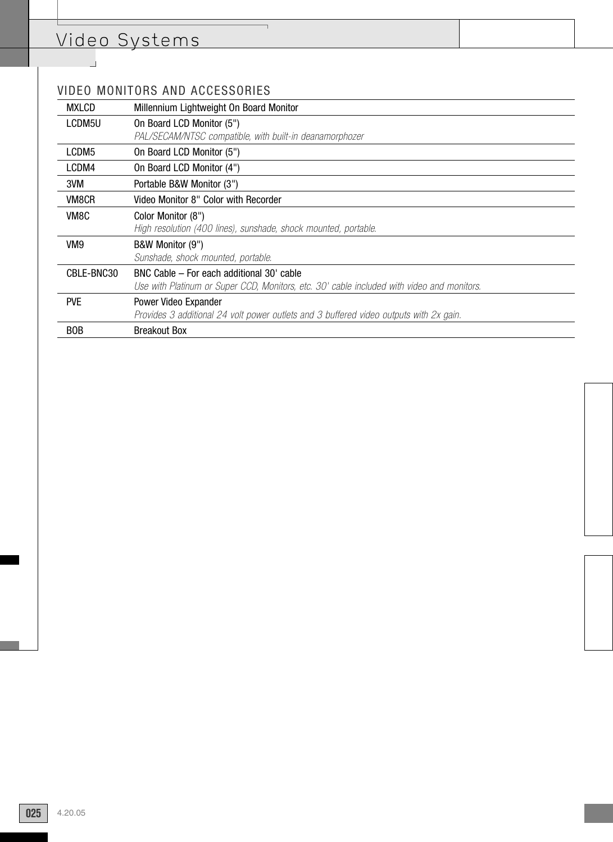## Video Systems

 $\mathbb{R}^2$ 

## VIDEO MONITORS AND ACCESSORIES

| <b>MXLCD</b> | Millennium Lightweight On Board Monitor                                                    |
|--------------|--------------------------------------------------------------------------------------------|
| LCDM5U       | On Board LCD Monitor (5")                                                                  |
|              | PAL/SECAM/NTSC compatible, with built-in deanamorphozer                                    |
| LCDM5        | On Board LCD Monitor (5")                                                                  |
| LCDM4        | On Board LCD Monitor (4")                                                                  |
| 3VM          | Portable B&W Monitor (3")                                                                  |
| VM8CR        | Video Monitor 8" Color with Recorder                                                       |
| VM8C         | Color Monitor (8")                                                                         |
|              | High resolution (400 lines), sunshade, shock mounted, portable.                            |
| VM9          | B&W Monitor (9")                                                                           |
|              | Sunshade, shock mounted, portable.                                                         |
| CBLE-BNC30   | BNC Cable – For each additional 30' cable                                                  |
|              | Use with Platinum or Super CCD, Monitors, etc. 30' cable included with video and monitors. |
| <b>PVE</b>   | Power Video Expander                                                                       |
|              | Provides 3 additional 24 volt power outlets and 3 buffered video outputs with 2x gain.     |
| <b>BOB</b>   | <b>Breakout Box</b>                                                                        |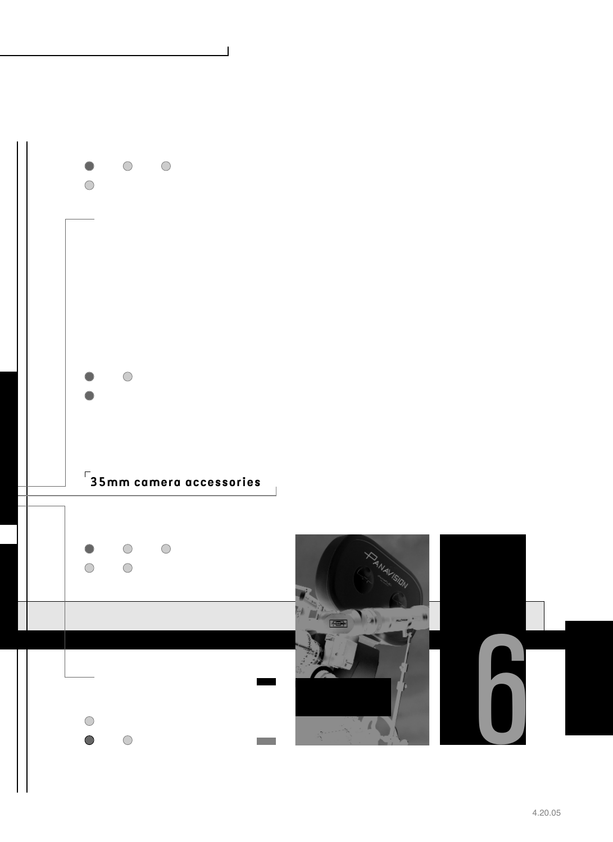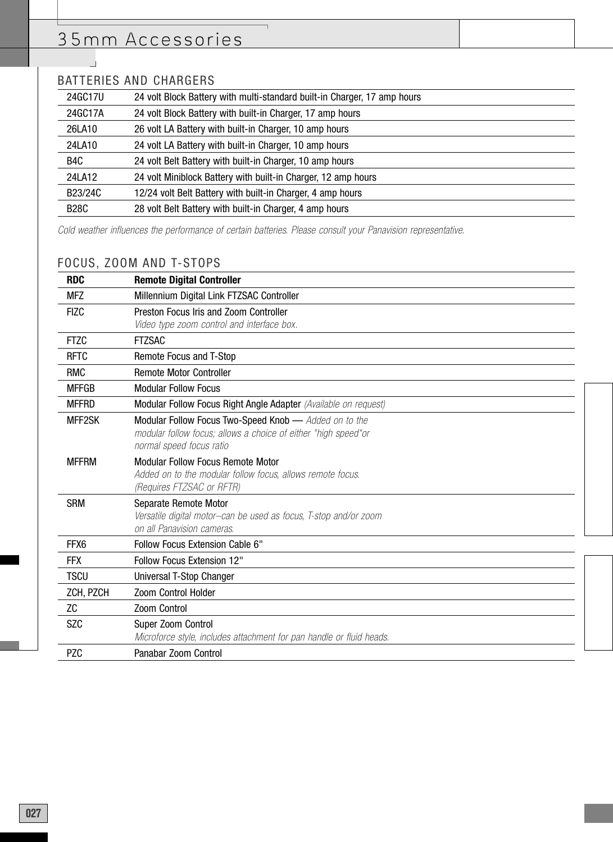## BATTERIES AND CHARGERS

 $\Box$ 

| 24GC17U     | 24 volt Block Battery with multi-standard built-in Charger, 17 amp hours |
|-------------|--------------------------------------------------------------------------|
| 24GC17A     | 24 volt Block Battery with built-in Charger, 17 amp hours                |
| 26LA10      | 26 volt LA Battery with built-in Charger, 10 amp hours                   |
| 24LA10      | 24 volt LA Battery with built-in Charger, 10 amp hours                   |
| B4C         | 24 volt Belt Battery with built-in Charger, 10 amp hours                 |
| 24LA12      | 24 volt Miniblock Battery with built-in Charger, 12 amp hours            |
| B23/24C     | 12/24 volt Belt Battery with built-in Charger, 4 amp hours               |
| <b>B28C</b> | 28 volt Belt Battery with built-in Charger, 4 amp hours                  |
|             |                                                                          |

Cold weather influences the performance of certain batteries. Please consult your Panavision representative.

 $\overline{\phantom{0}}$ 

### FOCUS, ZOOM AND T-STOPS

| <b>RDC</b>   | <b>Remote Digital Controller</b>                                                        |
|--------------|-----------------------------------------------------------------------------------------|
| <b>MFZ</b>   | Millennium Digital Link FTZSAC Controller                                               |
| <b>FIZC</b>  | Preston Focus Iris and Zoom Controller                                                  |
|              | Video type zoom control and interface box.                                              |
| <b>FTZC</b>  | <b>FTZSAC</b>                                                                           |
| <b>RFTC</b>  | Remote Focus and T-Stop                                                                 |
| <b>RMC</b>   | <b>Remote Motor Controller</b>                                                          |
| <b>MFFGB</b> | <b>Modular Follow Focus</b>                                                             |
| <b>MFFRD</b> | Modular Follow Focus Right Angle Adapter (Available on request)                         |
| MFF2SK       | Modular Follow Focus Two-Speed Knob - Added on to the                                   |
|              | modular follow focus; allows a choice of either "high speed" or                         |
|              | normal speed focus ratio                                                                |
| <b>MFFRM</b> | <b>Modular Follow Focus Remote Motor</b>                                                |
|              | Added on to the modular follow focus, allows remote focus.<br>(Requires FTZSAC or RFTR) |
| <b>SRM</b>   | Separate Remote Motor                                                                   |
|              | Versatile digital motor-can be used as focus, T-stop and/or zoom                        |
|              | on all Panavision cameras.                                                              |
| FFX6         | <b>Follow Focus Extension Cable 6"</b>                                                  |
| <b>FFX</b>   | <b>Follow Focus Extension 12"</b>                                                       |
| <b>TSCU</b>  | Universal T-Stop Changer                                                                |
| ZCH, PZCH    | <b>Zoom Control Holder</b>                                                              |
| ZC           | Zoom Control                                                                            |
| <b>SZC</b>   | Super Zoom Control                                                                      |
|              | Microforce style, includes attachment for pan handle or fluid heads.                    |
| <b>PZC</b>   | Panabar Zoom Control                                                                    |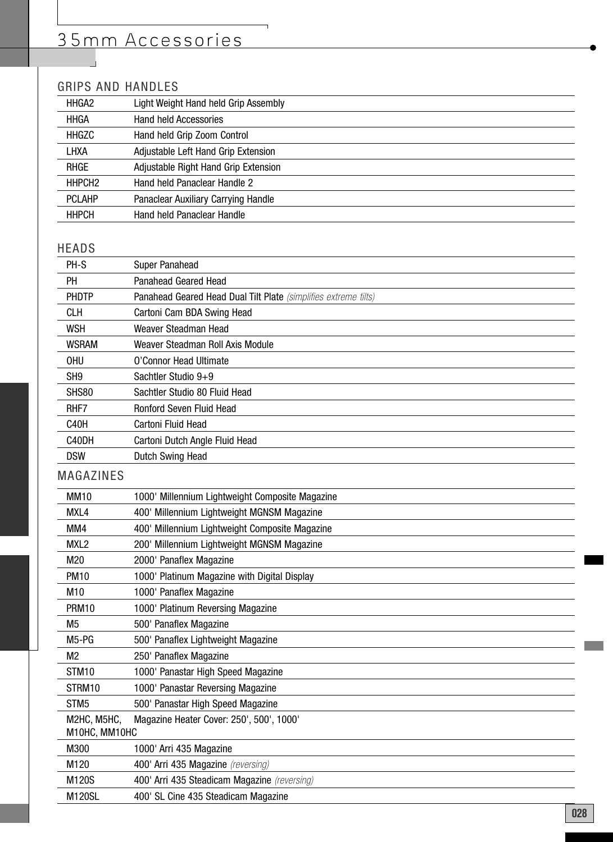## GRIPS AND HANDLES

| HHGA2              | Light Weight Hand held Grip Assembly |
|--------------------|--------------------------------------|
| <b>HHGA</b>        | <b>Hand held Accessories</b>         |
| HHGZC              | Hand held Grip Zoom Control          |
| LHXA               | Adjustable Left Hand Grip Extension  |
| RHGE               | Adjustable Right Hand Grip Extension |
| HHPCH <sub>2</sub> | Hand held Panaclear Handle 2         |
| <b>PCLAHP</b>      | Panaclear Auxiliary Carrying Handle  |
| HHPCH              | Hand held Panaclear Handle           |

### HEADS

| PH-S                                                                     | <b>Super Panahead</b>                                           |
|--------------------------------------------------------------------------|-----------------------------------------------------------------|
| PН                                                                       | Panahead Geared Head                                            |
| <b>PHDTP</b>                                                             | Panahead Geared Head Dual Tilt Plate (simplifies extreme tilts) |
| <b>CLH</b>                                                               | Cartoni Cam BDA Swing Head                                      |
| <b>WSH</b>                                                               | Weaver Steadman Head                                            |
| <b>WSRAM</b>                                                             | Weaver Steadman Roll Axis Module                                |
| <b>OHU</b>                                                               | O'Connor Head Ultimate                                          |
| SH <sub>9</sub>                                                          | Sachtler Studio 9+9                                             |
| SHS80                                                                    | Sachtler Studio 80 Fluid Head                                   |
| RHF7                                                                     | Ronford Seven Fluid Head                                        |
| C40H                                                                     | Cartoni Fluid Head                                              |
| C40DH                                                                    | Cartoni Dutch Angle Fluid Head                                  |
| <b>DSW</b>                                                               | Dutch Swing Head                                                |
| <b>MAGAZINES</b>                                                         |                                                                 |
| <b>MM10</b>                                                              | 1000' Millennium Lightweight Composite Magazine                 |
| MXL4                                                                     | 400' Millennium Lightweight MGNSM Magazine                      |
| MM4                                                                      | 400' Millennium Lightweight Composite Magazine                  |
| MXL <sub>2</sub>                                                         | 200' Millennium Lightweight MGNSM Magazine                      |
| M20                                                                      | 2000' Panaflex Magazine                                         |
| <b>PM10</b>                                                              | 1000' Platinum Magazine with Digital Display                    |
| M10                                                                      | 1000' Panaflex Magazine                                         |
| <b>PRM10</b>                                                             | 1000' Platinum Reversing Magazine                               |
| M <sub>5</sub>                                                           | 500' Panaflex Magazine                                          |
| M5-PG                                                                    | 500' Panaflex Lightweight Magazine                              |
| M <sub>2</sub>                                                           | 250' Panaflex Magazine                                          |
| STM10                                                                    | 1000' Panastar High Speed Magazine                              |
| STRM10                                                                   | 1000' Panastar Reversing Magazine                               |
| STM <sub>5</sub>                                                         | 500' Panastar High Speed Magazine                               |
| M2HC, M5HC,<br>Magazine Heater Cover: 250', 500', 1000'<br>M10HC, MM10HC |                                                                 |
| M300                                                                     | 1000' Arri 435 Magazine                                         |
| M <sub>120</sub>                                                         | 400' Arri 435 Magazine (reversing)                              |
| M120S                                                                    | 400' Arri 435 Steadicam Magazine (reversing)                    |
| M120SL                                                                   | 400' SL Cine 435 Steadicam Magazine                             |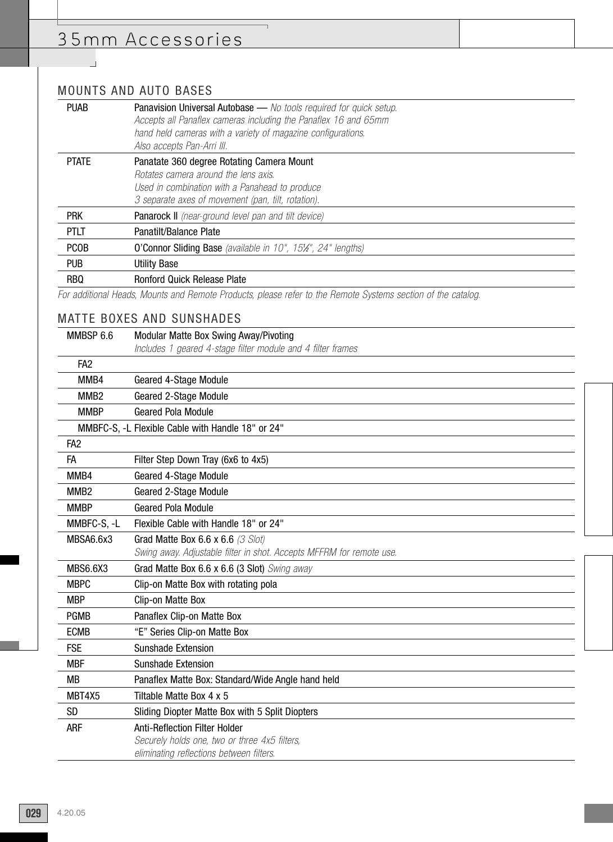## MOUNTS AND AUTO BASES

 $\overline{\phantom{a}}$ 

| <b>PUAB</b>  | <b>Panavision Universal Autobase</b> — No tools required for quick setup.<br>Accepts all Panaflex cameras including the Panaflex 16 and 65mm<br>hand held cameras with a variety of magazine configurations.<br>Also accepts Pan-Arri III. |
|--------------|--------------------------------------------------------------------------------------------------------------------------------------------------------------------------------------------------------------------------------------------|
| <b>PTATE</b> | Panatate 360 degree Rotating Camera Mount<br>Rotates camera around the lens axis.<br>Used in combination with a Panahead to produce<br>3 separate axes of movement (pan, tilt, rotation).                                                  |
| <b>PRK</b>   | <b>Panarock II</b> (near-ground level pan and tilt device)                                                                                                                                                                                 |
| <b>PTLT</b>  | Panatilt/Balance Plate                                                                                                                                                                                                                     |
| <b>PCOB</b>  | <b>O'Connor Sliding Base</b> (available in 10", 15%", 24" lengths)                                                                                                                                                                         |
| <b>PUB</b>   | <b>Utility Base</b>                                                                                                                                                                                                                        |
| <b>RBQ</b>   | <b>Ronford Quick Release Plate</b>                                                                                                                                                                                                         |
|              |                                                                                                                                                                                                                                            |

For additional Heads, Mounts and Remote Products, please refer to the Remote Systems section of the catalog.

 $\overline{\phantom{0}}$ 

### MATTE BOXES AND SUNSHADES

| MMBSP 6.6        | Modular Matte Box Swing Away/Pivoting                                |  |
|------------------|----------------------------------------------------------------------|--|
|                  | Includes 1 geared 4-stage filter module and 4 filter frames          |  |
| FA <sub>2</sub>  |                                                                      |  |
| MMB4             | Geared 4-Stage Module                                                |  |
| MMB <sub>2</sub> | Geared 2-Stage Module                                                |  |
| <b>MMBP</b>      | <b>Geared Pola Module</b>                                            |  |
|                  | MMBFC-S, -L Flexible Cable with Handle 18" or 24"                    |  |
| FA <sub>2</sub>  |                                                                      |  |
| FA               | Filter Step Down Tray (6x6 to 4x5)                                   |  |
| MMB4             | <b>Geared 4-Stage Module</b>                                         |  |
| MMB <sub>2</sub> | Geared 2-Stage Module                                                |  |
| <b>MMBP</b>      | <b>Geared Pola Module</b>                                            |  |
| MMBFC-S, -L      | Flexible Cable with Handle 18" or 24"                                |  |
| MBSA6.6x3        | Grad Matte Box 6.6 x 6.6 (3 Slot)                                    |  |
|                  | Swing away. Adjustable filter in shot. Accepts MFFRM for remote use. |  |
| <b>MBS6.6X3</b>  | Grad Matte Box 6.6 x 6.6 (3 Slot) Swing away                         |  |
| <b>MBPC</b>      | Clip-on Matte Box with rotating pola                                 |  |
| <b>MBP</b>       | Clip-on Matte Box                                                    |  |
| <b>PGMB</b>      | Panaflex Clip-on Matte Box                                           |  |
| <b>ECMB</b>      | "E" Series Clip-on Matte Box                                         |  |
| <b>FSE</b>       | Sunshade Extension                                                   |  |
| <b>MBF</b>       | <b>Sunshade Extension</b>                                            |  |
| <b>MB</b>        | Panaflex Matte Box: Standard/Wide Angle hand held                    |  |
| MBT4X5           | Tiltable Matte Box 4 x 5                                             |  |
| <b>SD</b>        | Sliding Diopter Matte Box with 5 Split Diopters                      |  |
| ARF              | <b>Anti-Reflection Filter Holder</b>                                 |  |
|                  | Securely holds one, two or three 4x5 filters,                        |  |
|                  | eliminating reflections between filters.                             |  |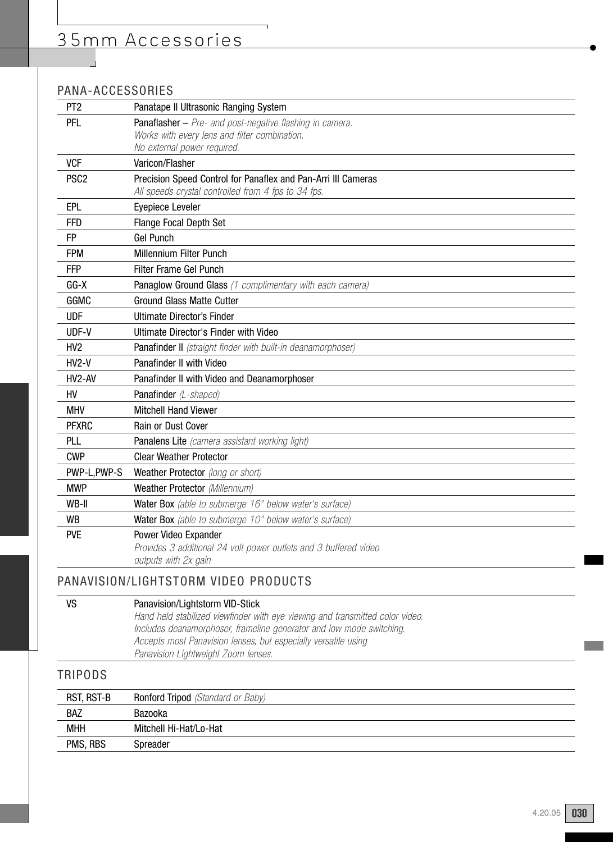## PANA-ACCESSORIES

| PT <sub>2</sub>  | Panatape II Ultrasonic Ranging System                                        |
|------------------|------------------------------------------------------------------------------|
| <b>PFL</b>       | Panaflasher - Pre- and post-negative flashing in camera.                     |
|                  | Works with every lens and filter combination.<br>No external power required. |
| <b>VCF</b>       | Varicon/Flasher                                                              |
| PSC <sub>2</sub> | Precision Speed Control for Panaflex and Pan-Arri III Cameras                |
|                  | All speeds crystal controlled from 4 fps to 34 fps.                          |
| EPL              | Eyepiece Leveler                                                             |
| <b>FFD</b>       | <b>Flange Focal Depth Set</b>                                                |
| <b>FP</b>        | <b>Gel Punch</b>                                                             |
| <b>FPM</b>       | Millennium Filter Punch                                                      |
| <b>FFP</b>       | Filter Frame Gel Punch                                                       |
| $GG-X$           | Panaglow Ground Glass (1 complimentary with each camera)                     |
| GGMC             | <b>Ground Glass Matte Cutter</b>                                             |
| <b>UDF</b>       | Ultimate Director's Finder                                                   |
| UDF-V            | Ultimate Director's Finder with Video                                        |
| HV <sub>2</sub>  | Panafinder II (straight finder with built-in deanamorphoser)                 |
| $HV2-V$          | <b>Panafinder II with Video</b>                                              |
| HV2-AV           | Panafinder II with Video and Deanamorphoser                                  |
| HV               | Panafinder (L-shaped)                                                        |
| <b>MHV</b>       | <b>Mitchell Hand Viewer</b>                                                  |
| <b>PFXRC</b>     | Rain or Dust Cover                                                           |
| PLL              | Panalens Lite (camera assistant working light)                               |
| <b>CWP</b>       | <b>Clear Weather Protector</b>                                               |
| PWP-L, PWP-S     | Weather Protector (long or short)                                            |
| <b>MWP</b>       | Weather Protector (Millennium)                                               |
| WB-II            | Water Box (able to submerge 16" below water's surface)                       |
| <b>WB</b>        | Water Box (able to submerge 10" below water's surface)                       |
| <b>PVE</b>       | Power Video Expander                                                         |
|                  | outputs with 2x gain                                                         |
|                  | Provides 3 additional 24 volt power outlets and 3 buffered video             |

## PANAVISION/LIGHTSTORM VIDEO PRODUCTS

#### VS Panavision/Lightstorm VID-Stick

Hand held stabilized viewfinder with eye viewing and transmitted color video. Includes deanamorphoser, frameline generator and low mode switching. Accepts most Panavision lenses, but especially versatile using Panavision Lightweight Zoom lenses.

## TRIPODS

| RST, RST-B | <b>Ronford Tripod</b> (Standard or Baby) |
|------------|------------------------------------------|
| <b>BAZ</b> | Bazooka                                  |
| <b>MHH</b> | Mitchell Hi-Hat/Lo-Hat                   |
| PMS, RBS   | Spreader                                 |
|            |                                          |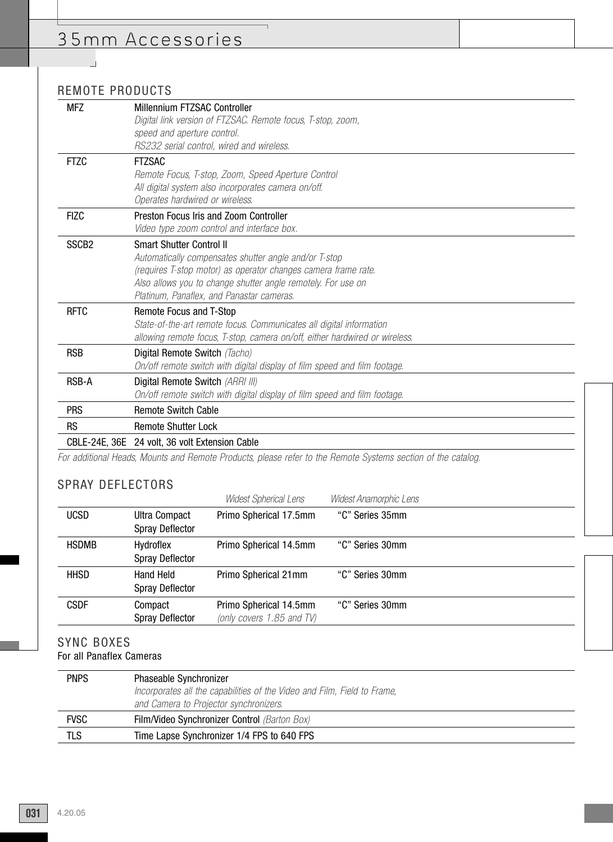## REMOTE PRODUCTS

 $\overline{\phantom{a}}$ 

| <b>MFZ</b>        | Millennium FTZSAC Controller                                                                                 |
|-------------------|--------------------------------------------------------------------------------------------------------------|
|                   |                                                                                                              |
|                   | Digital link version of FTZSAC. Remote focus, T-stop, zoom,                                                  |
|                   | speed and aperture control.                                                                                  |
|                   | RS232 serial control, wired and wireless.                                                                    |
| <b>FTZC</b>       | <b>FTZSAC</b>                                                                                                |
|                   | Remote Focus, T-stop, Zoom, Speed Aperture Control                                                           |
|                   | All digital system also incorporates camera on/off.                                                          |
|                   | Operates hardwired or wireless.                                                                              |
| <b>FIZC</b>       | Preston Focus Iris and Zoom Controller                                                                       |
|                   | Video type zoom control and interface box.                                                                   |
| SSCB <sub>2</sub> | <b>Smart Shutter Control II</b>                                                                              |
|                   | Automatically compensates shutter angle and/or T-stop                                                        |
|                   | (requires T-stop motor) as operator changes camera frame rate.                                               |
|                   | Also allows you to change shutter angle remotely. For use on                                                 |
|                   | Platinum, Panaflex, and Panastar cameras.                                                                    |
| <b>RFTC</b>       | Remote Focus and T-Stop                                                                                      |
|                   | State-of-the-art remote focus. Communicates all digital information                                          |
|                   | allowing remote focus, T-stop, camera on/off, either hardwired or wireless.                                  |
| <b>RSB</b>        | Digital Remote Switch (Tacho)                                                                                |
|                   | On/off remote switch with digital display of film speed and film footage.                                    |
| <b>RSB-A</b>      | Digital Remote Switch (ARRI III)                                                                             |
|                   | On/off remote switch with digital display of film speed and film footage.                                    |
| <b>PRS</b>        | <b>Remote Switch Cable</b>                                                                                   |
| <b>RS</b>         | <b>Remote Shutter Lock</b>                                                                                   |
|                   | CBLE-24E, 36E 24 volt, 36 volt Extension Cable                                                               |
|                   | For additional Usade, Maunte and Damate Draduate, places rafer to the Damate Custome cootion of the estalery |

For additional Heads, Mounts and Remote Products, please refer to the Remote Systems section of the catalog.

 $\overline{\phantom{0}}$ 

### SPRAY DEFLECTORS

|              |                        | Widest Spherical Lens     | Widest Anamorphic Lens |  |
|--------------|------------------------|---------------------------|------------------------|--|
| <b>UCSD</b>  | <b>Ultra Compact</b>   | Primo Spherical 17.5mm    | "C" Series 35mm        |  |
|              | <b>Spray Deflector</b> |                           |                        |  |
| <b>HSDMB</b> | Hydroflex              | Primo Spherical 14.5mm    | "C" Series 30mm        |  |
|              | <b>Spray Deflector</b> |                           |                        |  |
| <b>HHSD</b>  | Hand Held              | Primo Spherical 21mm      | "C" Series 30mm        |  |
|              | <b>Spray Deflector</b> |                           |                        |  |
| <b>CSDF</b>  | Compact                | Primo Spherical 14.5mm    | "C" Series 30mm        |  |
|              | <b>Spray Deflector</b> | (only covers 1.85 and TV) |                        |  |
|              |                        |                           |                        |  |

## SYNC BOXES

For all Panaflex Cameras

| <b>PNPS</b> | <b>Phaseable Synchronizer</b>                                            |
|-------------|--------------------------------------------------------------------------|
|             | Incorporates all the capabilities of the Video and Film, Field to Frame, |
|             | and Camera to Projector synchronizers.                                   |
| <b>FVSC</b> | Film/Video Synchronizer Control (Barton Box)                             |
| TLS         | Time Lapse Synchronizer 1/4 FPS to 640 FPS                               |
|             |                                                                          |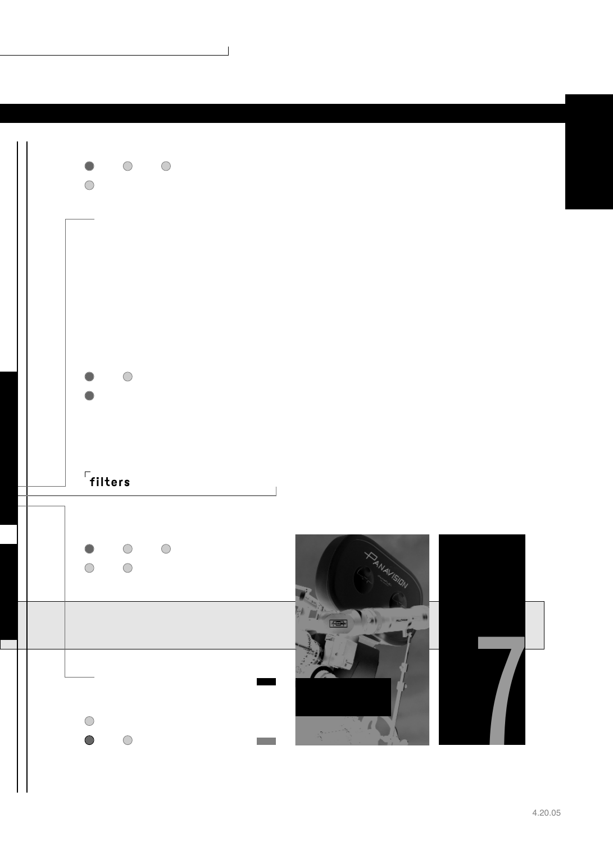

 $\overline{\phantom{a}}$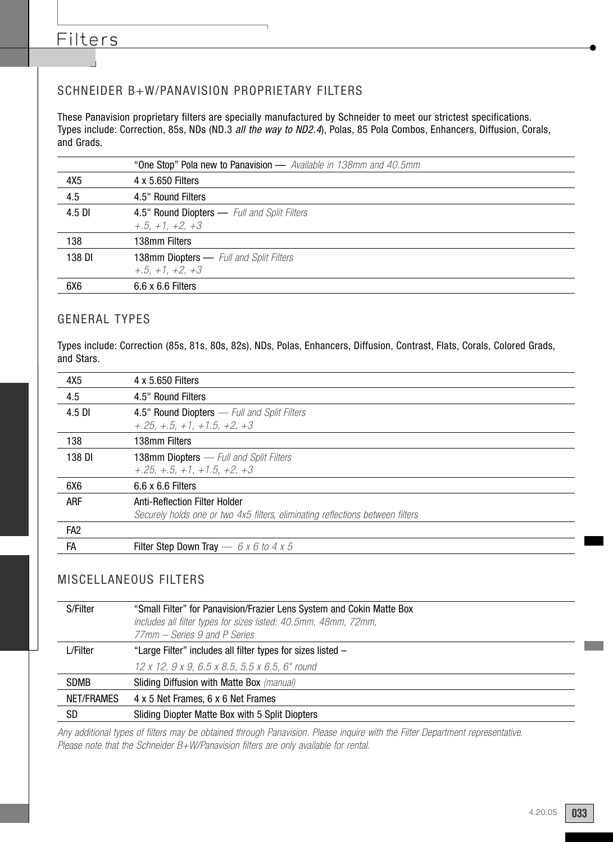## Filters

### SCHNEIDER B+W/PANAVISION PROPRIETARY FILTERS

These Panavision proprietary filters are specially manufactured by Schneider to meet our strictest specifications. Types include: Correction, 85s, NDs (ND.3 all the way to ND2.4), Polas, 85 Pola Combos, Enhancers, Diffusion, Corals, and Grads.

|        | "One Stop" Pola new to Panavision — Available in 138mm and 40.5mm |
|--------|-------------------------------------------------------------------|
| 4X5    | 4 x 5.650 Filters                                                 |
| 4.5    | 4.5" Round Filters                                                |
| 4.5 DI | 4.5" Round Diopters — Full and Split Filters                      |
|        | $+, 5, +1, +2, +3$                                                |
| 138    | 138mm Filters                                                     |
| 138 DI | <b>138mm Diopters</b> - Full and Split Filters                    |
|        | $+, 5, +1, +2, +3$                                                |
| 6X6    | $6.6 \times 6.6$ Filters                                          |

#### GENERAL TYPES

Types include: Correction (85s, 81s, 80s, 82s), NDs, Polas, Enhancers, Diffusion, Contrast, Flats, Corals, Colored Grads, and Stars.

| 4X5             | 4 x 5.650 Filters                                                              |
|-----------------|--------------------------------------------------------------------------------|
| 4.5             | 4.5" Round Filters                                                             |
| 4.5 DI          | 4.5" Round Diopters - Full and Split Filters                                   |
|                 | $+.25. + .5. + 1. + 1.5. + 2. + 3$                                             |
| 138             | 138mm Filters                                                                  |
| 138 DI          | <b>138mm Diopters</b> — Full and Split Filters                                 |
|                 | $+.25, +.5, +1, +1.5, +2, +3$                                                  |
| 6X6             | $6.6 \times 6.6$ Filters                                                       |
| ARF             | Anti-Reflection Filter Holder                                                  |
|                 | Securely holds one or two 4x5 filters, eliminating reflections between filters |
| FA <sub>2</sub> |                                                                                |
| FA              | Filter Step Down Tray $-6x6$ to 4 x 5                                          |

#### MISCELLANEOUS FILTERS

| S/Filter    | "Small Filter" for Panavision/Frazier Lens System and Cokin Matte Box<br>includes all filter types for sizes listed: 40.5mm, 48mm, 72mm,<br>77mm – Series 9 and P Series |
|-------------|--------------------------------------------------------------------------------------------------------------------------------------------------------------------------|
| L/Filter    | "Large Filter" includes all filter types for sizes listed –                                                                                                              |
|             | 12 x 12, 9 x 9, 6.5 x 8.5, 5.5 x 6.5, 6" round                                                                                                                           |
| <b>SDMB</b> | <b>Sliding Diffusion with Matte Box</b> (manual)                                                                                                                         |
| NET/FRAMES  | 4 x 5 Net Frames, 6 x 6 Net Frames                                                                                                                                       |
| SD          | Sliding Diopter Matte Box with 5 Split Diopters                                                                                                                          |

Any additional types of filters may be obtained through Panavision. Please inquire with the Filter Department representative. Please note that the Schneider B+W/Panavision filters are only available for rental.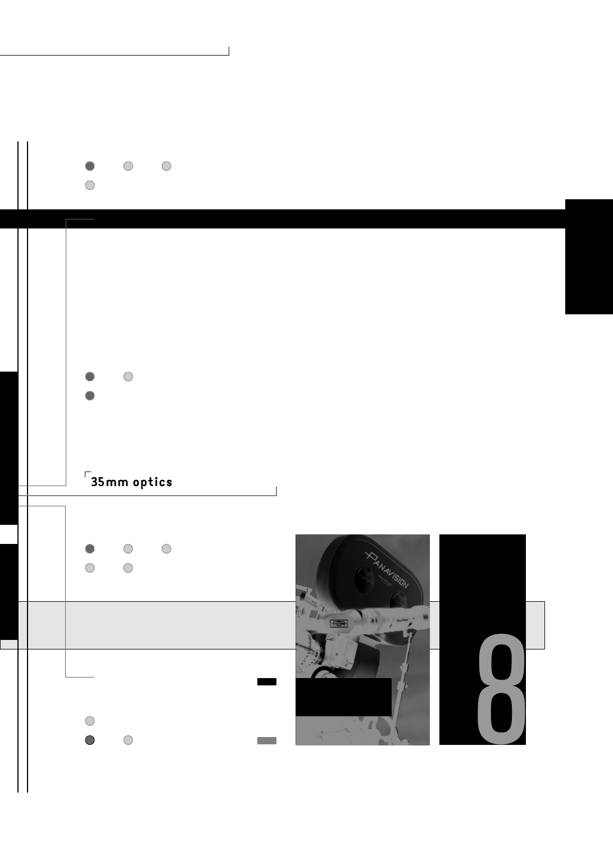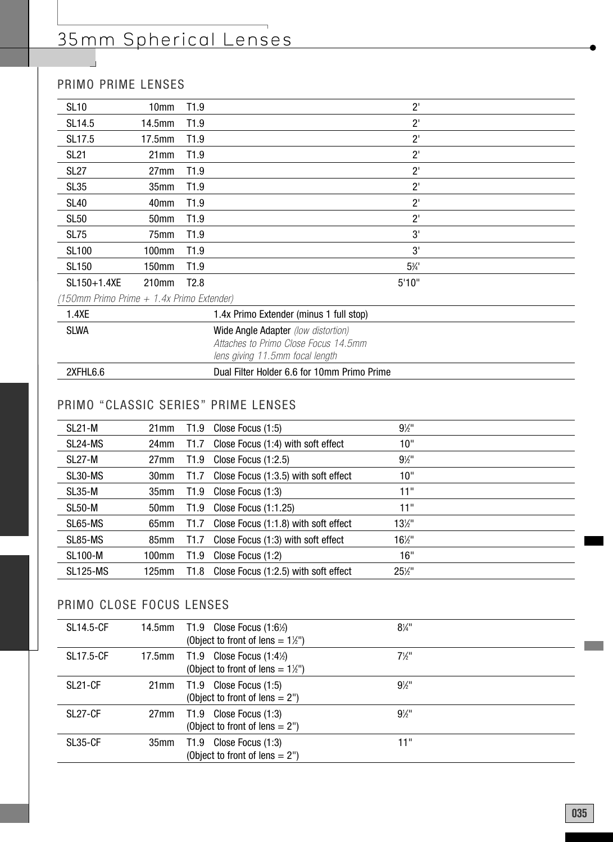## PRIMO PRIME LENSES

| <b>SL10</b>                               | 10mm               | T1.9             |                                         | $2^{\prime}$   |  |
|-------------------------------------------|--------------------|------------------|-----------------------------------------|----------------|--|
| SL14.5                                    | 14.5 <sub>mm</sub> | T <sub>1.9</sub> |                                         | $2^{\prime}$   |  |
| SL17.5                                    | 17.5 <sub>mm</sub> | T <sub>1.9</sub> |                                         | $2^{\prime}$   |  |
| <b>SL21</b>                               | 21mm               | T1.9             |                                         | $2^{\prime}$   |  |
| <b>SL27</b>                               | 27mm               | T <sub>1.9</sub> |                                         | $2^{\prime}$   |  |
| SL35                                      | 35 <sub>mm</sub>   | T <sub>1.9</sub> |                                         | $2^{\prime}$   |  |
| <b>SL40</b>                               | 40mm               | T <sub>1.9</sub> |                                         | $2^{\prime}$   |  |
| <b>SL50</b>                               | 50 <sub>mm</sub>   | T <sub>1.9</sub> |                                         | $2^{\prime}$   |  |
| <b>SL75</b>                               | 75 <sub>mm</sub>   | T <sub>1.9</sub> |                                         | 3'             |  |
| <b>SL100</b>                              | 100mm              | T <sub>1.9</sub> |                                         | 3'             |  |
| <b>SL150</b>                              | 150mm              | T <sub>1.9</sub> |                                         | $5\frac{1}{4}$ |  |
| SL150+1.4XE                               | 210mm              | T <sub>2.8</sub> |                                         | 5'10"          |  |
| (150mm Primo Prime + 1.4x Primo Extender) |                    |                  |                                         |                |  |
| 1.4XE                                     |                    |                  | 1.4x Primo Extender (minus 1 full stop) |                |  |

| 2XFHL6.6    | Dual Filter Holder 6.6 for 10mm Primo Prime |
|-------------|---------------------------------------------|
|             | lens giving 11.5mm focal length             |
|             | Attaches to Primo Close Focus 14.5mm        |
| <b>SLWA</b> | <b>Wide Angle Adapter</b> (low distortion)  |
|             |                                             |

## PRIMO "CLASSIC SERIES" PRIME LENSES

| <b>SL21-M</b>   | 21 <sub>mm</sub> | T1.9             | Close Focus (1:5)                    | $9\frac{1}{2}$ "  |  |
|-----------------|------------------|------------------|--------------------------------------|-------------------|--|
| SL24-MS         | 24mm             | T1.7             | Close Focus (1:4) with soft effect   | 10"               |  |
| SL27-M          | 27 <sub>mm</sub> | T1.9             | Close Focus $(1:2.5)$                | $9\frac{1}{2}$ "  |  |
| SL30-MS         | 30mm             | T1.7             | Close Focus (1:3.5) with soft effect | 10"               |  |
| $SL35-M$        | 35mm             | T1.9             | Close Focus (1:3)                    | 11"               |  |
| SL50-M          | 50 <sub>mm</sub> | T <sub>1.9</sub> | Close Focus $(1:1.25)$               | 11"               |  |
| SL65-MS         | 65mm             | T1.7             | Close Focus (1:1.8) with soft effect | $13\frac{1}{2}$ " |  |
| SL85-MS         | 85mm             | T <sub>1.7</sub> | Close Focus (1:3) with soft effect   | $16\frac{1}{2}$ " |  |
| <b>SL100-M</b>  | 100mm            | T <sub>1.9</sub> | Close Focus (1:2)                    | 16"               |  |
| <b>SL125-MS</b> | 125mm            | T1.8             | Close Focus (1:2.5) with soft effect | 25½"              |  |

## PRIMO CLOSE FOCUS LENSES

| <b>SL14.5-CF</b>     |      | 14.5mm T1.9 Close Focus $(1:6\%)$<br>(Object to front of lens = $1\frac{1}{2}$ ") | $8\frac{1}{4}$ " |
|----------------------|------|-----------------------------------------------------------------------------------|------------------|
| <b>SL17.5-CF</b>     |      | 17.5mm T1.9 Close Focus $(1:4%)$<br>(Object to front of lens $= 1\frac{1}{2}$ )   | $7\frac{1}{2}$ " |
| SL <sub>21</sub> -CF | 21mm | $T1.9$ Close Focus $(1:5)$<br>(Object to front of lens $= 2$ ")                   | $9\%$ "          |
| SL27-CF              |      | 27mm T1.9 Close Focus (1:3)<br>(Object to front of lens $= 2$ ")                  | $9\%$ "          |
| SL35-CF              | 35mm | $T1.9$ Close Focus $(1:3)$<br>(Object to front of lens $= 2$ ")                   | 11"              |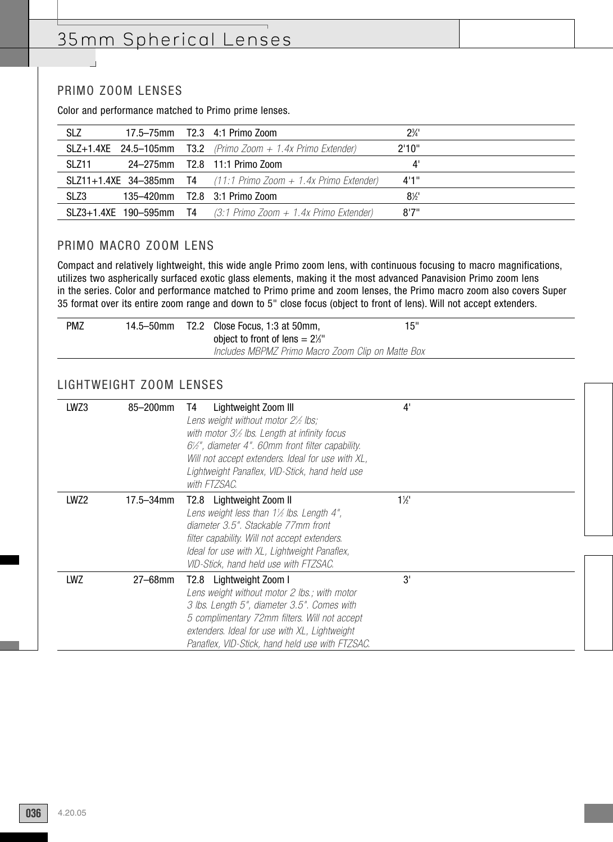#### PRIMO ZOOM LENSES

 $\overline{\phantom{a}}$ 

Color and performance matched to Primo prime lenses.

| <b>SLZ</b> |  | 17.5–75mm T2.3 4:1 Primo Zoom                                          | $2\frac{3}{4}$ |  |
|------------|--|------------------------------------------------------------------------|----------------|--|
|            |  | <b>SLZ+1.4XE</b> 24.5-105mm T3.2 (Primo Zoom $+$ 1.4x Primo Extender)  | 2'10"          |  |
| SL 711     |  | 24-275mm T2.8 11:1 Primo Zoom                                          | 4'             |  |
|            |  | <b>SLZ11+1.4XE 34-385mm T4</b> (11:1 Primo Zoom + 1.4x Primo Extender) | 4'1''          |  |
| SLZ3       |  | 135–420mm T2.8 3:1 Primo Zoom                                          | $8\%$          |  |
|            |  | <b>SLZ3+1.4XE 190-595mm T4</b> (3:1 Primo Zoom + 1.4x Primo Extender)  | 8'7''          |  |

#### PRIMO MACRO ZOOM LENS

Compact and relatively lightweight, this wide angle Primo zoom lens, with continuous focusing to macro magnifications, utilizes two aspherically surfaced exotic glass elements, making it the most advanced Panavision Primo zoom lens in the series. Color and performance matched to Primo prime and zoom lenses, the Primo macro zoom also covers Super 35 format over its entire zoom range and down to 5" close focus (object to front of lens). Will not accept extenders.

| <b>PMZ</b> | 14.5–50mm | T2.2 Close Focus, 1:3 at 50mm,                    | 15" |
|------------|-----------|---------------------------------------------------|-----|
|            |           | object to front of lens $= 2\frac{1}{3}$ "        |     |
|            |           | Includes MBPMZ Primo Macro Zoom Clip on Matte Box |     |

#### LIGHTWEIGHT ZOOM LENSES

| LWZ3 | 85-200mm       | Lightweight Zoom III<br>T4<br>Lens weight without motor $2\frac{1}{2}$ lbs;<br>with motor $3\frac{1}{2}$ lbs. Length at infinity focus<br>$6\frac{1}{2}$ ", diameter 4". 60mm front filter capability.<br>Will not accept extenders. Ideal for use with XL,<br>Lightweight Panaflex, VID-Stick, hand held use<br>with FT7SAC. | 4'             |  |
|------|----------------|-------------------------------------------------------------------------------------------------------------------------------------------------------------------------------------------------------------------------------------------------------------------------------------------------------------------------------|----------------|--|
| LWZ2 | $17.5 - 34$ mm | T2.8 Lightweight Zoom II<br>Lens weight less than $1\frac{1}{2}$ lbs. Length 4",<br>diameter 3.5". Stackable 77mm front<br>filter capability. Will not accept extenders.<br>Ideal for use with XL, Lightweight Panaflex,<br>VID-Stick, hand held use with FTZSAC.                                                             | $1\frac{1}{2}$ |  |
| LWZ  | 27-68mm        | T2.8 Lightweight Zoom I<br>Lens weight without motor 2 lbs.; with motor<br>3 lbs. Length 5", diameter 3.5". Comes with<br>5 complimentary 72mm filters. Will not accept<br>extenders. Ideal for use with XL, Lightweight<br>Panaflex, VID-Stick, hand held use with FTZSAC.                                                   | 3'             |  |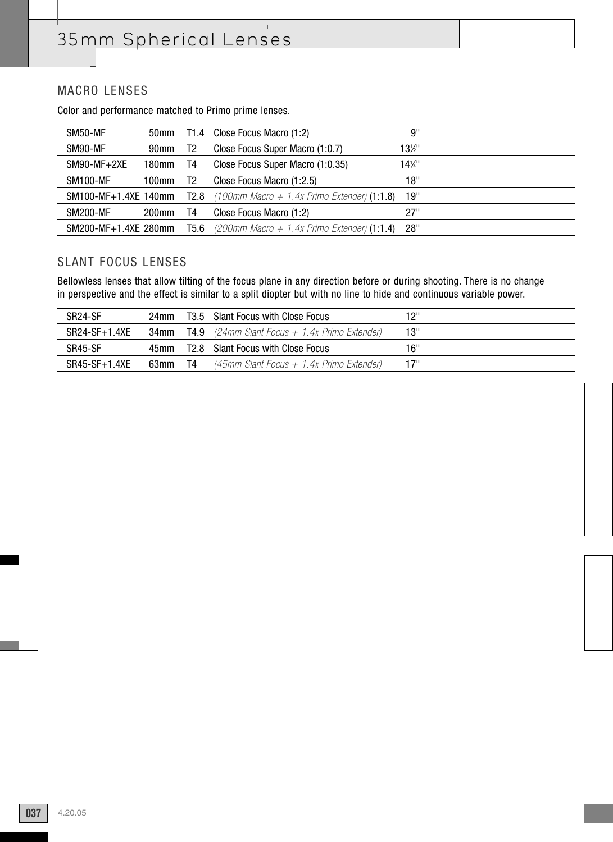#### MACRO LENSES

 $\overline{\phantom{0}}$ 

Color and performance matched to Primo prime lenses.

| SM50-MF              | 50mm             |                | T1.4 Close Focus Macro (1:2)                                                 | 9"              |  |
|----------------------|------------------|----------------|------------------------------------------------------------------------------|-----------------|--|
| SM90-MF              | 90 <sub>mm</sub> | T <sub>2</sub> | Close Focus Super Macro (1:0.7)                                              | 13½"            |  |
| $SM90-MF+2XE$        | 180mm            | T4             | Close Focus Super Macro (1:0.35)                                             | $14\frac{1}{4}$ |  |
| <b>SM100-MF</b>      | 100mm            | T2             | Close Focus Macro (1:2.5)                                                    | 18"             |  |
|                      |                  |                | <b>SM100-MF+1.4XE 140mm T2.8</b> (100mm Macro + 1.4x Primo Extender) (1:1.8) | 19"             |  |
| <b>SM200-MF</b>      | $200$ mm         | T4             | Close Focus Macro (1:2)                                                      | 27"             |  |
| SM200-MF+1.4XE 280mm |                  |                | <b>T5.6</b> (200mm Macro + 1.4x Primo Extender) (1:1.4)                      | 28"             |  |

#### SLANT FOCUS LENSES

Bellowless lenses that allow tilting of the focus plane in any direction before or during shooting. There is no change in perspective and the effect is similar to a split diopter but with no line to hide and continuous variable power.

| SR <sub>24</sub> -SF | 24mm |      | T3.5 Slant Focus with Close Focus                           | 12" |
|----------------------|------|------|-------------------------------------------------------------|-----|
| $SR24-SF+1.4XE$      |      |      | <b>34mm T4.9</b> (24mm Slant Focus $+$ 1.4x Primo Extender) | 13" |
| SR45-SF              | 45mm |      | T2.8 Slant Focus with Close Focus                           | 16" |
| $SR45-SF+1.4XE$      | 63mm | - T4 | (45mm Slant Focus + 1.4x Primo Extender)                    | 17" |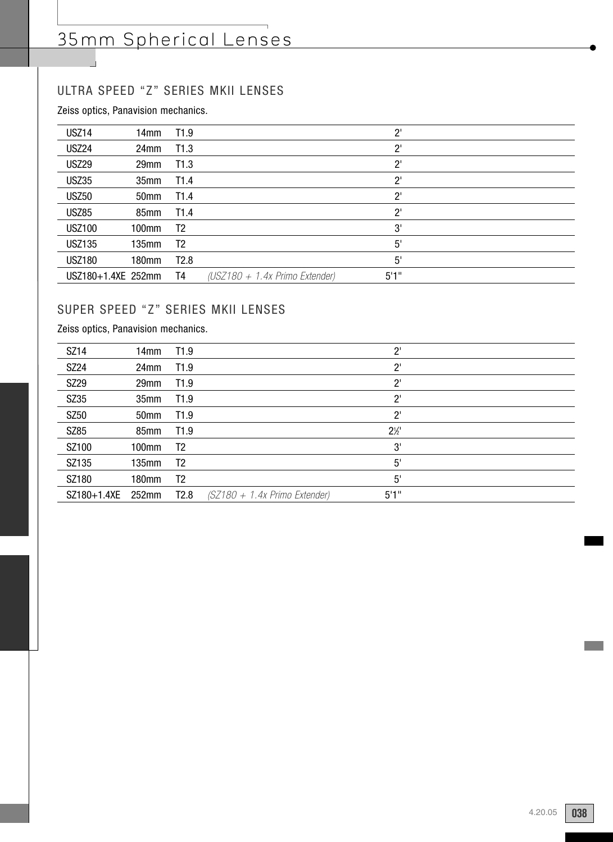## ULTRA SPEED "Z" SERIES MKII LENSES

Zeiss optics, Panavision mechanics.

| USZ14              | 14mm             | T1.9             |                                  | $2^{\prime}$ |  |
|--------------------|------------------|------------------|----------------------------------|--------------|--|
| USZ24              | 24 <sub>mm</sub> | T1.3             |                                  | $2^{\prime}$ |  |
| <b>USZ29</b>       | 29mm             | T1.3             |                                  | $2^{\prime}$ |  |
| <b>USZ35</b>       | 35mm             | T <sub>1.4</sub> |                                  | $2^{\prime}$ |  |
| <b>USZ50</b>       | 50 <sub>mm</sub> | T <sub>1.4</sub> |                                  | $2^{\prime}$ |  |
| <b>USZ85</b>       | 85 <sub>mm</sub> | T <sub>1.4</sub> |                                  | $2^{\prime}$ |  |
| <b>USZ100</b>      | 100mm            | T <sub>2</sub>   |                                  | 3'           |  |
| <b>USZ135</b>      | 135mm            | T <sub>2</sub>   |                                  | 5'           |  |
| <b>USZ180</b>      | 180mm            | T2.8             |                                  | 5'           |  |
| USZ180+1.4XE 252mm |                  | T4               | $(USZ180 + 1.4x$ Primo Extender) | 5'1''        |  |

## SUPER SPEED "Z" SERIES MKII LENSES

Zeiss optics, Panavision mechanics.

| SZ14        | 14 <sub>mm</sub> | T1.9             |                                 | $2^{\prime}$   |  |
|-------------|------------------|------------------|---------------------------------|----------------|--|
| SZ24        | 24 <sub>mm</sub> | T1.9             |                                 | $2^{\prime}$   |  |
| SZ29        | 29 <sub>mm</sub> | T <sub>1.9</sub> |                                 | $2^{\prime}$   |  |
| SZ35        | 35 <sub>mm</sub> | T <sub>1.9</sub> |                                 | $2^{\circ}$    |  |
| SZ50        | 50 <sub>mm</sub> | T1.9             |                                 | $2^{\prime}$   |  |
| SZ85        | 85 <sub>mm</sub> | T1.9             |                                 | $2\frac{1}{2}$ |  |
| SZ100       | 100mm            | T2               |                                 | 3'             |  |
| SZ135       | 135mm            | T <sub>2</sub>   |                                 | 5'             |  |
| SZ180       | 180mm            | T <sub>2</sub>   |                                 | 5'             |  |
| SZ180+1.4XE | $252$ mm         | T2.8             | $(SZ180 + 1.4x$ Primo Extender) | 5'1''          |  |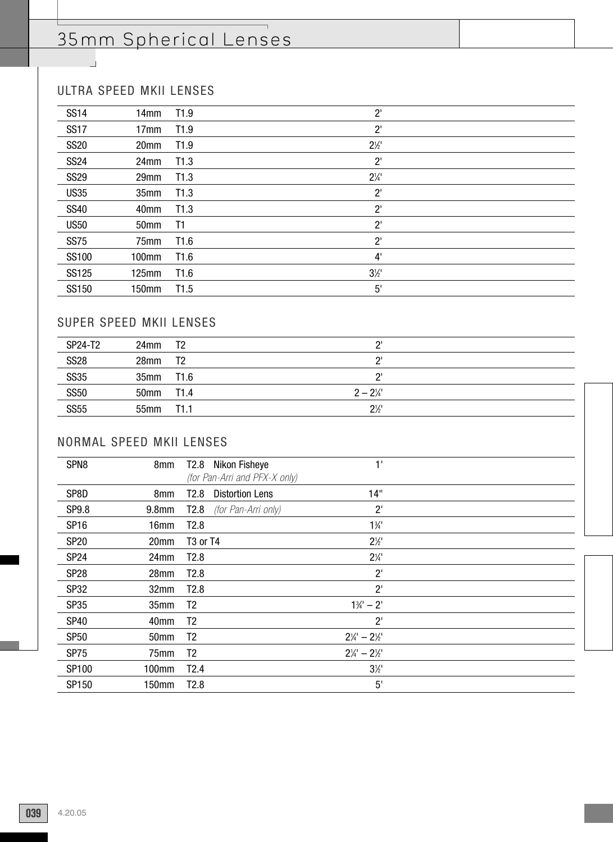$\overline{\phantom{0}}$ 

## ULTRA SPEED MKII LENSES

 $\sim$ 

| <b>SS14</b> | 14 <sub>mm</sub> | T1.9             | $2^{\prime}$   |  |
|-------------|------------------|------------------|----------------|--|
| <b>SS17</b> | 17 <sub>mm</sub> | T <sub>1.9</sub> | $2^{\prime}$   |  |
| <b>SS20</b> | 20mm             | T1.9             | $2\frac{1}{2}$ |  |
| <b>SS24</b> | 24mm             | T1.3             | $2^{\prime}$   |  |
| <b>SS29</b> | 29mm             | T1.3             | $2\frac{1}{4}$ |  |
| <b>US35</b> | 35mm             | T1.3             | $2^{\prime}$   |  |
| <b>SS40</b> | 40 <sub>mm</sub> | T1.3             | $2^{\prime}$   |  |
| <b>US50</b> | 50 <sub>mm</sub> | T1               | $2^{\prime}$   |  |
| <b>SS75</b> | 75mm             | T1.6             | $2^{\prime}$   |  |
| SS100       | 100mm            | T <sub>1.6</sub> | 4'             |  |
| SS125       | 125mm            | T1.6             | $3\frac{1}{2}$ |  |
| SS150       | 150mm            | T1.5             | 5'             |  |
|             |                  |                  |                |  |

### SUPER SPEED MKII LENSES

| SP24-T2     | 24 <sub>mm</sub> | T2      | יפ                 |  |
|-------------|------------------|---------|--------------------|--|
| <b>SS28</b> | 28 <sub>mm</sub> | T2      | יפ                 |  |
| <b>SS35</b> | 35mm T1.6        |         | יפ                 |  |
| <b>SS50</b> | 50mm             | T1.4    | $2 - 2\frac{1}{4}$ |  |
| <b>SS55</b> | 55mm             | $-11.1$ | $2\frac{1}{2}$     |  |

### NORMAL SPEED MKII LENSES

| SPN <sub>8</sub> | 8mm               | T2.8 Nikon Fisheye               | 1'                              |  |
|------------------|-------------------|----------------------------------|---------------------------------|--|
|                  |                   | (for Pan-Arri and PFX-X only)    |                                 |  |
| SP8D             | 8 <sub>mm</sub>   | <b>Distortion Lens</b><br>T2.8   | 14"                             |  |
| SP9.8            | 9.8 <sub>mm</sub> | T2.8<br>(for Pan-Arri only)      | $2^{\prime}$                    |  |
| <b>SP16</b>      | 16mm              | T <sub>2.8</sub>                 | $1\frac{3}{4}$                  |  |
| <b>SP20</b>      | 20mm              | T <sub>3</sub> or T <sub>4</sub> | $2\frac{1}{2}$                  |  |
| <b>SP24</b>      | 24mm              | T2.8                             | $2\frac{1}{4}$                  |  |
| <b>SP28</b>      | 28mm              | T2.8                             | $2^{\prime}$                    |  |
| <b>SP32</b>      | 32mm              | T2.8                             | $2^{\prime}$                    |  |
| <b>SP35</b>      | 35mm              | T <sub>2</sub>                   | $1\frac{3}{4} - 2'$             |  |
| <b>SP40</b>      | 40mm              | T <sub>2</sub>                   | $2^{\prime}$                    |  |
| <b>SP50</b>      | 50mm              | T <sub>2</sub>                   | $2\frac{1}{4}$ - $2\frac{1}{2}$ |  |
| <b>SP75</b>      | 75mm              | T <sub>2</sub>                   | $2\frac{1}{4}$ - $2\frac{1}{2}$ |  |
| SP100            | 100mm             | T2.4                             | $3\frac{1}{2}$                  |  |
| SP150            | 150mm             | T2.8                             | 5'                              |  |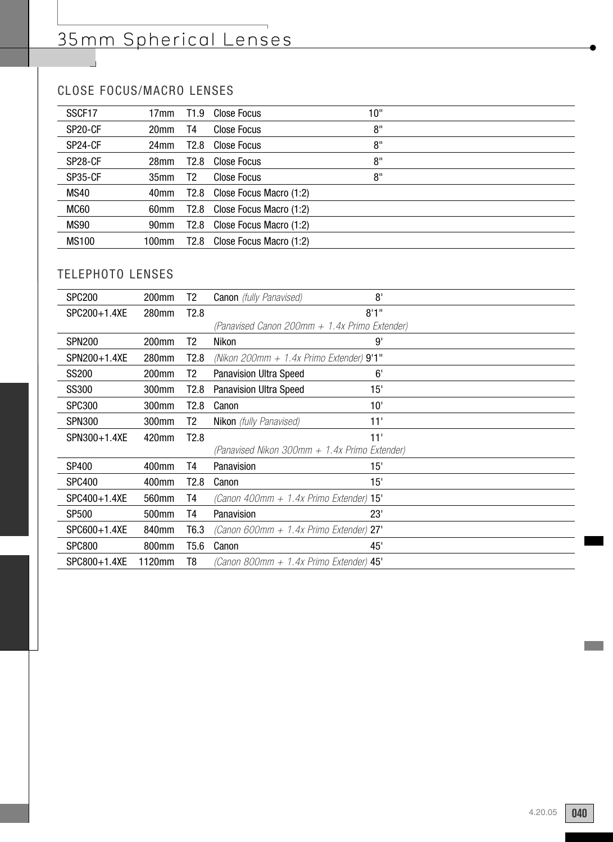## CLOSE FOCUS/MACRO LENSES

| SSCF17               | 17mm             | T <sub>1.9</sub> | Close Focus             | 10" |  |
|----------------------|------------------|------------------|-------------------------|-----|--|
| SP20-CF              | 20mm             | T4               | Close Focus             | 8"  |  |
| SP24-CF              | 24mm             | T <sub>2.8</sub> | Close Focus             | 8"  |  |
| SP <sub>28</sub> -CF | 28mm             | T2.8             | Close Focus             | 8"  |  |
| SP35-CF              | 35 <sub>mm</sub> | T2               | <b>Close Focus</b>      | 8"  |  |
| <b>MS40</b>          | 40mm             | T2.8             | Close Focus Macro (1:2) |     |  |
| MC60                 | 60mm             | T2.8             | Close Focus Macro (1:2) |     |  |
| <b>MS90</b>          | 90mm             | T2.8             | Close Focus Macro (1:2) |     |  |
| <b>MS100</b>         | 100mm            | T2.8             | Close Focus Macro (1:2) |     |  |
|                      |                  |                  |                         |     |  |

## TELEPHOTO LENSES

| <b>SPC200</b> | 200 <sub>mm</sub> | T2.              | <b>Canon</b> (fully Panavised)                | 8'    |  |
|---------------|-------------------|------------------|-----------------------------------------------|-------|--|
| SPC200+1.4XE  | 280mm             | T <sub>2.8</sub> |                                               | 8'1'' |  |
|               |                   |                  | (Panavised Canon 200mm + 1.4x Primo Extender) |       |  |
| <b>SPN200</b> | 200mm             | T2.              | Nikon                                         | 9'    |  |
| SPN200+1.4XE  | 280mm             | T2.8             | (Nikon 200mm + 1.4x Primo Extender) $9'1''$   |       |  |
| SS200         | 200mm             | Т2               | <b>Panavision Ultra Speed</b>                 | 6'    |  |
| SS300         | 300mm             | T2.8             | <b>Panavision Ultra Speed</b>                 | 15'   |  |
| <b>SPC300</b> | 300mm             | T2.8             | Canon                                         | 10'   |  |
| <b>SPN300</b> | 300mm             | T2               | <b>Nikon</b> (fully Panavised)                | 11'   |  |
| SPN300+1.4XE  | 420mm             | T <sub>2.8</sub> |                                               | 11'   |  |
|               |                   |                  | (Panavised Nikon 300mm + 1.4x Primo Extender) |       |  |
| SP400         | 400mm             | T4               | Panavision                                    | 15'   |  |
| <b>SPC400</b> | 400mm             | T2.8             | Canon                                         | 15'   |  |
| SPC400+1.4XE  | 560mm             | T4               | (Canon 400mm $+$ 1.4x Primo Extender) 15'     |       |  |
| <b>SP500</b>  | 500mm             | T4               | Panavision                                    | 23'   |  |
| SPC600+1.4XE  | 840mm             | T <sub>6.3</sub> | (Canon 600mm $+$ 1.4x Primo Extender) 27'     |       |  |
| <b>SPC800</b> | 800mm             | T5.6             | Canon                                         | 45'   |  |
| SPC800+1.4XE  | 1120mm            | T8               | (Canon 800mm $+$ 1.4x Primo Extender) $45'$   |       |  |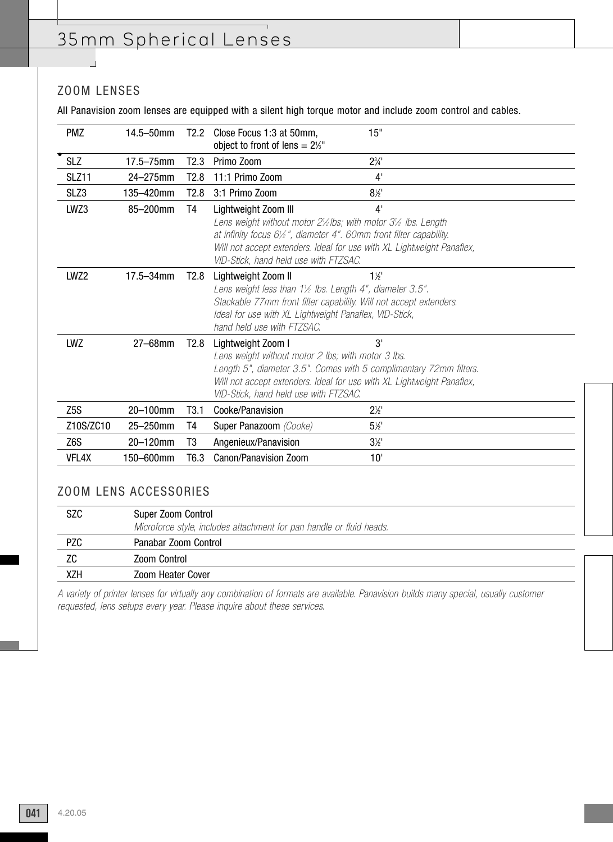## ZOOM LENSES

 $\overline{\phantom{0}}$ 

All Panavision zoom lenses are equipped with a silent high torque motor and include zoom control and cables.

| <b>PMZ</b>       | $14.5 - 50$ mm | T2.2             | Close Focus 1:3 at 50mm,<br>object to front of lens = $2\frac{1}{3}$ "                                                                                                             | 15"                                                                                                                                                                                                                                                   |  |
|------------------|----------------|------------------|------------------------------------------------------------------------------------------------------------------------------------------------------------------------------------|-------------------------------------------------------------------------------------------------------------------------------------------------------------------------------------------------------------------------------------------------------|--|
| <b>SLZ</b>       | $17.5 - 75$ mm | T2.3             | Primo Zoom                                                                                                                                                                         | $2\frac{3}{4}$                                                                                                                                                                                                                                        |  |
| SLZ11            | 24-275mm       | T2.8             | 11:1 Primo Zoom                                                                                                                                                                    | 4'                                                                                                                                                                                                                                                    |  |
| SLZ3             | 135-420mm      | T2.8             | 3:1 Primo Zoom                                                                                                                                                                     | $8\frac{1}{2}$                                                                                                                                                                                                                                        |  |
| LWZ3             | 85-200mm       | T4               | Lightweight Zoom III<br>VID-Stick, hand held use with FTZSAC.                                                                                                                      | 4'<br>Lens weight without motor $2\frac{1}{2}$ lbs; with motor $3\frac{1}{2}$ lbs. Length<br>at infinity focus $6\frac{1}{2}$ ", diameter 4". 60mm front filter capability.<br>Will not accept extenders. Ideal for use with XL Lightweight Panaflex, |  |
| LWZ2             | 17.5-34mm      | T2.8             | Lightweight Zoom II<br>Lens weight less than $1\frac{1}{2}$ lbs. Length 4", diameter 3.5".<br>Ideal for use with XL Lightweight Panaflex, VID-Stick,<br>hand held use with FTZSAC. | $1\frac{1}{2}$<br>Stackable 77mm front filter capability. Will not accept extenders.                                                                                                                                                                  |  |
| LWZ              | 27-68mm        | T2.8             | Lightweight Zoom I<br>Lens weight without motor 2 lbs; with motor 3 lbs.<br>VID-Stick, hand held use with FTZSAC.                                                                  | 3'<br>Length 5", diameter 3.5". Comes with 5 complimentary 72mm filters.<br>Will not accept extenders. Ideal for use with XL Lightweight Panaflex,                                                                                                    |  |
| Z <sub>5</sub> S | 20-100mm       | T3.1             | Cooke/Panavision                                                                                                                                                                   | $2\frac{1}{2}$                                                                                                                                                                                                                                        |  |
| Z10S/ZC10        | 25-250mm       | T4               | Super Panazoom (Cooke)                                                                                                                                                             | $5\frac{1}{2}$                                                                                                                                                                                                                                        |  |
| Z6S              | 20-120mm       | T3               | Angenieux/Panavision                                                                                                                                                               | $3\frac{1}{2}$                                                                                                                                                                                                                                        |  |
| VFL4X            | 150-600mm      | T <sub>6.3</sub> | Canon/Panavision Zoom                                                                                                                                                              | 10'                                                                                                                                                                                                                                                   |  |

### ZOOM LENS ACCESSORIES

| <b>SZC</b> | Super Zoom Control<br>Microforce style, includes attachment for pan handle or fluid heads. |
|------------|--------------------------------------------------------------------------------------------|
| <b>PZC</b> | Panabar Zoom Control                                                                       |
| ΖC         | Zoom Control                                                                               |
| XZH        | Zoom Heater Cover                                                                          |

A variety of printer lenses for virtually any combination of formats are available. Panavision builds many special, usually customer requested, lens setups every year. Please inquire about these services.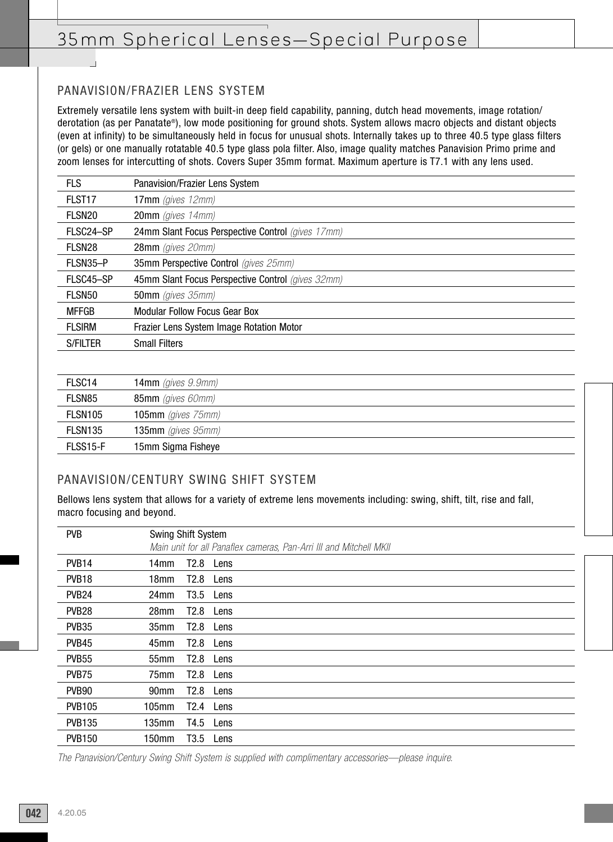## 35mm Spherical Lenses—Special Purpose

### PANAVISION/FRAZIER LENS SYSTEM

Extremely versatile lens system with built-in deep field capability, panning, dutch head movements, image rotation/ derotation (as per Panatate®), low mode positioning for ground shots. System allows macro objects and distant objects (even at infinity) to be simultaneously held in focus for unusual shots. Internally takes up to three 40.5 type glass filters (or gels) or one manually rotatable 40.5 type glass pola filter. Also, image quality matches Panavision Primo prime and zoom lenses for intercutting of shots. Covers Super 35mm format. Maximum aperture is T7.1 with any lens used.

| <b>FLS</b>         | Panavision/Frazier Lens System                    |
|--------------------|---------------------------------------------------|
| FLST <sub>17</sub> | $17mm$ (gives $12mm$ )                            |
| FLSN <sub>20</sub> | <b>20mm</b> (gives $14$ mm)                       |
| FLSC24-SP          | 24mm Slant Focus Perspective Control (gives 17mm) |
| FLSN <sub>28</sub> | 28mm (gives 20mm)                                 |
| FLSN35-P           | 35mm Perspective Control (gives 25mm)             |
| FLSC45-SP          | 45mm Slant Focus Perspective Control (gives 32mm) |
| FLSN50             | 50mm (gives 35mm)                                 |
| <b>MFFGB</b>       | Modular Follow Focus Gear Box                     |
| <b>FLSIRM</b>      | <b>Frazier Lens System Image Rotation Motor</b>   |
| <b>S/FILTER</b>    | <b>Small Filters</b>                              |

| FLSC <sub>14</sub>  | $14mm$ (gives $9.9mm$ ) |
|---------------------|-------------------------|
| FLSN85              | 85mm (gives 60mm)       |
| FLSN <sub>105</sub> | 105mm (gives $75$ mm)   |
| FLSN <sub>135</sub> | 135mm (gives $95mm$ )   |
| FLSS15-F            | 15mm Sigma Fisheye      |

#### PANAVISION/CENTURY SWING SHIFT SYSTEM

Bellows lens system that allows for a variety of extreme lens movements including: swing, shift, tilt, rise and fall, macro focusing and beyond.

| <b>PVB</b>        | Swing Shift System |      | Main unit for all Panaflex cameras, Pan-Arri III and Mitchell MKII |
|-------------------|--------------------|------|--------------------------------------------------------------------|
| PVB14             | 14mm               | T2.8 | Lens                                                               |
| PVB <sub>18</sub> | 18 <sub>mm</sub>   | T2.8 | Lens                                                               |
| PVB <sub>24</sub> | 24mm               | T3.5 | Lens                                                               |
| PVB <sub>28</sub> | 28mm               | T2.8 | Lens                                                               |
| <b>PVB35</b>      | 35mm               | T2.8 | Lens                                                               |
| PVB45             | 45 <sub>mm</sub>   | T2.8 | Lens                                                               |
| <b>PVB55</b>      | 55 <sub>mm</sub>   | T2.8 | Lens                                                               |
| PVB75             | 75 <sub>mm</sub>   | T2.8 | Lens                                                               |
| PVB <sub>90</sub> | 90mm               | T2.8 | Lens                                                               |
| <b>PVB105</b>     | 105mm              | T2.4 | Lens                                                               |
| <b>PVB135</b>     | 135mm              | T4.5 | Lens                                                               |
| <b>PVB150</b>     | 150mm              | T3.5 | Lens                                                               |

The Panavision/Century Swing Shift System is supplied with complimentary accessories—please inquire.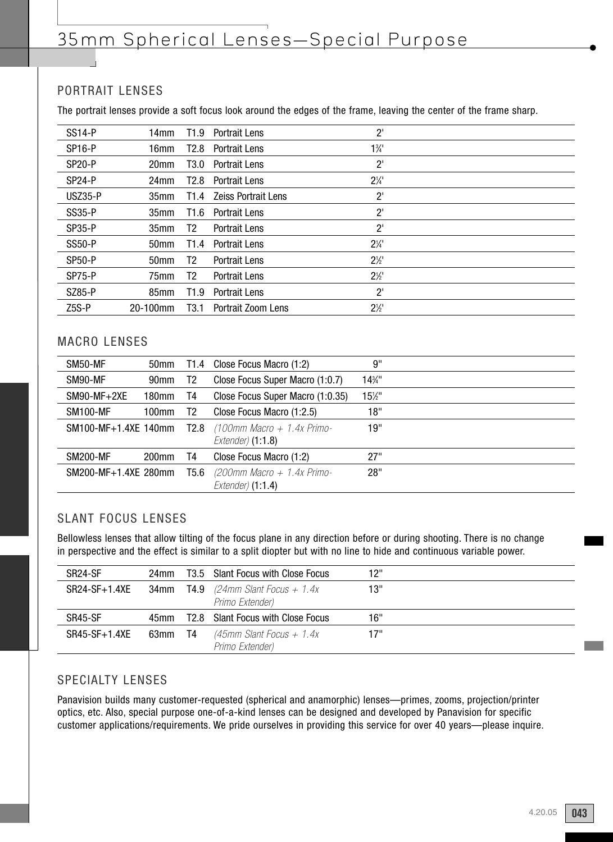### PORTRAIT LENSES

The portrait lenses provide a soft focus look around the edges of the frame, leaving the center of the frame sharp.

| <b>SS14-P</b>       | 14mm             | T1.9             | <b>Portrait Lens</b> | $2^{\prime}$   |  |
|---------------------|------------------|------------------|----------------------|----------------|--|
| SP <sub>16-P</sub>  | 16mm             | T2.8             | <b>Portrait Lens</b> | $1\frac{3}{4}$ |  |
| <b>SP20-P</b>       | 20 <sub>mm</sub> | T3.0             | <b>Portrait Lens</b> | $2^{\prime}$   |  |
| SP <sub>24</sub> -P | 24mm             | T2.8             | <b>Portrait Lens</b> | $2\frac{1}{4}$ |  |
| <b>USZ35-P</b>      | 35 <sub>mm</sub> | T1.4             | Zeiss Portrait Lens  | $2^{\circ}$    |  |
| <b>SS35-P</b>       | 35 <sub>mm</sub> | T1.6             | <b>Portrait Lens</b> | $2^{\prime}$   |  |
| <b>SP35-P</b>       | 35 <sub>mm</sub> | T2               | Portrait Lens        | $2^{\prime}$   |  |
| <b>SS50-P</b>       | 50 <sub>mm</sub> | T1.4             | <b>Portrait Lens</b> | $2\frac{1}{4}$ |  |
| <b>SP50-P</b>       | 50 <sub>mm</sub> | T2               | <b>Portrait Lens</b> | $2\frac{1}{2}$ |  |
| SP75-P              | 75mm             | T2               | <b>Portrait Lens</b> | $2\frac{1}{2}$ |  |
| <b>SZ85-P</b>       | 85 <sub>mm</sub> | T <sub>1.9</sub> | <b>Portrait Lens</b> | $2^{\prime}$   |  |
| Z <sub>5</sub> S-P  | 20-100mm         | T <sub>3.1</sub> | Portrait Zoom Lens   | $2\frac{1}{2}$ |  |
|                     |                  |                  |                      |                |  |

#### MACRO LENSES

| SM50-MF              | 50 <sub>mm</sub> | T1.4 | Close Focus Macro (1:2)                            | 9"   |  |
|----------------------|------------------|------|----------------------------------------------------|------|--|
| SM90-MF              | 90 <sub>mm</sub> | T2   | Close Focus Super Macro (1:0.7)                    | 14%" |  |
| $SM90-MF+2XE$        | 180mm            | T4   | Close Focus Super Macro (1:0.35)                   | 15½" |  |
| <b>SM100-MF</b>      | 100mm            | Т2   | Close Focus Macro (1:2.5)                          | 18"  |  |
| SM100-MF+1.4XE 140mm |                  | T2.8 | $(100$ mm Macro + 1.4x Primo-<br>Extender) (1:1.8) | 19"  |  |
| <b>SM200-MF</b>      | $200$ mm         | T4   | Close Focus Macro (1:2)                            | 27"  |  |
| SM200-MF+1.4XE 280mm |                  | T5.6 | $(200$ mm Macro + 1.4x Primo-<br>Extender) (1:1.4) | 28"  |  |

#### SLANT FOCUS LENSES

Bellowless lenses that allow tilting of the focus plane in any direction before or during shooting. There is no change in perspective and the effect is similar to a split diopter but with no line to hide and continuous variable power.

| SR <sub>24</sub> -SF | 24mm |      | T3.5 Slant Focus with Close Focus     | 12" |  |
|----------------------|------|------|---------------------------------------|-----|--|
| $SR24-SF+1.4XE$      | 34mm |      | <b>T4.9</b> (24mm Slant Focus + 1.4x) | 13" |  |
|                      |      |      | Primo Extender)                       |     |  |
|                      |      |      |                                       |     |  |
| SR45-SF              | 45mm |      | T2.8 Slant Focus with Close Focus     | 16" |  |
| $SR45-SF+1.4XE$      | 63mm | - T4 | $(45$ mm Slant Focus + 1.4x           | 17" |  |

#### SPECIALTY LENSES

Panavision builds many customer-requested (spherical and anamorphic) lenses—primes, zooms, projection/printer optics, etc. Also, special purpose one-of-a-kind lenses can be designed and developed by Panavision for specific customer applications/requirements. We pride ourselves in providing this service for over 40 years—please inquire.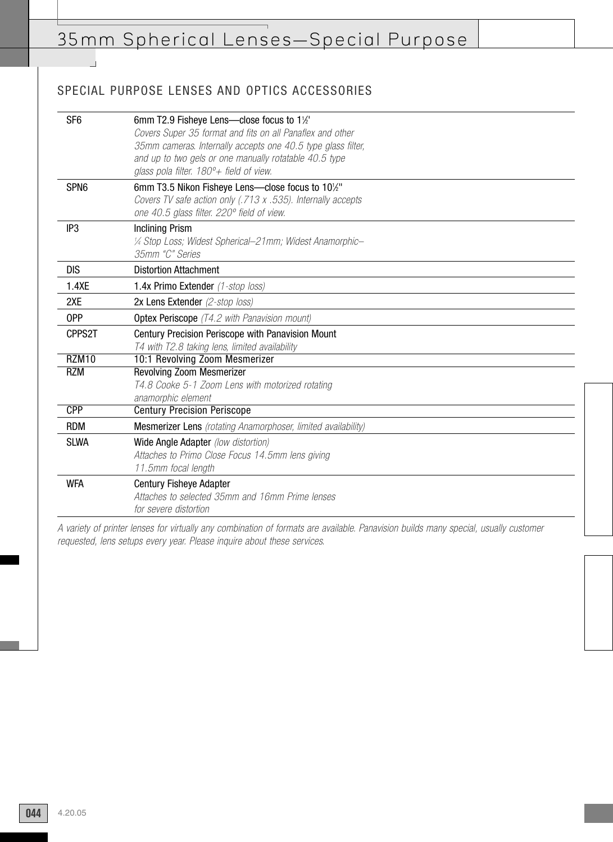## SPECIAL PURPOSE LENSES AND OPTICS ACCESSORIES

 $\overline{\phantom{a}}$ 

| SF <sub>6</sub>  | 6mm T2.9 Fisheye Lens-close focus to 11/2                            |
|------------------|----------------------------------------------------------------------|
|                  | Covers Super 35 format and fits on all Panaflex and other            |
|                  | 35mm cameras. Internally accepts one 40.5 type glass filter,         |
|                  | and up to two gels or one manually rotatable 40.5 type               |
|                  | glass pola filter. $180^\circ +$ field of view.                      |
| SPN <sub>6</sub> | 6mm T3.5 Nikon Fisheye Lens-close focus to 101/2"                    |
|                  | Covers TV safe action only (.713 x .535). Internally accepts         |
|                  | one 40.5 glass filter. 220° field of view.                           |
| IP <sub>3</sub>  | <b>Inclining Prism</b>                                               |
|                  | 1/4 Stop Loss; Widest Spherical-21mm; Widest Anamorphic-             |
|                  | 35mm "C" Series                                                      |
| <b>DIS</b>       | <b>Distortion Attachment</b>                                         |
| 1.4XE            | 1.4x Primo Extender (1-stop loss)                                    |
| 2XE              | 2x Lens Extender (2-stop loss)                                       |
| 0PP              | <b>Optex Periscope</b> (T4.2 with Panavision mount)                  |
| CPPS2T           | Century Precision Periscope with Panavision Mount                    |
|                  | T4 with T2.8 taking lens, limited availability                       |
| RZM10            | 10:1 Revolving Zoom Mesmerizer                                       |
| <b>RZM</b>       | <b>Revolving Zoom Mesmerizer</b>                                     |
|                  | T4.8 Cooke 5-1 Zoom Lens with motorized rotating                     |
|                  | anamorphic element                                                   |
| <b>CPP</b>       | <b>Century Precision Periscope</b>                                   |
| <b>RDM</b>       | <b>Mesmerizer Lens</b> (rotating Anamorphoser, limited availability) |
| <b>SLWA</b>      | Wide Angle Adapter (low distortion)                                  |
|                  | Attaches to Primo Close Focus 14.5mm lens giving                     |
|                  | 11.5mm focal length                                                  |
| <b>WFA</b>       | <b>Century Fisheye Adapter</b>                                       |
|                  | Attaches to selected 35mm and 16mm Prime lenses                      |
|                  | for severe distortion                                                |

A variety of printer lenses for virtually any combination of formats are available. Panavision builds many special, usually customer requested, lens setups every year. Please inquire about these services.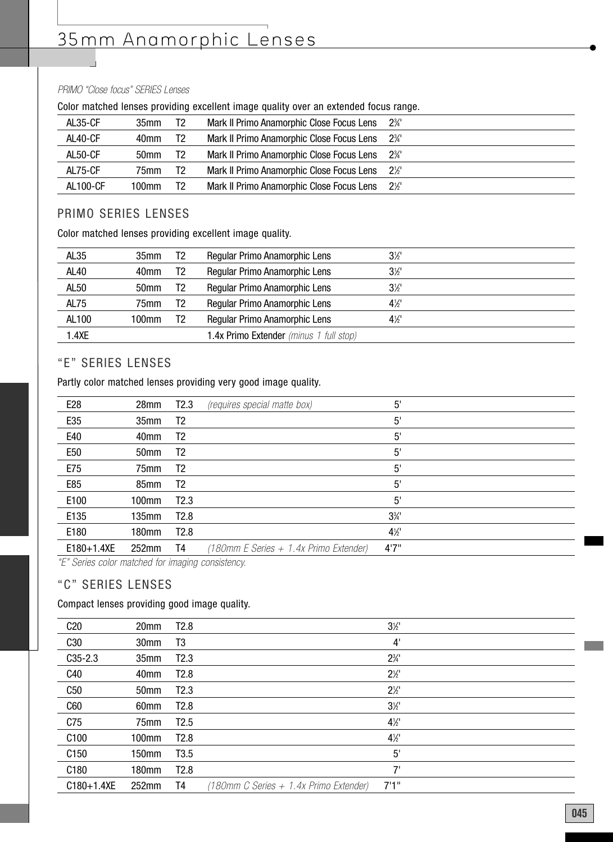# 35mm Anamorphic Lenses

#### PRIMO "Close focus" SERIES Lenses

|                 |                  |    | <u>aaini illatallaa lallaab kiratimilik allatimilit illiakka klamist atal mitralimam laama lallka</u> |                |
|-----------------|------------------|----|-------------------------------------------------------------------------------------------------------|----------------|
| AL35-CF         | 35mm             | T2 | Mark II Primo Anamorphic Close Focus Lens                                                             | $2\frac{3}{4}$ |
| AL40-CF         | 40mm             | T2 | Mark II Primo Anamorphic Close Focus Lens 2 <sup>3</sup> /4'                                          |                |
| AL50-CF         | 50 <sub>mm</sub> | T2 | Mark II Primo Anamorphic Close Focus Lens 2 <sup>3</sup> /4'                                          |                |
| AL75-CF         | 75mm             | T2 | Mark II Primo Anamorphic Close Focus Lens 2½                                                          |                |
| <b>AL100-CF</b> | 100mm            | T2 | Mark II Primo Anamorphic Close Focus Lens 2½                                                          |                |
|                 |                  |    |                                                                                                       |                |

#### Color matched lenses providing excellent image quality over an extended focus range.

#### PRIMO SERIES LENSES

Color matched lenses providing excellent image quality.

| AL <sub>35</sub> | 35mm             | T2 | Regular Primo Anamorphic Lens           | $3\frac{1}{2}$ |
|------------------|------------------|----|-----------------------------------------|----------------|
| <b>AL40</b>      | 40 <sub>mm</sub> | T2 | Regular Primo Anamorphic Lens           | $3\frac{1}{2}$ |
| AL50             | 50 <sub>mm</sub> | T2 | Regular Primo Anamorphic Lens           | $3\frac{1}{2}$ |
| AL75             | 75mm             | T2 | Regular Primo Anamorphic Lens           | $4\frac{1}{2}$ |
| AL100            | 100mm            | T2 | Regular Primo Anamorphic Lens           | $4\frac{1}{2}$ |
| 1.4XE            |                  |    | 1.4x Primo Extender (minus 1 full stop) |                |

#### "E" SERIES LENSES

Partly color matched lenses providing very good image quality.

| E <sub>28</sub> | 28mm             | <b>T2.3</b>      | (requires special matte box)           | 5'             |  |
|-----------------|------------------|------------------|----------------------------------------|----------------|--|
| E35             | 35mm             | T <sub>2</sub>   |                                        | 5'             |  |
| E40             | 40mm             | T <sub>2</sub>   |                                        | 5'             |  |
| E <sub>50</sub> | 50 <sub>mm</sub> | T2               |                                        | $5^{\circ}$    |  |
| E75             | 75mm             | T <sub>2</sub>   |                                        | 5'             |  |
| E85             | 85 <sub>mm</sub> | T <sub>2</sub>   |                                        | 5'             |  |
| E100            | 100mm            | T2.3             |                                        | $5^{\circ}$    |  |
| E135            | 135mm            | T <sub>2.8</sub> |                                        | $3\frac{3}{4}$ |  |
| E180            | 180mm            | T2.8             |                                        | $4\frac{1}{2}$ |  |
| $E180+1.4XE$    | 252mm            | T4               | (180mm E Series + 1.4x Primo Extender) | 4'7"           |  |

"E" Series color matched for imaging consistency.

## "C" SERIES LENSES

#### Compact lenses providing good image quality.

| C20              | 20 <sub>mm</sub>  | T <sub>2.8</sub> |                                        | $3\frac{1}{2}$ |  |
|------------------|-------------------|------------------|----------------------------------------|----------------|--|
| C30              | 30 <sub>mm</sub>  | T3               |                                        | 4'             |  |
| $C35 - 2.3$      | 35 <sub>mm</sub>  | T2.3             |                                        | $2\frac{3}{4}$ |  |
| C40              | 40 <sub>mm</sub>  | T <sub>2.8</sub> |                                        | $2\frac{1}{2}$ |  |
| C50              | 50 <sub>mm</sub>  | T2.3             |                                        | $2\frac{1}{2}$ |  |
| C60              | 60 <sub>mm</sub>  | T <sub>2.8</sub> |                                        | $3\frac{1}{2}$ |  |
| C75              | 75 <sub>mm</sub>  | T <sub>2.5</sub> |                                        | $4\frac{1}{2}$ |  |
| C <sub>100</sub> | 100mm             | T <sub>2.8</sub> |                                        | $4\frac{1}{2}$ |  |
| C <sub>150</sub> | 150mm             | T <sub>3.5</sub> |                                        | 5'             |  |
| C <sub>180</sub> | 180mm             | T <sub>2.8</sub> |                                        | 7'             |  |
| $C180 + 1.4XE$   | 252 <sub>mm</sub> | T4               | (180mm C Series + 1.4x Primo Extender) | 7'1''          |  |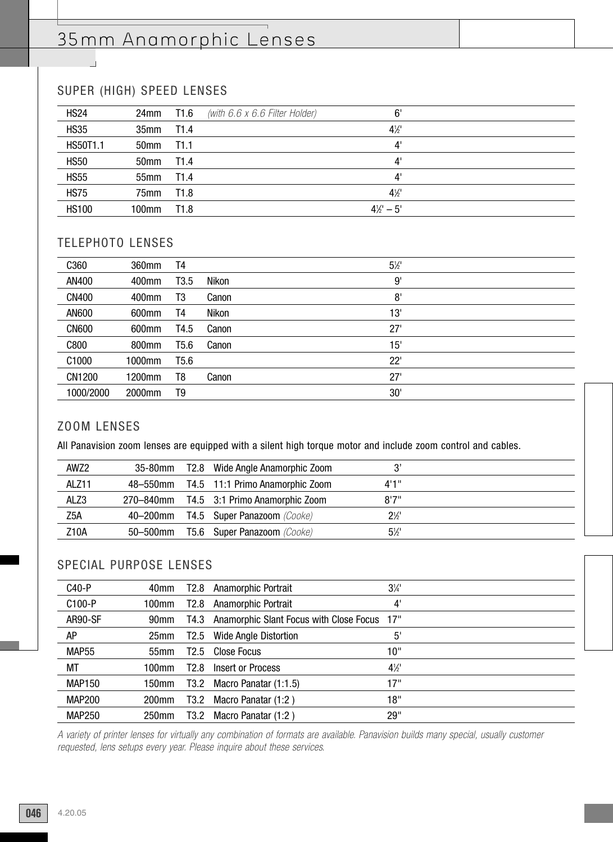## 35mm Anamorphic Lenses

## SUPER (HIGH) SPEED LENSES

 $\overline{\phantom{a}}$ 

| <b>HS24</b>  | 24mm T1.6  | (with $6.6 x 6.6$ Filter Holder) | 6'                  |  |
|--------------|------------|----------------------------------|---------------------|--|
| <b>HS35</b>  | 35mm T1.4  |                                  | $4\frac{1}{2}$      |  |
| HS50T1.1     | 50mm T1.1  |                                  | 4'                  |  |
| <b>HS50</b>  | 50mm T1.4  |                                  | 4'                  |  |
| <b>HS55</b>  | 55mm T1.4  |                                  | $4^{\circ}$         |  |
| <b>HS75</b>  | 75mm T1.8  |                                  | $4\frac{1}{2}$      |  |
| <b>HS100</b> | 100mm T1.8 |                                  | $4\frac{1}{2}$ – 5' |  |

#### TELEPHOTO LENSES

| C360         | 360mm  | T4               |       | $5\frac{1}{2}$ |  |
|--------------|--------|------------------|-------|----------------|--|
| AN400        | 400mm  | T <sub>3.5</sub> | Nikon | 9'             |  |
| <b>CN400</b> | 400mm  | T3               | Canon | 8'             |  |
| AN600        | 600mm  | T4               | Nikon | 13'            |  |
| <b>CN600</b> | 600mm  | T4.5             | Canon | 27'            |  |
| C800         | 800mm  | T5.6             | Canon | 15'            |  |
| C1000        | 1000mm | T <sub>5.6</sub> |       | 22'            |  |
| CN1200       | 1200mm | T8               | Canon | 27'            |  |
| 1000/2000    | 2000mm | T9               |       | 30'            |  |

#### ZOOM LENSES

All Panavision zoom lenses are equipped with a silent high torque motor and include zoom control and cables.

| AWZ2  |          | 35-80mm T2.8 Wide Angle Anamorphic Zoom  | 3'             |  |
|-------|----------|------------------------------------------|----------------|--|
| ALZ11 |          | 48–550mm T4.5 11:1 Primo Anamorphic Zoom | 4'1''          |  |
| ALZ3  |          | 270–840mm T4.5 3:1 Primo Anamorphic Zoom | R'7''          |  |
| Z5A   |          | 40-200mm T4.5 Super Panazoom (Cooke)     | $2\frac{1}{2}$ |  |
| Z10A  | 50–500mm | <b>T5.6 Super Panazoom</b> (Cooke)       | $5\frac{1}{2}$ |  |

#### SPECIAL PURPOSE LENSES

| C40-P             | 40mm             | T2.8             | <b>Anamorphic Portrait</b>              | $3\frac{1}{4}$ |  |
|-------------------|------------------|------------------|-----------------------------------------|----------------|--|
| C100-P            | 100mm            | T <sub>2.8</sub> | Anamorphic Portrait                     | 4'             |  |
| AR90-SF           | 90mm             | T4.3             | Anamorphic Slant Focus with Close Focus | 17"            |  |
| AΡ                | 25 <sub>mm</sub> | T2.5             | Wide Angle Distortion                   | $5^{\circ}$    |  |
| MAP <sub>55</sub> | 55mm             | T <sub>2.5</sub> | Close Focus                             | 10"            |  |
| МT                | 100mm            | T <sub>2.8</sub> | Insert or Process                       | $4\frac{1}{2}$ |  |
| <b>MAP150</b>     | 150mm            | T3.2             | Macro Panatar (1:1.5)                   | 17"            |  |
| MAP200            | 200mm            | T3.2             | Macro Panatar (1:2)                     | 18"            |  |
| <b>MAP250</b>     | 250mm            | T3.2             | Macro Panatar (1:2)                     | 29"            |  |

A variety of printer lenses for virtually any combination of formats are available. Panavision builds many special, usually customer requested, lens setups every year. Please inquire about these services.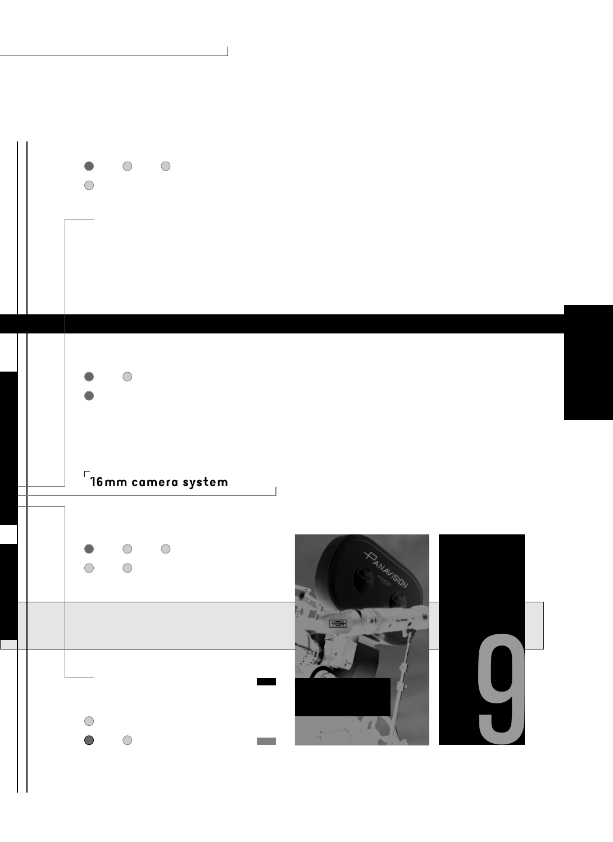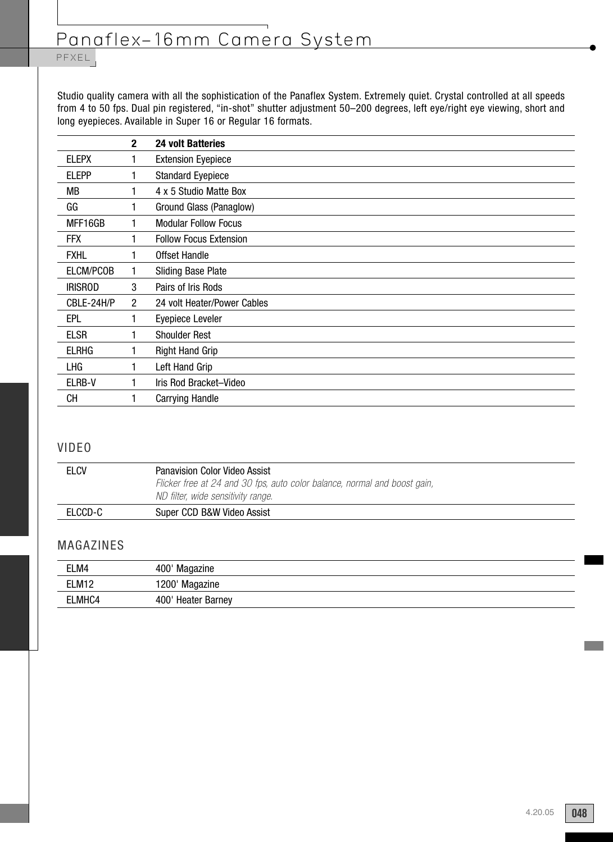# Panaflex–16mm Camera System

## PFXEL

Studio quality camera with all the sophistication of the Panaflex System. Extremely quiet. Crystal controlled at all speeds from 4 to 50 fps. Dual pin registered, "in-shot" shutter adjustment 50–200 degrees, left eye/right eye viewing, short and long eyepieces. Available in Super 16 or Regular 16 formats.

|                | $\mathbf{2}$   | <b>24 volt Batteries</b>      |
|----------------|----------------|-------------------------------|
| <b>ELEPX</b>   | 1              | <b>Extension Eyepiece</b>     |
| <b>ELEPP</b>   |                | <b>Standard Eyepiece</b>      |
| МB             |                | 4 x 5 Studio Matte Box        |
| GG             | 1              | Ground Glass (Panaglow)       |
| MFF16GB        | 1              | <b>Modular Follow Focus</b>   |
| <b>FFX</b>     | 1              | <b>Follow Focus Extension</b> |
| <b>FXHL</b>    | 1              | Offset Handle                 |
| ELCM/PCOB      |                | <b>Sliding Base Plate</b>     |
| <b>IRISROD</b> | 3              | Pairs of Iris Rods            |
| CBLE-24H/P     | $\overline{2}$ | 24 volt Heater/Power Cables   |
| <b>EPL</b>     | 1              | Eyepiece Leveler              |
| <b>ELSR</b>    | 1              | <b>Shoulder Rest</b>          |
| <b>ELRHG</b>   | 1              | <b>Right Hand Grip</b>        |
| LHG            |                | Left Hand Grip                |
| ELRB-V         |                | Iris Rod Bracket-Video        |
| CН             |                | <b>Carrying Handle</b>        |

#### VIDEO

| <b>ELCV</b> | Panavision Color Video Assist<br>Flicker free at 24 and 30 fps, auto color balance, normal and boost gain,<br>ND filter, wide sensitivity range. |
|-------------|--------------------------------------------------------------------------------------------------------------------------------------------------|
| ELCCD-C     | Super CCD B&W Video Assist                                                                                                                       |

#### MAGAZINES

| ELM4              | 400' Magazine      |
|-------------------|--------------------|
| ELM <sub>12</sub> | 1200' Magazine     |
| ELMHC4            | 400' Heater Barney |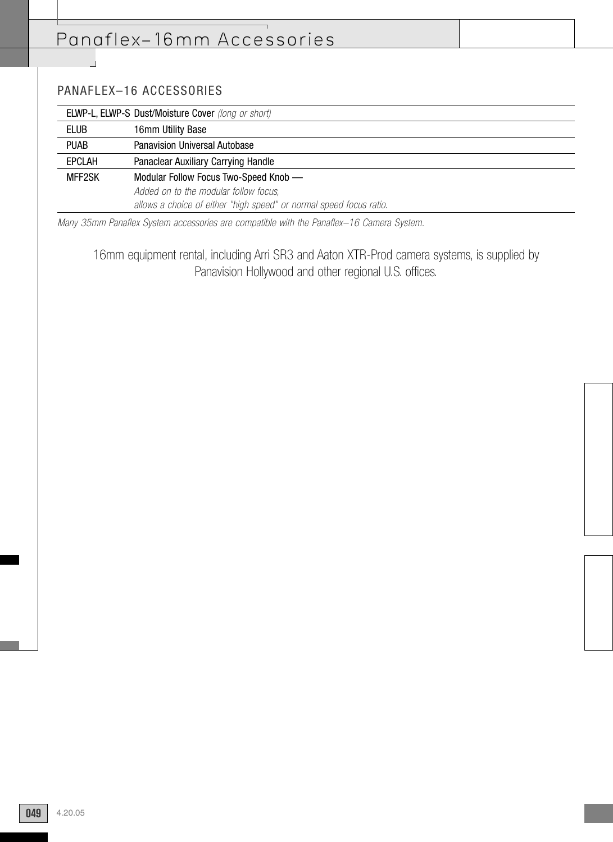## Panaflex–16mm Accessories

## PANAFLEX–16 ACCESSORIES

 $\overline{\phantom{a}}$ 

|               | <b>ELWP-L, ELWP-S Dust/Moisture Cover</b> (long or short)           |  |  |
|---------------|---------------------------------------------------------------------|--|--|
| <b>ELUB</b>   | 16mm Utility Base                                                   |  |  |
| <b>PUAB</b>   | <b>Panavision Universal Autobase</b>                                |  |  |
| <b>EPCLAH</b> | Panaclear Auxiliary Carrying Handle                                 |  |  |
| MFF2SK        | Modular Follow Focus Two-Speed Knob —                               |  |  |
|               | Added on to the modular follow focus,                               |  |  |
|               | allows a choice of either "high speed" or normal speed focus ratio. |  |  |

Many 35mm Panaflex System accessories are compatible with the Panaflex–16 Camera System.

16mm equipment rental, including Arri SR3 and Aaton XTR-Prod camera systems, is supplied by Panavision Hollywood and other regional U.S. offices.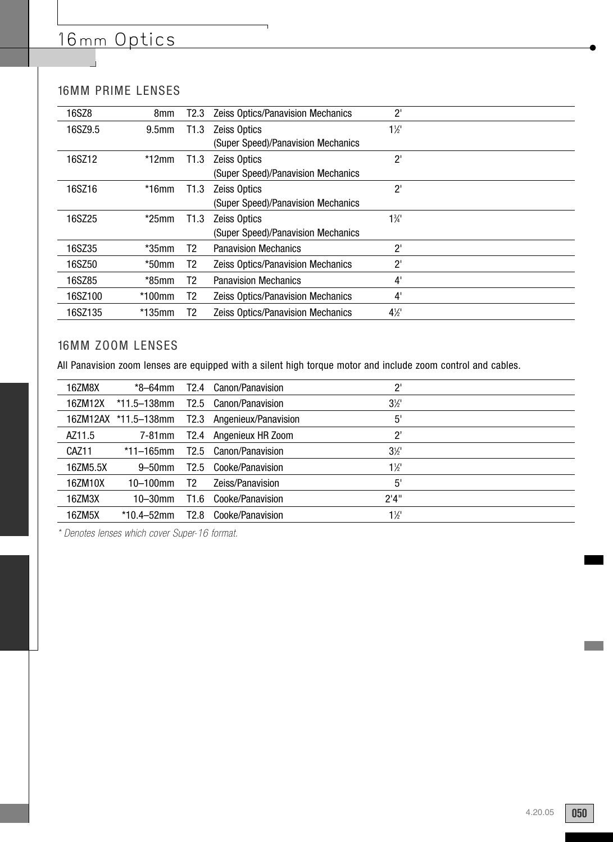# 16mm Optics

## 16MM PRIME LENSES

| 16SZ8   | 8mm               | T2.3 | <b>Zeiss Optics/Panavision Mechanics</b> | $2^{\prime}$   |  |
|---------|-------------------|------|------------------------------------------|----------------|--|
| 16SZ9.5 | 9.5 <sub>mm</sub> | T1.3 | <b>Zeiss Optics</b>                      | $1\frac{1}{2}$ |  |
|         |                   |      | (Super Speed)/Panavision Mechanics       |                |  |
| 16SZ12  | $*12$ mm          | T1.3 | <b>Zeiss Optics</b>                      | $2^{\prime}$   |  |
|         |                   |      | (Super Speed)/Panavision Mechanics       |                |  |
| 16SZ16  | $*16$ mm          | T1.3 | <b>Zeiss Optics</b>                      | $2^{\prime}$   |  |
|         |                   |      | (Super Speed)/Panavision Mechanics       |                |  |
| 16SZ25  | $*25$ mm          | T1.3 | <b>Zeiss Optics</b>                      | $1\frac{3}{4}$ |  |
|         |                   |      | (Super Speed)/Panavision Mechanics       |                |  |
| 16SZ35  | $*35$ mm          | T2   | <b>Panavision Mechanics</b>              | $2^{\prime}$   |  |
| 16SZ50  | $*50$ mm          | T2   | Zeiss Optics/Panavision Mechanics        | $2^{\prime}$   |  |
| 16SZ85  | $*85$ mm          | T2   | <b>Panavision Mechanics</b>              | 4'             |  |
| 16SZ100 | $*100$ mm         | T2.  | <b>Zeiss Optics/Panavision Mechanics</b> | 4'             |  |
| 16SZ135 | $*135$ mm         | Т2   | Zeiss Optics/Panavision Mechanics        | $4\frac{1}{2}$ |  |

### 16MM ZOOM LENSES

All Panavision zoom lenses are equipped with a silent high torque motor and include zoom control and cables.

| 16ZM8X            | *8–64mm              | T <sub>2.4</sub> | Canon/Panavision     | $2^{\prime}$   |  |
|-------------------|----------------------|------------------|----------------------|----------------|--|
| 167M12X           | $*11.5 - 138$ mm     | T2.5             | Canon/Panavision     | $3\frac{1}{2}$ |  |
|                   | 16ZM12AX *11.5-138mm | T2.3             | Angenieux/Panavision | 5'             |  |
| AZ11.5            | 7-81mm               | T2.4             | Angenieux HR Zoom    | $2^{\circ}$    |  |
| CAZ <sub>11</sub> | *11–165mm            | T <sub>2.5</sub> | Canon/Panavision     | $3\frac{1}{2}$ |  |
| 16ZM5.5X          | $9 - 50$ mm          | T <sub>2.5</sub> | Cooke/Panavision     | $1\frac{1}{2}$ |  |
| 16ZM10X           | 10–100mm             | T2               | Zeiss/Panavision     | 5'             |  |
| 16ZM3X            | $10 - 30$ mm         | T1.6             | Cooke/Panavision     | 2'4''          |  |
| 16ZM5X            | $*10.4 - 52$ mm      | T <sub>2.8</sub> | Cooke/Panavision     | $1\frac{1}{2}$ |  |
|                   |                      |                  |                      |                |  |

\* Denotes lenses which cover Super-16 format.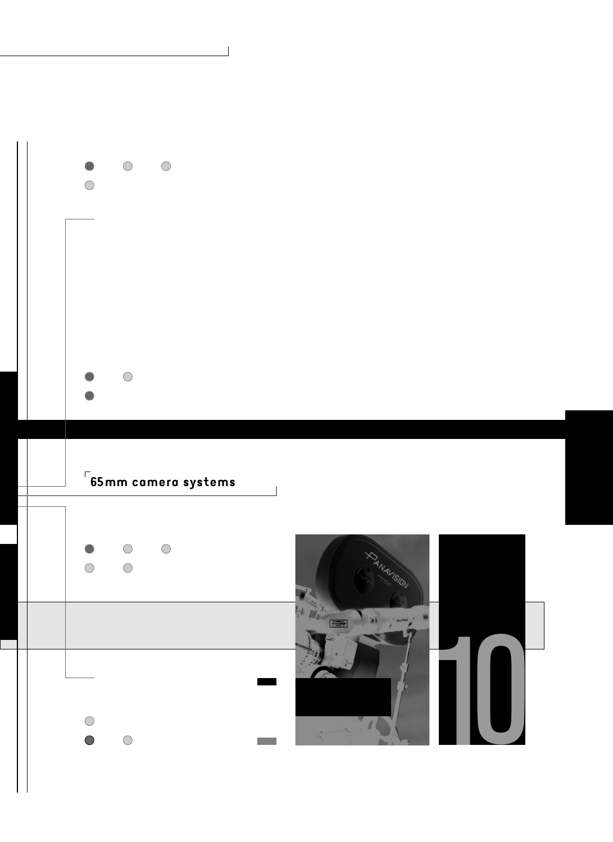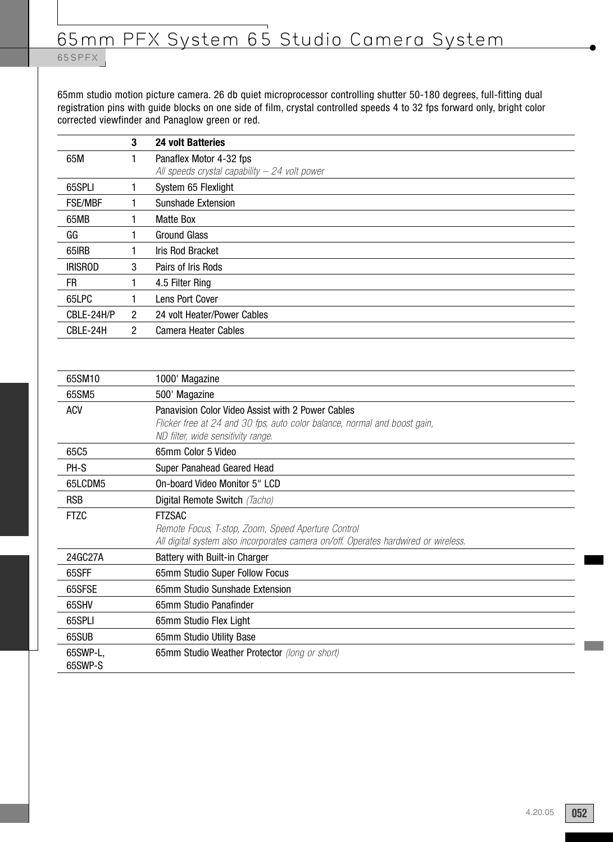## 65 SPFX

65mm studio motion picture camera. 26 db quiet microprocessor controlling shutter 50-180 degrees, full-fitting dual registration pins with guide blocks on one side of film, crystal controlled speeds 4 to 32 fps forward only, bright color corrected viewfinder and Panaglow green or red.

|                | 3              | <b>24 volt Batteries</b>                                                   |
|----------------|----------------|----------------------------------------------------------------------------|
| 65M            |                | Panaflex Motor 4-32 fps<br>All speeds crystal capability $-$ 24 volt power |
| 65SPLI         |                | System 65 Flexlight                                                        |
| <b>FSE/MBF</b> |                | Sunshade Extension                                                         |
| 65MB           |                | <b>Matte Box</b>                                                           |
| GG             |                | <b>Ground Glass</b>                                                        |
| 65IRB          |                | Iris Rod Bracket                                                           |
| <b>IRISROD</b> | 3              | Pairs of Iris Rods                                                         |
| FR.            |                | 4.5 Filter Ring                                                            |
| 65LPC          |                | Lens Port Cover                                                            |
| CBLE-24H/P     | 2              | 24 volt Heater/Power Cables                                                |
| CBLE-24H       | $\overline{2}$ | <b>Camera Heater Cables</b>                                                |
|                |                |                                                                            |

| 65SM10              | 1000' Magazine                                                                                                                                                       |
|---------------------|----------------------------------------------------------------------------------------------------------------------------------------------------------------------|
| 65SM5               | 500' Magazine                                                                                                                                                        |
| <b>ACV</b>          | Panavision Color Video Assist with 2 Power Cables<br>Flicker free at 24 and 30 fps, auto color balance, normal and boost gain,<br>ND filter, wide sensitivity range. |
| 65C5                | 65mm Color 5 Video                                                                                                                                                   |
| PH-S                | Super Panahead Geared Head                                                                                                                                           |
| 65LCDM5             | On-board Video Monitor 5" LCD                                                                                                                                        |
| <b>RSB</b>          | Digital Remote Switch (Tacho)                                                                                                                                        |
| <b>FTZC</b>         | <b>FTZSAC</b><br>Remote Focus, T-stop, Zoom, Speed Aperture Control<br>All digital system also incorporates camera on/off. Operates hardwired or wireless.           |
| 24GC27A             | Battery with Built-in Charger                                                                                                                                        |
| 65SFF               | 65mm Studio Super Follow Focus                                                                                                                                       |
| 65SFSE              | 65mm Studio Sunshade Extension                                                                                                                                       |
| 65SHV               | 65mm Studio Panafinder                                                                                                                                               |
| 65SPLI              | 65mm Studio Flex Light                                                                                                                                               |
| 65SUB               | 65mm Studio Utility Base                                                                                                                                             |
| 65SWP-L,<br>65SWP-S | 65mm Studio Weather Protector (long or short)                                                                                                                        |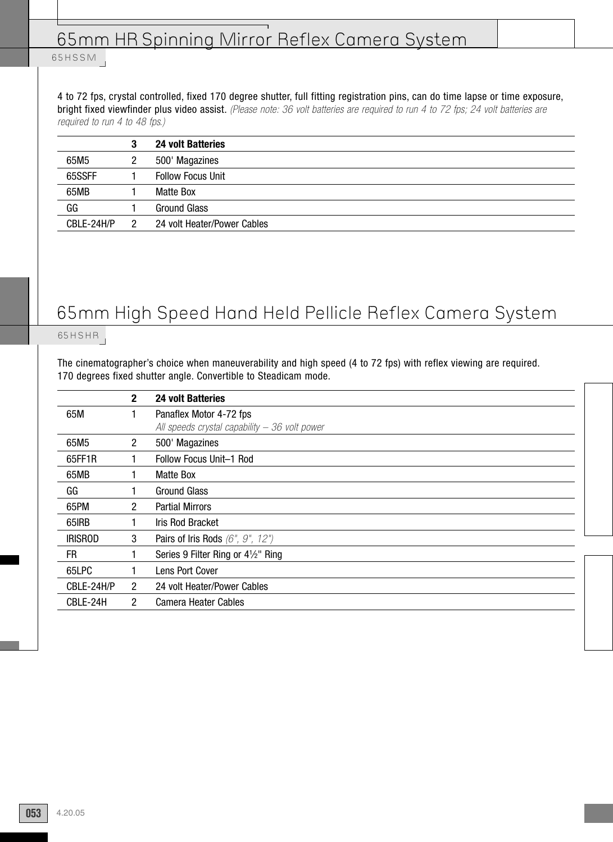## 65mm HR Spinning Mirror Reflex Camera System

### 65 H S S M

4 to 72 fps, crystal controlled, fixed 170 degree shutter, full fitting registration pins, can do time lapse or time exposure, bright fixed viewfinder plus video assist. (Please note: 36 volt batteries are required to run 4 to 72 fps; 24 volt batteries are required to run 4 to 48 fps.)

|            | 3 | <b>24 volt Batteries</b>    |
|------------|---|-----------------------------|
| 65M5       |   | 500' Magazines              |
| 65SSFF     |   | <b>Follow Focus Unit</b>    |
| 65MB       |   | Matte Box                   |
| GG         |   | <b>Ground Glass</b>         |
| CBLE-24H/P |   | 24 volt Heater/Power Cables |

# 65mm High Speed Hand Held Pellicle Reflex Camera System

## 65HSHR

The cinematographer's choice when maneuverability and high speed (4 to 72 fps) with reflex viewing are required. 170 degrees fixed shutter angle. Convertible to Steadicam mode.

|                | $\mathbf{2}$         | <b>24 volt Batteries</b>                                     |
|----------------|----------------------|--------------------------------------------------------------|
| 65M            |                      | Panaflex Motor 4-72 fps                                      |
|                |                      | All speeds crystal capability $-36$ volt power               |
| 65M5           | $\mathbf{2}^{\circ}$ | 500' Magazines                                               |
| 65FF1R         |                      | Follow Focus Unit-1 Rod                                      |
| 65MB           |                      | Matte Box                                                    |
| GG             |                      | <b>Ground Glass</b>                                          |
| 65PM           | $\overline{2}$       | <b>Partial Mirrors</b>                                       |
| 65IRB          |                      | <b>Iris Rod Bracket</b>                                      |
| <b>IRISROD</b> | 3                    | Pairs of Iris Rods $(6", 9", 12")$                           |
| FR.            |                      | Series 9 Filter Ring or 4 <sup>1</sup> / <sub>2</sub> " Ring |
| 65LPC          |                      | Lens Port Cover                                              |
| CBLE-24H/P     | $\overline{2}$       | 24 volt Heater/Power Cables                                  |
| CBLE-24H       | 2                    | <b>Camera Heater Cables</b>                                  |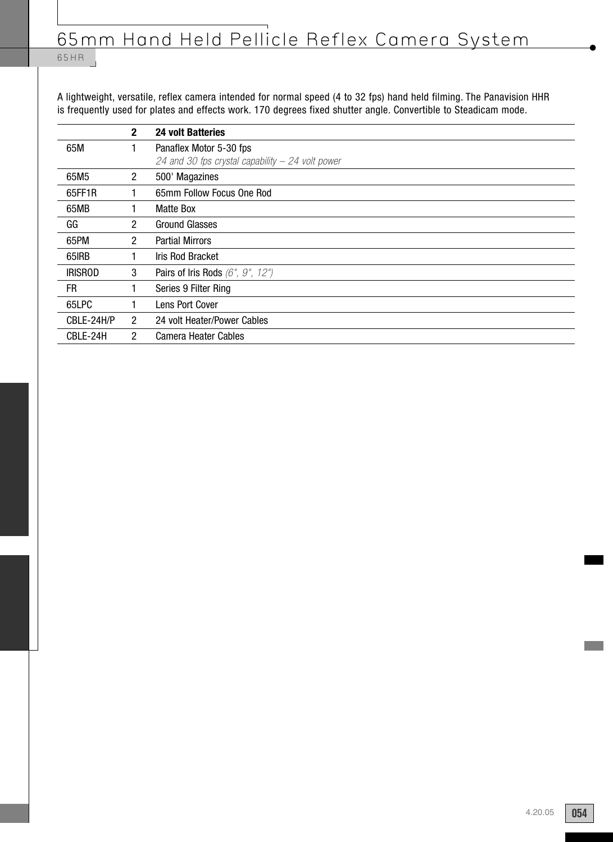## 65 H R

A lightweight, versatile, reflex camera intended for normal speed (4 to 32 fps) hand held filming. The Panavision HHR is frequently used for plates and effects work. 170 degrees fixed shutter angle. Convertible to Steadicam mode.

|                | $\mathbf{2}$         | <b>24 volt Batteries</b>                           |
|----------------|----------------------|----------------------------------------------------|
| 65M            |                      | Panaflex Motor 5-30 fps                            |
|                |                      | 24 and 30 fps crystal capability $-$ 24 volt power |
| 65M5           | $\mathbf{2}^{\circ}$ | 500' Magazines                                     |
| 65FF1R         |                      | 65mm Follow Focus One Rod                          |
| 65MB           |                      | <b>Matte Box</b>                                   |
| GG             | 2                    | <b>Ground Glasses</b>                              |
| 65PM           | $\overline{2}$       | <b>Partial Mirrors</b>                             |
| 65IRB          |                      | Iris Rod Bracket                                   |
| <b>IRISROD</b> | 3                    | Pairs of Iris Rods $(6", 9", 12")$                 |
| FR.            |                      | Series 9 Filter Ring                               |
| 65LPC          |                      | Lens Port Cover                                    |
| CBLE-24H/P     | $\overline{2}$       | 24 volt Heater/Power Cables                        |
| CBLE-24H       | 2                    | <b>Camera Heater Cables</b>                        |

**054**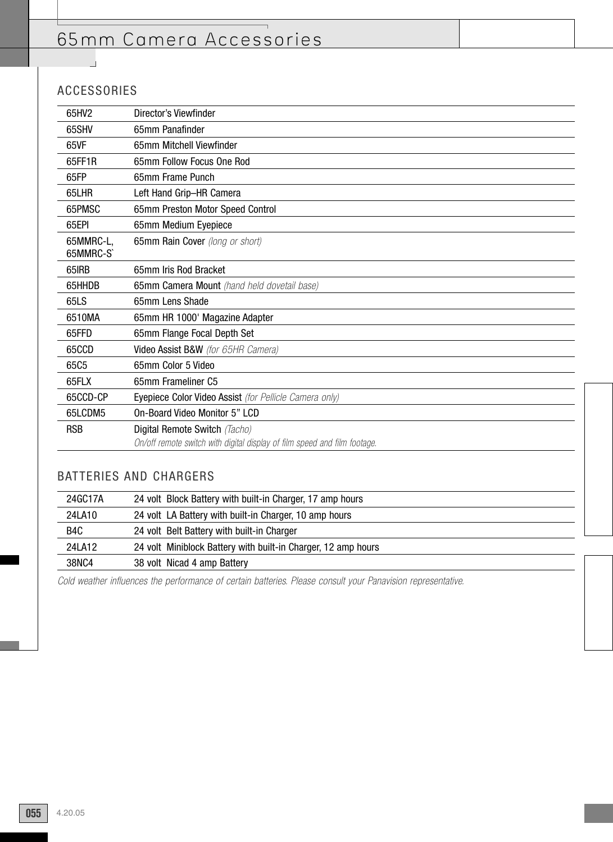# 65mm Camera Accessories

## ACCESSORIES

 $\overline{\phantom{a}}$ 

| 65HV2                 | Director's Viewfinder                                                     |
|-----------------------|---------------------------------------------------------------------------|
| 65SHV                 | 65mm Panafinder                                                           |
| 65VF                  | 65mm Mitchell Viewfinder                                                  |
| 65FF1R                | 65mm Follow Focus One Rod                                                 |
| 65FP                  | 65mm Frame Punch                                                          |
| 65LHR                 | Left Hand Grip-HR Camera                                                  |
| 65PMSC                | 65mm Preston Motor Speed Control                                          |
| 65EPI                 | 65mm Medium Eyepiece                                                      |
| 65MMRC-L,<br>65MMRC-S | 65mm Rain Cover (long or short)                                           |
| 65IRB                 | 65mm Iris Rod Bracket                                                     |
| 65HHDB                | 65mm Camera Mount (hand held dovetail base)                               |
| 65LS                  | 65mm Lens Shade                                                           |
| 6510MA                | 65mm HR 1000' Magazine Adapter                                            |
| 65FFD                 | 65mm Flange Focal Depth Set                                               |
| 65CCD                 | Video Assist B&W (for 65HR Camera)                                        |
| 65C <sub>5</sub>      | 65mm Color 5 Video                                                        |
| 65FLX                 | 65mm Frameliner C5                                                        |
| 65CCD-CP              | Eyepiece Color Video Assist (for Pellicle Camera only)                    |
| 65LCDM5               | On-Board Video Monitor 5" LCD                                             |
| <b>RSB</b>            | Digital Remote Switch (Tacho)                                             |
|                       | On/off remote switch with digital display of film speed and film footage. |
|                       |                                                                           |

## BATTERIES AND CHARGERS

| 24GC17A | 24 volt Block Battery with built-in Charger, 17 amp hours     |
|---------|---------------------------------------------------------------|
| 24LA10  | 24 volt LA Battery with built-in Charger, 10 amp hours        |
| B4C     | 24 volt Belt Battery with built-in Charger                    |
| 24LA12  | 24 volt Miniblock Battery with built-in Charger, 12 amp hours |
| 38NC4   | 38 volt Nicad 4 amp Battery                                   |

Cold weather influences the performance of certain batteries. Please consult your Panavision representative.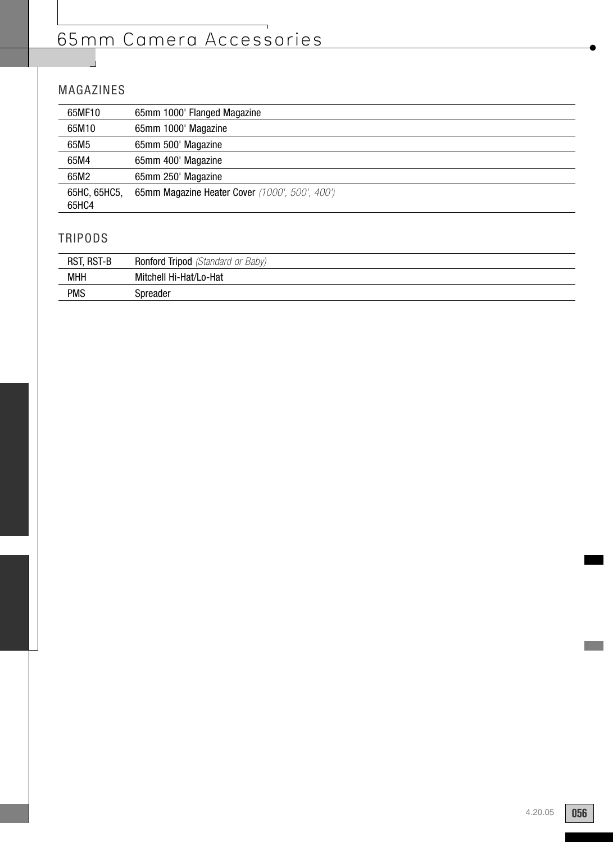# 65mm Camera Accessories

## MAGAZINES

| 65MF10       | 65mm 1000' Flanged Magazine                    |
|--------------|------------------------------------------------|
| 65M10        | 65mm 1000' Magazine                            |
| 65M5         | 65mm 500' Magazine                             |
| 65M4         | 65mm 400' Magazine                             |
| 65M2         | 65mm 250' Magazine                             |
| 65HC, 65HC5, | 65mm Magazine Heater Cover (1000', 500', 400') |
| 65HC4        |                                                |

## TRIPODS

| RST, RST-B | <b>Ronford Tripod</b> (Standard or Baby) |
|------------|------------------------------------------|
| <b>MHH</b> | Mitchell Hi-Hat/Lo-Hat                   |
| <b>PMS</b> | Spreader                                 |